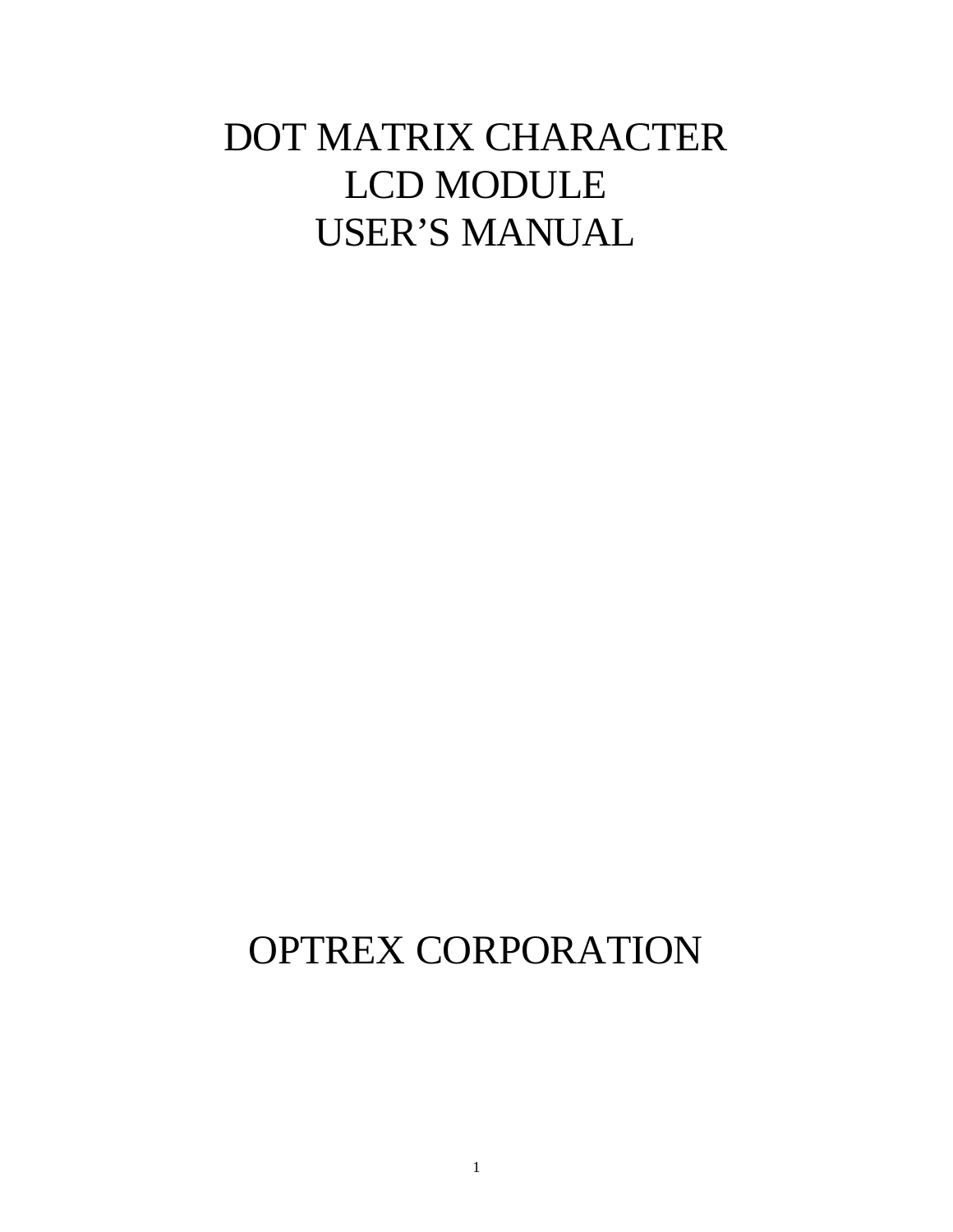# DOT MATRIX CHARACTER LCD MODULE USER'S MANUAL

# OPTREX CORPORATION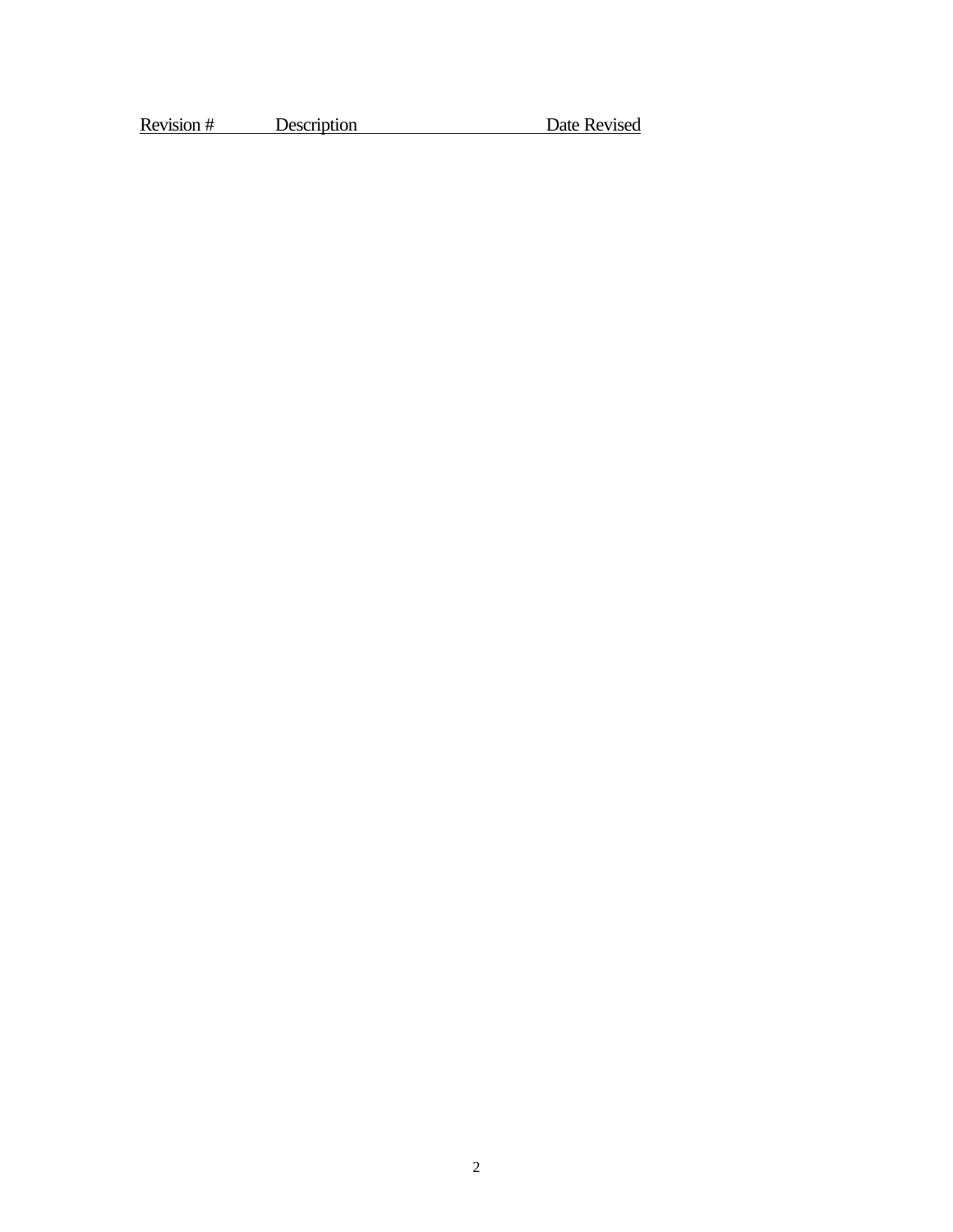Revision # Description Date Revised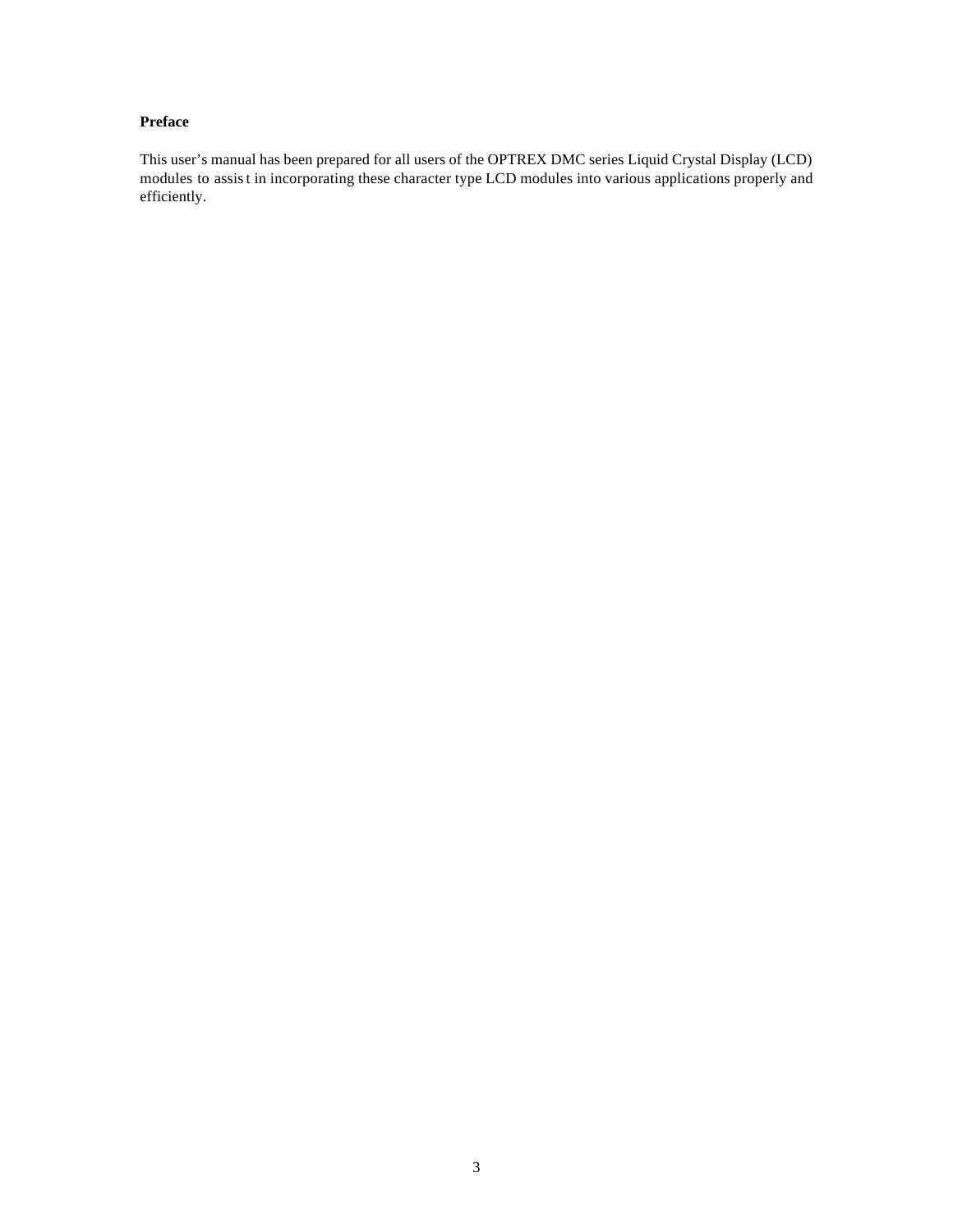#### **Preface**

This user's manual has been prepared for all users of the OPTREX DMC series Liquid Crystal Display (LCD) modules to assist in incorporating these character type LCD modules into various applications properly and efficiently.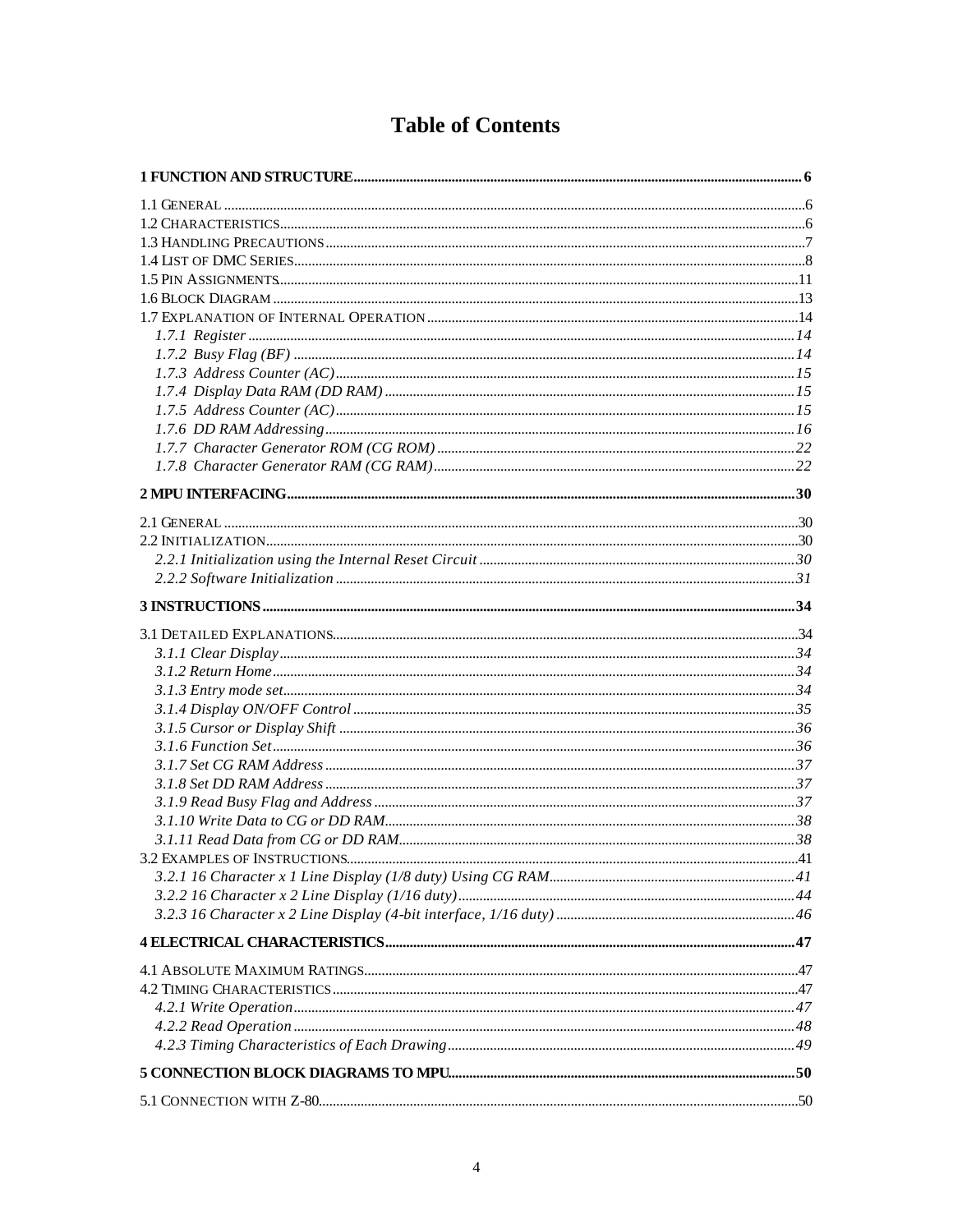### **Table of Contents**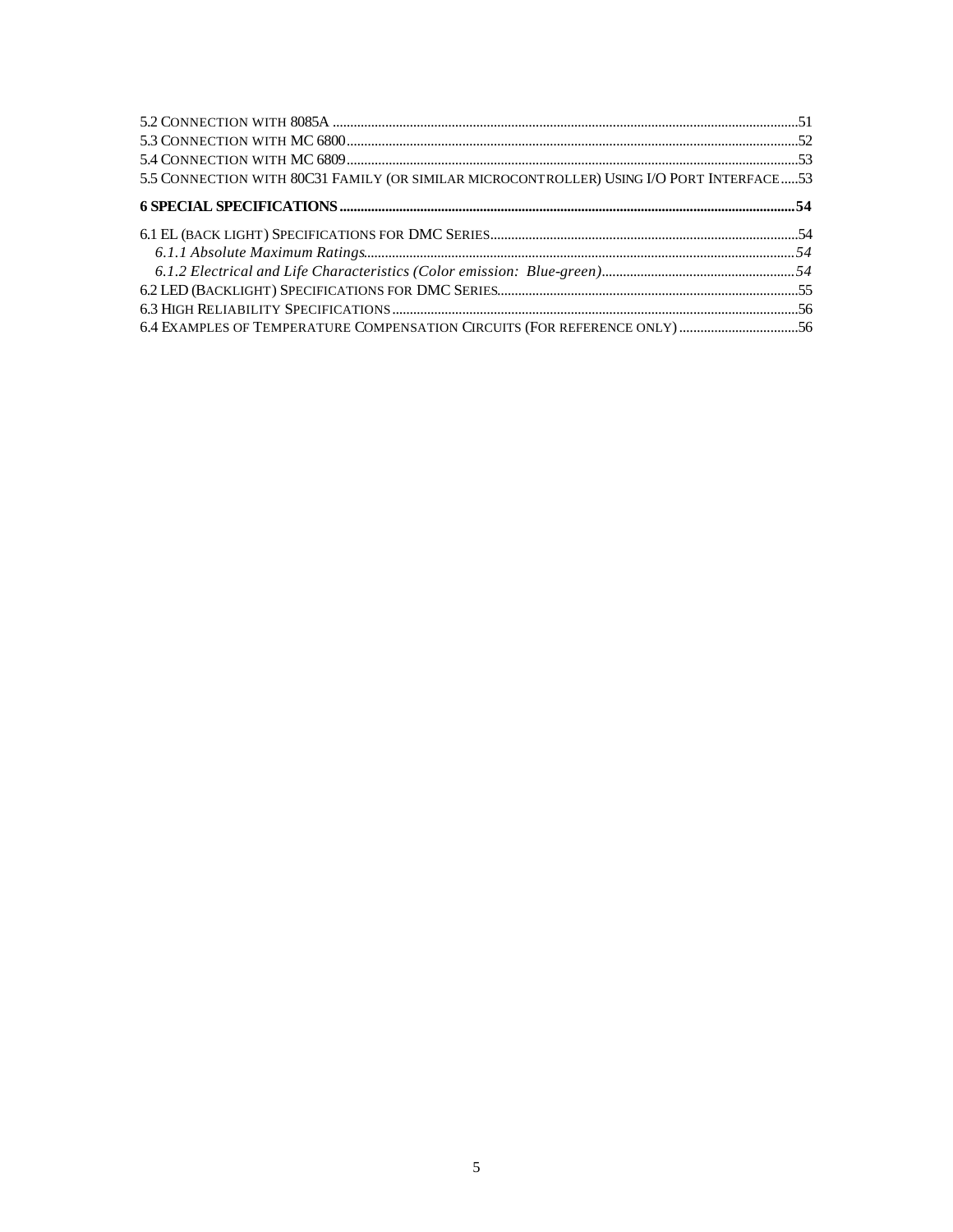| 5.5 CONNECTION WITH 80C31 FAMILY (OR SIMILAR MICROCONTROLLER) USING I/O PORT INTERFACE53 |  |
|------------------------------------------------------------------------------------------|--|
|                                                                                          |  |
|                                                                                          |  |
|                                                                                          |  |
|                                                                                          |  |
|                                                                                          |  |
|                                                                                          |  |
| 6.4 EXAMPLES OF TEMPERATURE COMPENSATION CIRCUITS (FOR REFERENCE ONLY) 56                |  |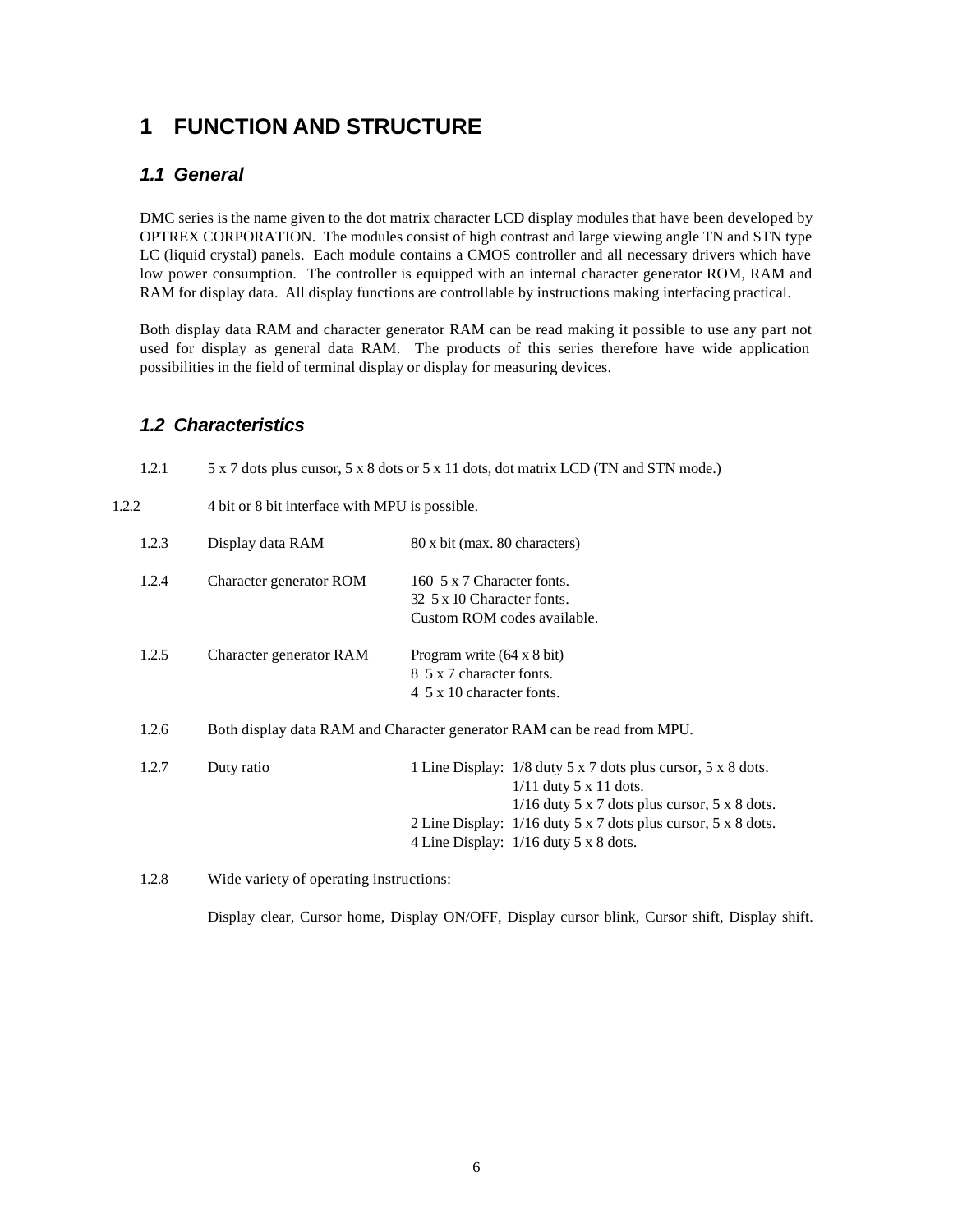### **1 FUNCTION AND STRUCTURE**

#### *1.1 General*

DMC series is the name given to the dot matrix character LCD display modules that have been developed by OPTREX CORPORATION. The modules consist of high contrast and large viewing angle TN and STN type LC (liquid crystal) panels. Each module contains a CMOS controller and all necessary drivers which have low power consumption. The controller is equipped with an internal character generator ROM, RAM and RAM for display data. All display functions are controllable by instructions making interfacing practical.

Both display data RAM and character generator RAM can be read making it possible to use any part not used for display as general data RAM. The products of this series therefore have wide application possibilities in the field of terminal display or display for measuring devices.

#### *1.2 Characteristics*

| 1.2.1 | 5 x 7 dots plus cursor, 5 x 8 dots or 5 x 11 dots, dot matrix LCD (TN and STN mode.)                                          |                                                                                                                                             |  |  |  |  |  |  |
|-------|-------------------------------------------------------------------------------------------------------------------------------|---------------------------------------------------------------------------------------------------------------------------------------------|--|--|--|--|--|--|
| 1.2.2 | 4 bit or 8 bit interface with MPU is possible.                                                                                |                                                                                                                                             |  |  |  |  |  |  |
| 1.2.3 | Display data RAM                                                                                                              | 80 x bit (max. 80 characters)                                                                                                               |  |  |  |  |  |  |
| 1.2.4 | Character generator ROM                                                                                                       | 160 5 x 7 Character fonts.<br>32 5 x 10 Character fonts.<br>Custom ROM codes available.                                                     |  |  |  |  |  |  |
| 1.2.5 | Character generator RAM<br>Program write $(64 \times 8 \text{ bit})$<br>8 5 x 7 character fonts.<br>4 5 x 10 character fonts. |                                                                                                                                             |  |  |  |  |  |  |
| 1.2.6 |                                                                                                                               | Both display data RAM and Character generator RAM can be read from MPU.                                                                     |  |  |  |  |  |  |
| 1.2.7 | Duty ratio                                                                                                                    | 1 Line Display: 1/8 duty 5 x 7 dots plus cursor, 5 x 8 dots.<br>$1/11$ duty 5 x 11 dots.<br>$1/16$ duty 5 x 7 dots plus cursor, 5 x 8 dots. |  |  |  |  |  |  |
|       |                                                                                                                               | 2 Line Display: 1/16 duty 5 x 7 dots plus cursor, 5 x 8 dots.<br>4 Line Display: 1/16 duty 5 x 8 dots.                                      |  |  |  |  |  |  |

1.2.8 Wide variety of operating instructions:

Display clear, Cursor home, Display ON/OFF, Display cursor blink, Cursor shift, Display shift.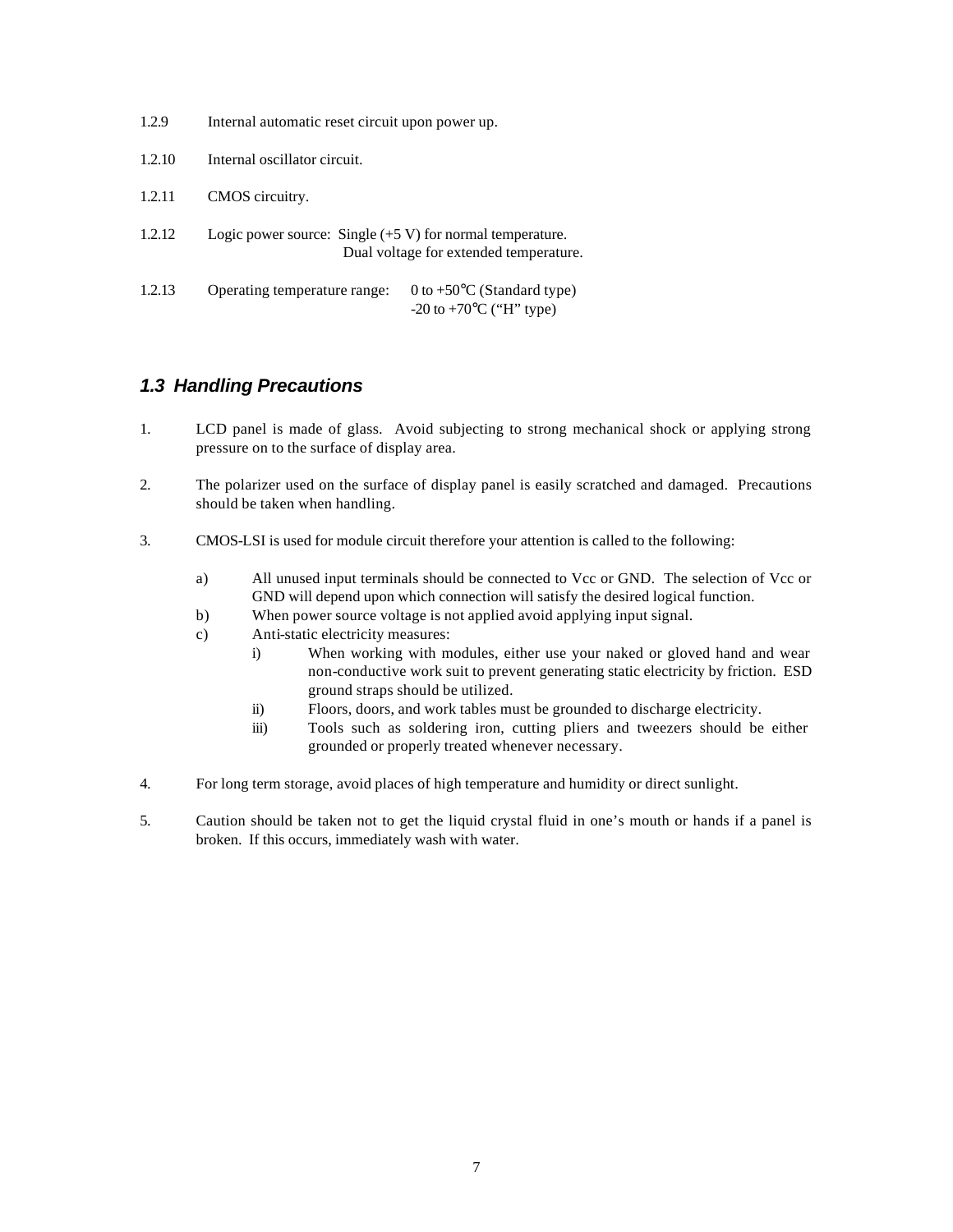| 1.2.9  | Internal automatic reset circuit upon power up.             |                                                                                  |  |  |  |  |
|--------|-------------------------------------------------------------|----------------------------------------------------------------------------------|--|--|--|--|
| 1.2.10 | Internal oscillator circuit.                                |                                                                                  |  |  |  |  |
| 1.2.11 | CMOS circuitry.                                             |                                                                                  |  |  |  |  |
| 1.2.12 | Logic power source: Single $(+5 V)$ for normal temperature. | Dual voltage for extended temperature.                                           |  |  |  |  |
| 1.2.13 | Operating temperature range:                                | 0 to $+50^{\circ}$ C (Standard type)<br>$-20$ to $+70$ <sup>o</sup> C ("H" type) |  |  |  |  |

#### *1.3 Handling Precautions*

- 1. LCD panel is made of glass. Avoid subjecting to strong mechanical shock or applying strong pressure on to the surface of display area.
- 2. The polarizer used on the surface of display panel is easily scratched and damaged. Precautions should be taken when handling.
- 3. CMOS-LSI is used for module circuit therefore your attention is called to the following:
	- a) All unused input terminals should be connected to Vcc or GND. The selection of Vcc or GND will depend upon which connection will satisfy the desired logical function.
	- b) When power source voltage is not applied avoid applying input signal.
	- c) Anti-static electricity measures:
		- i) When working with modules, either use your naked or gloved hand and wear non-conductive work suit to prevent generating static electricity by friction. ESD ground straps should be utilized.
		- ii) Floors, doors, and work tables must be grounded to discharge electricity.
		- iii) Tools such as soldering iron, cutting pliers and tweezers should be either grounded or properly treated whenever necessary.
- 4. For long term storage, avoid places of high temperature and humidity or direct sunlight.
- 5. Caution should be taken not to get the liquid crystal fluid in one's mouth or hands if a panel is broken. If this occurs, immediately wash with water.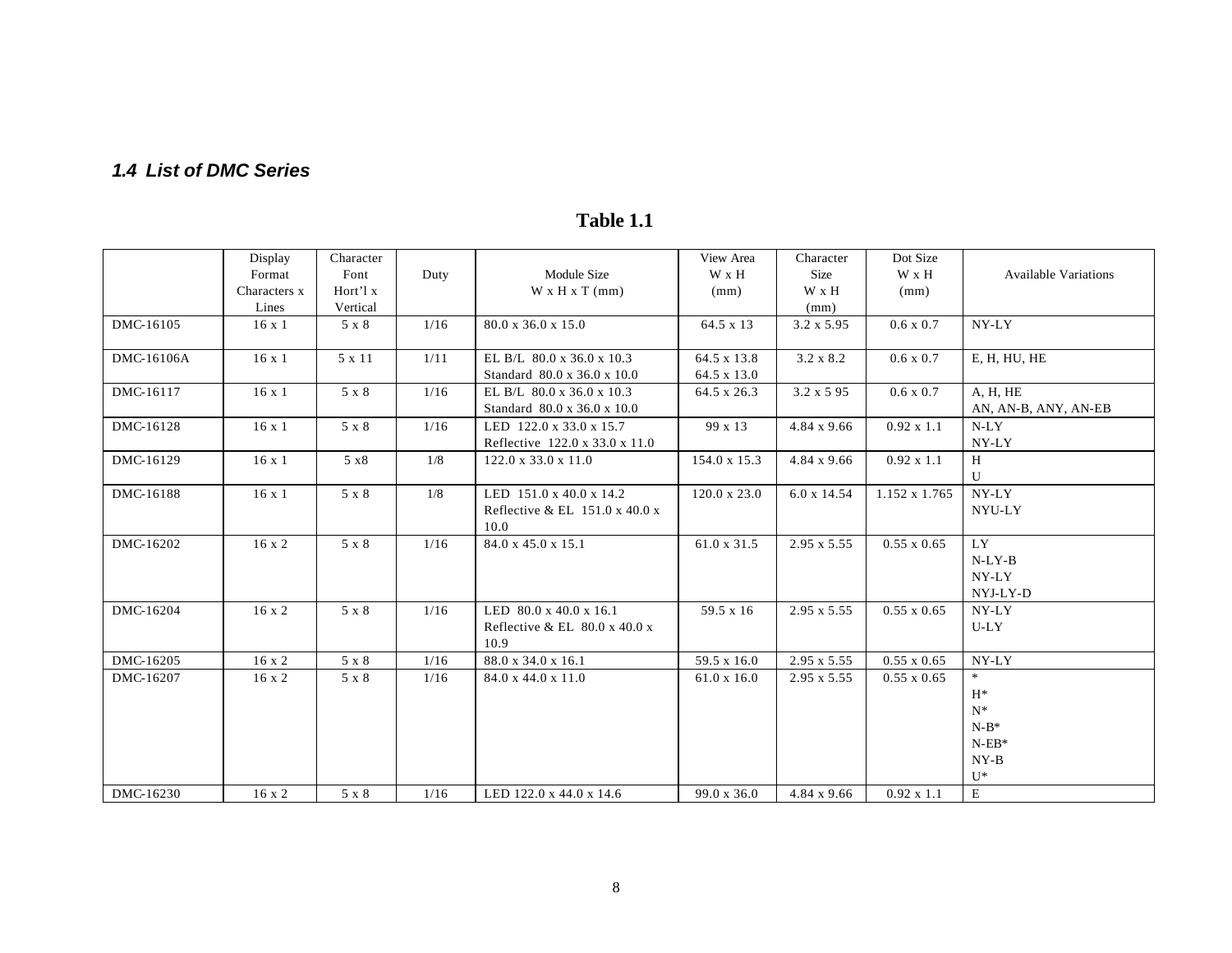### *1.4 List of DMC Series*

|            | Display       | Character |      |                                                                      | View Area                  | Character          | Dot Size           |                             |
|------------|---------------|-----------|------|----------------------------------------------------------------------|----------------------------|--------------------|--------------------|-----------------------------|
|            | Format        | Font      | Duty | Module Size                                                          | W x H                      | Size               | W x H              | <b>Available Variations</b> |
|            | Characters x  | Hort'l x  |      | $W \times H \times T$ (mm)                                           | (mm)                       | W x H              | (mm)               |                             |
|            | Lines         | Vertical  |      |                                                                      |                            | (mm)               |                    |                             |
| DMC-16105  | $16 \times 1$ | 5 x 8     | 1/16 | 80.0 x 36.0 x 15.0                                                   | 64.5 x 13                  | $3.2 \times 5.95$  | $0.6 \times 0.7$   | NY-LY                       |
| DMC-16106A | $16 \times 1$ | 5 x 11    | 1/11 | EL B/L $80.0 \times 36.0 \times 10.3$<br>Standard 80.0 x 36.0 x 10.0 | 64.5 x 13.8<br>64.5 x 13.0 | $3.2 \times 8.2$   | $0.6 \times 0.7$   | E, H, HU, HE                |
| DMC-16117  | $16 \times 1$ | 5 x 8     | 1/16 | EL B/L 80.0 x 36.0 x 10.3                                            | 64.5 x 26.3                | $3.2 \times 5.95$  | $0.6 \times 0.7$   | A, H, HE                    |
|            |               |           |      | Standard 80.0 x 36.0 x 10.0                                          |                            |                    |                    | AN, AN-B, ANY, AN-EB        |
| DMC-16128  | $16 \times 1$ | 5 x 8     | 1/16 | LED 122.0 x 33.0 x 15.7                                              | 99 x 13                    | $4.84 \times 9.66$ | $0.92 \times 1.1$  | $N-LY$                      |
|            |               |           |      | Reflective 122.0 x 33.0 x 11.0                                       |                            |                    |                    | NY-LY                       |
| DMC-16129  | $16 \times 1$ | 5 x8      | 1/8  | 122.0 x 33.0 x 11.0                                                  | 154.0 x 15.3               | $4.84 \times 9.66$ | $0.92 \times 1.1$  | H                           |
|            |               |           |      |                                                                      |                            |                    |                    | U                           |
| DMC-16188  | $16 \times 1$ | 5 x 8     | 1/8  | LED 151.0 x 40.0 x 14.2                                              | $120.0 \times 23.0$        | $6.0 \times 14.54$ | 1.152 x 1.765      | NY-LY                       |
|            |               |           |      | Reflective & EL $151.0 \times 40.0 \times$                           |                            |                    |                    | NYU-LY                      |
|            |               |           |      | 10.0                                                                 |                            |                    |                    |                             |
| DMC-16202  | $16 \times 2$ | 5 x 8     | 1/16 | 84.0 x 45.0 x 15.1                                                   | $61.0 \times 31.5$         | $2.95 \times 5.55$ | $0.55 \times 0.65$ | LY                          |
|            |               |           |      |                                                                      |                            |                    |                    | $N-LY-B$                    |
|            |               |           |      |                                                                      |                            |                    |                    | NY-LY                       |
|            |               |           |      |                                                                      |                            |                    |                    | NYJ-LY-D                    |
| DMC-16204  | $16 \times 2$ | 5 x 8     | 1/16 | LED 80.0 x 40.0 x 16.1                                               | 59.5 x 16                  | $2.95 \times 5.55$ | $0.55 \times 0.65$ | NY-LY                       |
|            |               |           |      | Reflective & EL $80.0 \times 40.0 \times$                            |                            |                    |                    | $U-LY$                      |
|            |               |           |      | 10.9                                                                 |                            |                    |                    |                             |
| DMC-16205  | $16 \times 2$ | 5 x 8     | 1/16 | 88.0 x 34.0 x 16.1                                                   | 59.5 x 16.0                | 2.95 x 5.55        | $0.55 \times 0.65$ | NY-LY                       |
| DMC-16207  | $16 \times 2$ | 5 x 8     | 1/16 | 84.0 x 44.0 x 11.0                                                   | $61.0 \times 16.0$         | 2.95 x 5.55        | $0.55 \times 0.65$ | $*$                         |
|            |               |           |      |                                                                      |                            |                    |                    | $H^*$                       |
|            |               |           |      |                                                                      |                            |                    |                    | $N^*$                       |
|            |               |           |      |                                                                      |                            |                    |                    | $N-B^*$                     |
|            |               |           |      |                                                                      |                            |                    |                    | $N$ -EB*                    |
|            |               |           |      |                                                                      |                            |                    |                    | $NY-B$                      |
|            |               |           |      |                                                                      |                            |                    |                    | $U^*$                       |
| DMC-16230  | $16 \times 2$ | 5 x 8     | 1/16 | LED 122.0 x 44.0 x 14.6                                              | $99.0 \times 36.0$         | 4.84 x 9.66        | $0.92 \times 1.1$  | E                           |

### **Table 1.1**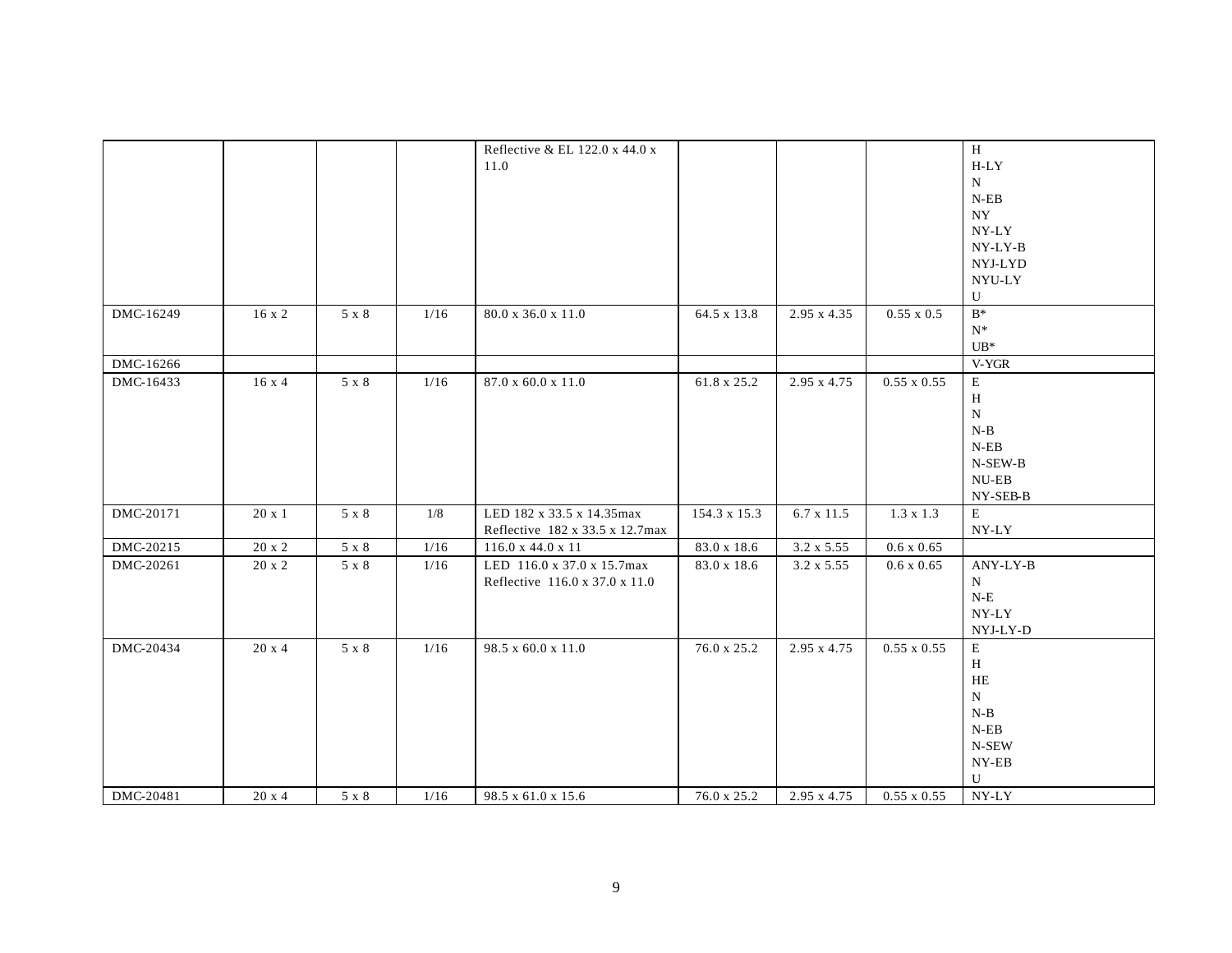|           |               |              |      | Reflective & EL 122.0 x 44.0 x  |              |                    |                    | H                  |
|-----------|---------------|--------------|------|---------------------------------|--------------|--------------------|--------------------|--------------------|
|           |               |              |      | 11.0                            |              |                    |                    | $H-LY$             |
|           |               |              |      |                                 |              |                    |                    | ${\bf N}$          |
|           |               |              |      |                                 |              |                    |                    | $N$ -EB            |
|           |               |              |      |                                 |              |                    |                    | <b>NY</b>          |
|           |               |              |      |                                 |              |                    |                    | $NY-LY$            |
|           |               |              |      |                                 |              |                    |                    | NY-LY-B            |
|           |               |              |      |                                 |              |                    |                    | NYJ-LYD            |
|           |               |              |      |                                 |              |                    |                    | NYU-LY             |
|           |               |              |      |                                 |              |                    |                    | $\mathbf U$        |
| DMC-16249 | 16x2          | 5 x 8        | 1/16 | 80.0 x 36.0 x 11.0              | 64.5 x 13.8  | 2.95 x 4.35        | $0.55 \times 0.5$  | $B^*$              |
|           |               |              |      |                                 |              |                    |                    | $N^*$              |
|           |               |              |      |                                 |              |                    |                    | $UB*$              |
| DMC-16266 |               |              |      |                                 |              |                    |                    | V-YGR              |
| DMC-16433 | 16x4          | 5 x 8        | 1/16 | 87.0 x 60.0 x 11.0              | 61.8 x 25.2  | 2.95 x 4.75        | $0.55 \times 0.55$ | E                  |
|           |               |              |      |                                 |              |                    |                    | H                  |
|           |               |              |      |                                 |              |                    |                    | ${\bf N}$          |
|           |               |              |      |                                 |              |                    |                    | $N-B$              |
|           |               |              |      |                                 |              |                    |                    | $N$ -EB            |
|           |               |              |      |                                 |              |                    |                    | $N$ -SEW-B $\,$    |
|           |               |              |      |                                 |              |                    |                    | $NU-EB$            |
|           |               |              |      |                                 |              |                    |                    | NY-SEB-B           |
| DMC-20171 | $20 \times 1$ | 5 x 8        | 1/8  | LED 182 x 33.5 x 14.35max       | 154.3 x 15.3 | 6.7 x 11.5         | $1.3 \times 1.3$   | E                  |
|           |               |              |      | Reflective 182 x 33.5 x 12.7max |              |                    |                    | NY-LY              |
| DMC-20215 | 20 x 2        | $5 \times 8$ | 1/16 | 116.0 x 44.0 x 11               | 83.0 x 18.6  | 3.2 x 5.55         | $0.6 \times 0.65$  |                    |
| DMC-20261 | 20 x 2        | 5 x 8        | 1/16 | LED 116.0 x 37.0 x 15.7max      | 83.0 x 18.6  | $3.2 \times 5.55$  | $0.6 \times 0.65$  | ANY-LY-B           |
|           |               |              |      | Reflective 116.0 x 37.0 x 11.0  |              |                    |                    | $\mathbf N$        |
|           |               |              |      |                                 |              |                    |                    | ${\bf N\text{-}E}$ |
|           |               |              |      |                                 |              |                    |                    | NY-LY              |
|           |               |              |      |                                 |              |                    |                    | $NYJ-LY-D$         |
| DMC-20434 | $20 \times 4$ | 5 x 8        | 1/16 | 98.5 x 60.0 x 11.0              | 76.0 x 25.2  | 2.95 x 4.75        | $0.55 \times 0.55$ | E                  |
|           |               |              |      |                                 |              |                    |                    | H                  |
|           |               |              |      |                                 |              |                    |                    | HE                 |
|           |               |              |      |                                 |              |                    |                    | $N_{\odot}$        |
|           |               |              |      |                                 |              |                    |                    | $N-B$              |
|           |               |              |      |                                 |              |                    |                    | $N$ -EB            |
|           |               |              |      |                                 |              |                    |                    | N-SEW              |
|           |               |              |      |                                 |              |                    |                    | $NY-EB$            |
|           |               |              |      |                                 |              |                    |                    | U                  |
| DMC-20481 | $20 \times 4$ | 5 x 8        | 1/16 | 98.5 x 61.0 x 15.6              | 76.0 x 25.2  | $2.95 \times 4.75$ | $0.55 \times 0.55$ | NY-LY              |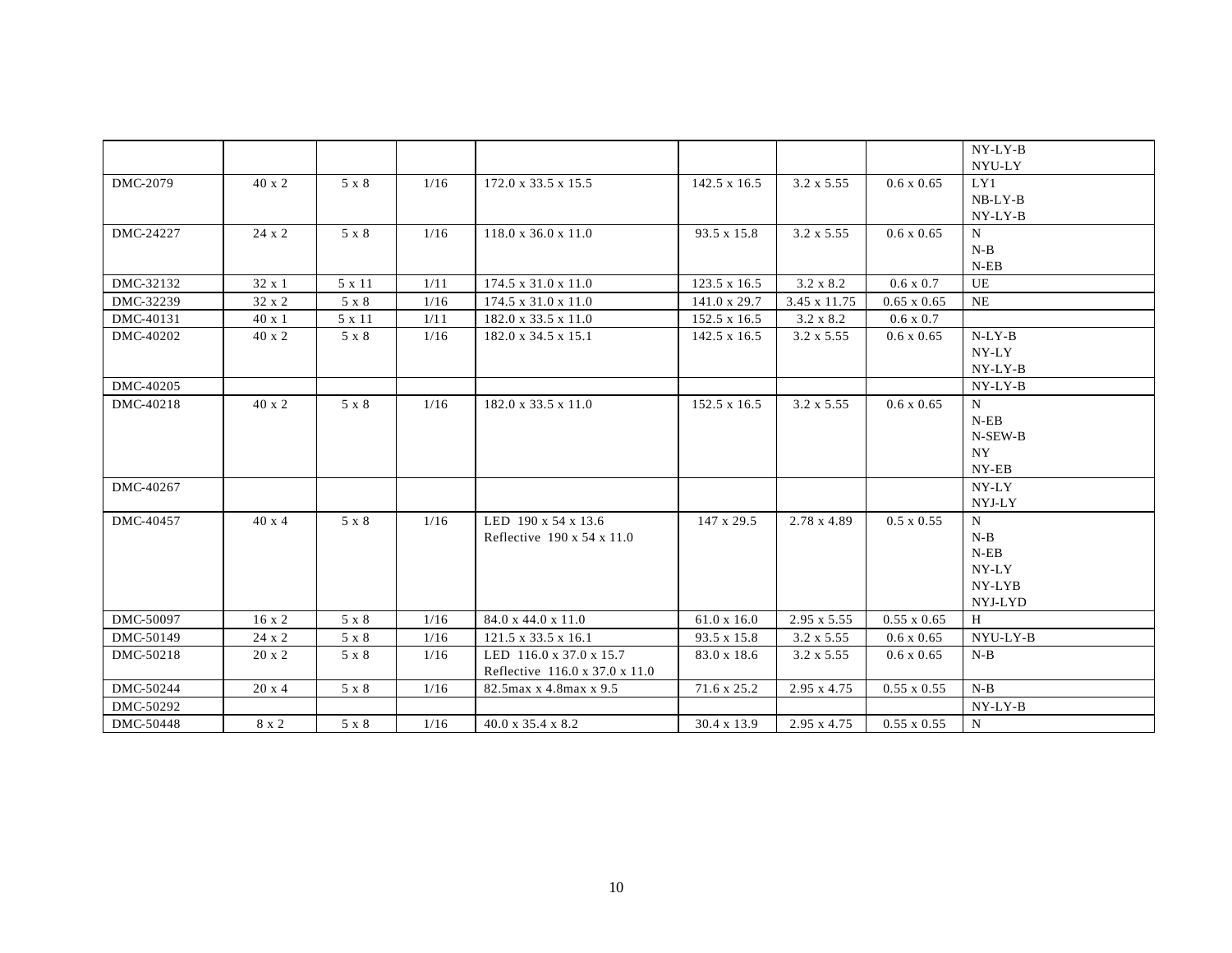|           |               |              |      |                                        |                     |                    |                    | NY-LY-B   |
|-----------|---------------|--------------|------|----------------------------------------|---------------------|--------------------|--------------------|-----------|
|           |               |              |      |                                        |                     |                    |                    | NYU-LY    |
| DMC-2079  | $40 \times 2$ | 5 x 8        | 1/16 | 172.0 x 33.5 x 15.5                    | $142.5 \times 16.5$ | $3.2 \times 5.55$  | $0.6 \times 0.65$  | LY1       |
|           |               |              |      |                                        |                     |                    |                    | $NB-LY-B$ |
|           |               |              |      |                                        |                     |                    |                    | NY-LY-B   |
| DMC-24227 | 24 x 2        | 5 x 8        | 1/16 | $118.0 \times 36.0 \times 11.0$        | 93.5 x 15.8         | $3.2 \times 5.55$  | $0.6 \times 0.65$  | N         |
|           |               |              |      |                                        |                     |                    |                    | $N-B$     |
|           |               |              |      |                                        |                     |                    |                    | $N$ -EB   |
| DMC-32132 | 32 x 1        | 5 x 11       | 1/11 | 174.5 x 31.0 x 11.0                    | 123.5 x 16.5        | 3.2 x 8.2          | $0.6 \times 0.7$   | UE        |
| DMC-32239 | 32 x 2        | 5 x 8        | 1/16 | 174.5 x 31.0 x 11.0                    | 141.0 x 29.7        | 3.45 x 11.75       | $0.65 \times 0.65$ | NE        |
| DMC-40131 | $40 \times 1$ | 5 x 11       | 1/11 | 182.0 x 33.5 x 11.0                    | 152.5 x 16.5        | 3.2 x 8.2          | $0.6 \times 0.7$   |           |
| DMC-40202 | 40 x 2        | 5 x 8        | 1/16 | 182.0 x 34.5 x 15.1                    | 142.5 x 16.5        | 3.2 x 5.55         | $0.6 \times 0.65$  | $N-LY-B$  |
|           |               |              |      |                                        |                     |                    |                    | NY-LY     |
|           |               |              |      |                                        |                     |                    |                    | NY-LY-B   |
| DMC-40205 |               |              |      |                                        |                     |                    |                    | $NY-LY-B$ |
| DMC-40218 | 40 x 2        | 5 x 8        | 1/16 | 182.0 x 33.5 x 11.0                    | $152.5 \times 16.5$ | $3.2 \times 5.55$  | $0.6 \times 0.65$  | N         |
|           |               |              |      |                                        |                     |                    |                    | $N$ -EB   |
|           |               |              |      |                                        |                     |                    |                    | N-SEW-B   |
|           |               |              |      |                                        |                     |                    |                    | NY        |
|           |               |              |      |                                        |                     |                    |                    | NY-EB     |
| DMC-40267 |               |              |      |                                        |                     |                    |                    | NY-LY     |
|           |               |              |      |                                        |                     |                    |                    | NYJ-LY    |
| DMC-40457 | $40 \times 4$ | 5 x 8        | 1/16 | LED 190 x 54 x 13.6                    | 147 x 29.5          | 2.78 x 4.89        | $0.5 \times 0.55$  | N         |
|           |               |              |      | Reflective $190 \times 54 \times 11.0$ |                     |                    |                    | $N-B$     |
|           |               |              |      |                                        |                     |                    |                    | $N$ -EB   |
|           |               |              |      |                                        |                     |                    |                    | NY-LY     |
|           |               |              |      |                                        |                     |                    |                    | NY-LYB    |
|           |               |              |      |                                        |                     |                    |                    | NYJ-LYD   |
| DMC-50097 | $16 \times 2$ | 5 x 8        | 1/16 | 84.0 x 44.0 x 11.0                     | $61.0 \times 16.0$  | 2.95 x 5.55        | $0.55 \times 0.65$ | H         |
| DMC-50149 | 24 x 2        | $5 \times 8$ | 1/16 | $121.5 \times 33.5 \times 16.1$        | 93.5 x 15.8         | $3.2 \times 5.55$  | $0.6 \times 0.65$  | NYU-LY-B  |
| DMC-50218 | 20 x 2        | 5 x 8        | 1/16 | LED 116.0 x 37.0 x 15.7                | 83.0 x 18.6         | 3.2 x 5.55         | 0.6 x 0.65         | $N-B$     |
|           |               |              |      | Reflective 116.0 x 37.0 x 11.0         |                     |                    |                    |           |
| DMC-50244 | $20 \times 4$ | 5 x 8        | 1/16 | 82.5 max x 4.8 max x 9.5               | 71.6 x 25.2         | 2.95 x 4.75        | $0.55 \times 0.55$ | $N-B$     |
| DMC-50292 |               |              |      |                                        |                     |                    |                    | NY-LY-B   |
| DMC-50448 | 8 x 2         | 5 x 8        | 1/16 | $40.0 \times 35.4 \times 8.2$          | 30.4 x 13.9         | $2.95 \times 4.75$ | $0.55 \times 0.55$ | N         |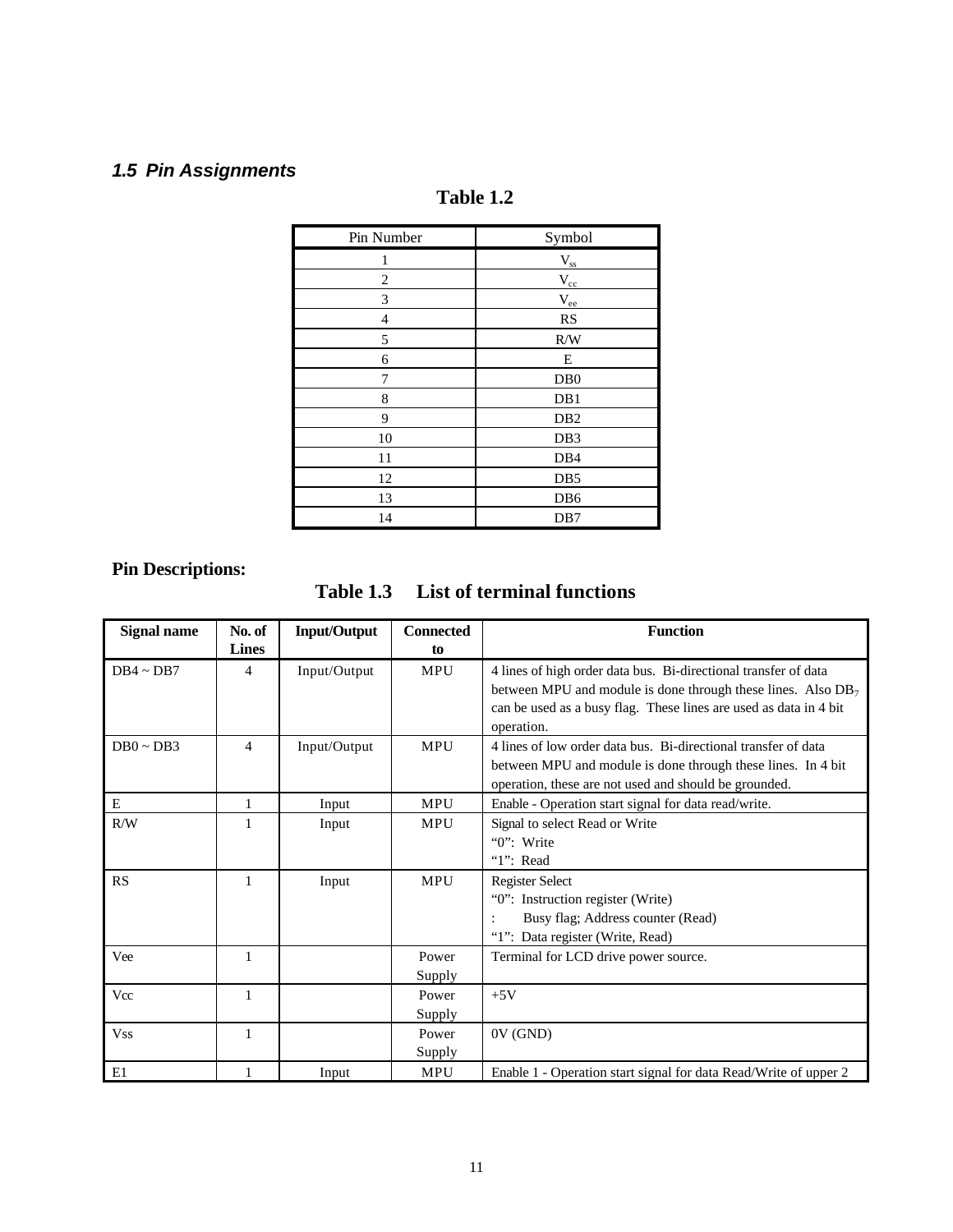### *1.5 Pin Assignments*

| Pin Number     | Symbol           |
|----------------|------------------|
| 1              | $V_{ss}$         |
| $\overline{2}$ | $V_{cc}$         |
| 3              | $\rm V_{ee}$     |
| $\overline{4}$ | <b>RS</b>        |
| 5              | R/W              |
| 6              | E                |
| 7              | D <sub>B</sub> 0 |
| 8              | DB1              |
| 9              | DB <sub>2</sub>  |
| 10             | DB <sub>3</sub>  |
| 11             | DB4              |
| 12             | DB <sub>5</sub>  |
| 13             | DB <sub>6</sub>  |
| 14             | DB7              |

### **Table 1.2**

### **Pin Descriptions:**

| <b>List of terminal functions</b><br>Table 1.3 |
|------------------------------------------------|
|------------------------------------------------|

| <b>Signal name</b> | No. of<br><b>Lines</b> | <b>Input/Output</b> | <b>Connected</b><br>to | <b>Function</b>                                                                                                                                                                                                      |
|--------------------|------------------------|---------------------|------------------------|----------------------------------------------------------------------------------------------------------------------------------------------------------------------------------------------------------------------|
| $DB4 \sim DB7$     | 4                      | Input/Output        | MPU                    | 4 lines of high order data bus. Bi-directional transfer of data<br>between MPU and module is done through these lines. Also $DB7$<br>can be used as a busy flag. These lines are used as data in 4 bit<br>operation. |
| $DB0 \sim DB3$     | $\overline{4}$         | Input/Output        | <b>MPU</b>             | 4 lines of low order data bus. Bi-directional transfer of data<br>between MPU and module is done through these lines. In 4 bit<br>operation, these are not used and should be grounded.                              |
| ${\bf E}$          | 1                      | Input               | <b>MPU</b>             | Enable - Operation start signal for data read/write.                                                                                                                                                                 |
| R/W                | 1                      | Input               | <b>MPU</b>             | Signal to select Read or Write<br>"0": Write<br>" $1$ ": Read                                                                                                                                                        |
| RS                 | 1                      | Input               | <b>MPU</b>             | <b>Register Select</b><br>"0": Instruction register (Write)<br>Busy flag; Address counter (Read)<br>"1": Data register (Write, Read)                                                                                 |
| Vee                | 1                      |                     | Power<br>Supply        | Terminal for LCD drive power source.                                                                                                                                                                                 |
| Vcc                | 1                      |                     | Power<br>Supply        | $+5V$                                                                                                                                                                                                                |
| <b>Vss</b>         | 1                      |                     | Power<br>Supply        | 0V(GND)                                                                                                                                                                                                              |
| E1                 |                        | Input               | <b>MPU</b>             | Enable 1 - Operation start signal for data Read/Write of upper 2                                                                                                                                                     |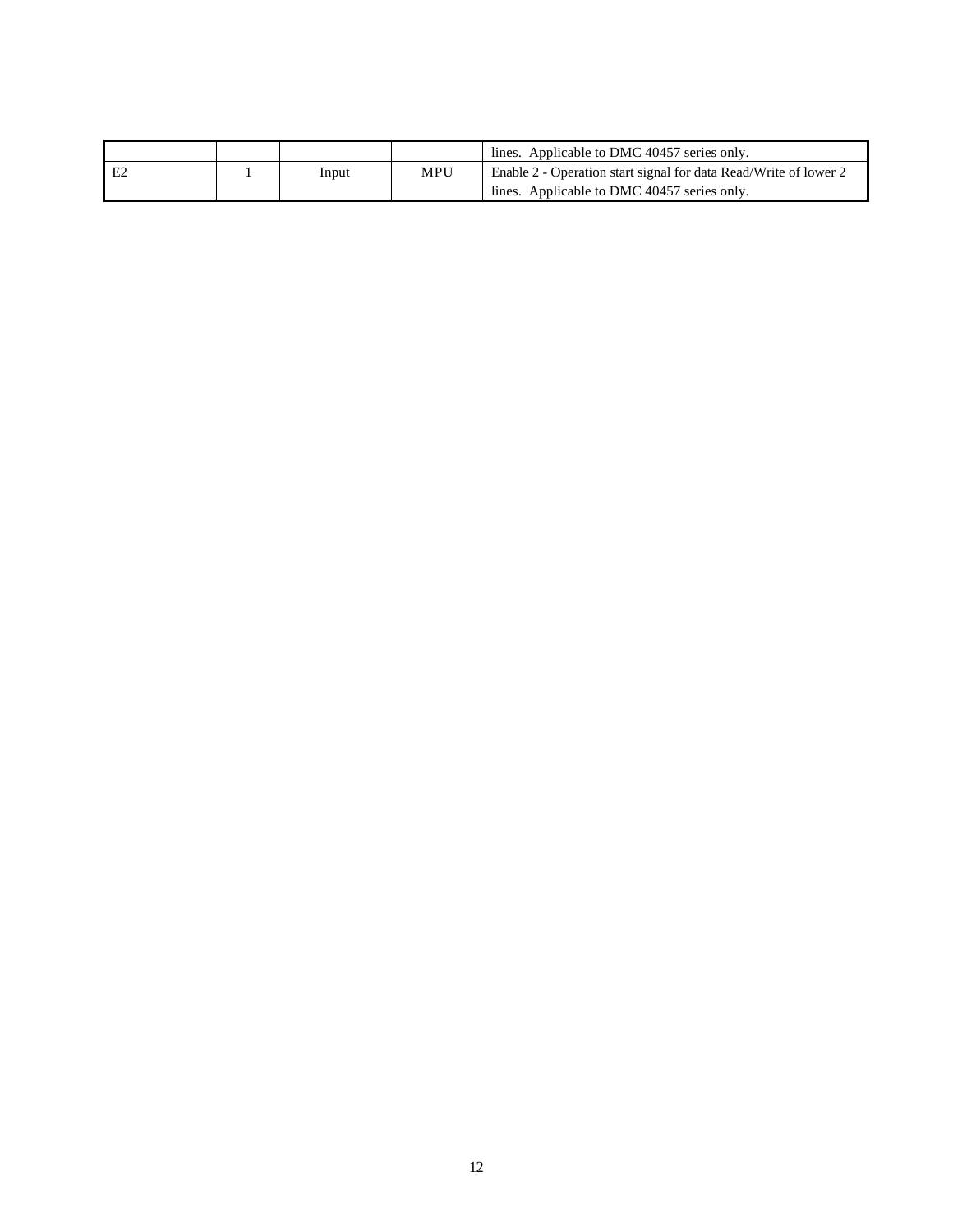|    |       |     | lines. Applicable to DMC 40457 series only.                      |
|----|-------|-----|------------------------------------------------------------------|
| E2 | Input | MPU | Enable 2 - Operation start signal for data Read/Write of lower 2 |
|    |       |     | lines. Applicable to DMC 40457 series only.                      |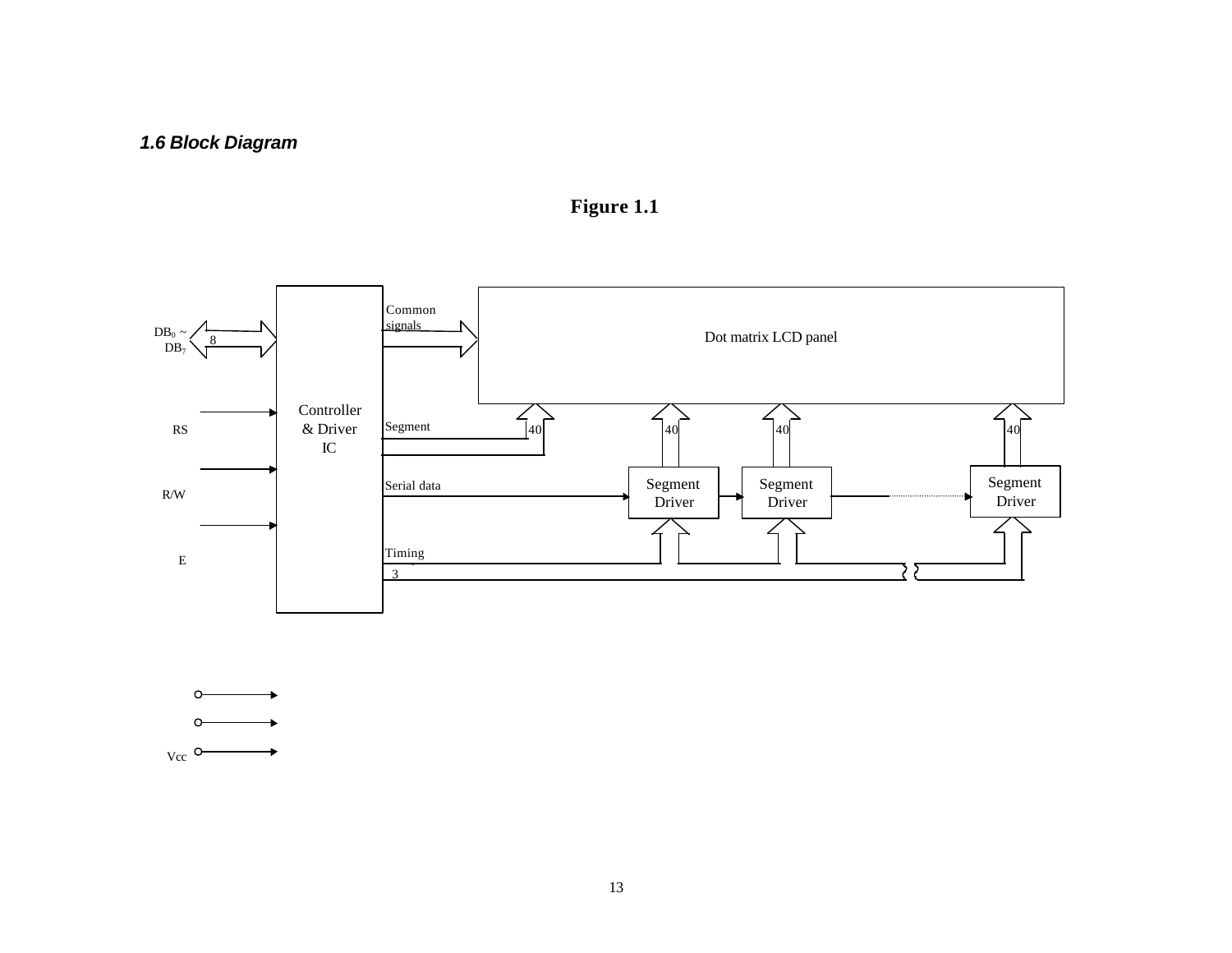



 $V_{\text{CC}}$  O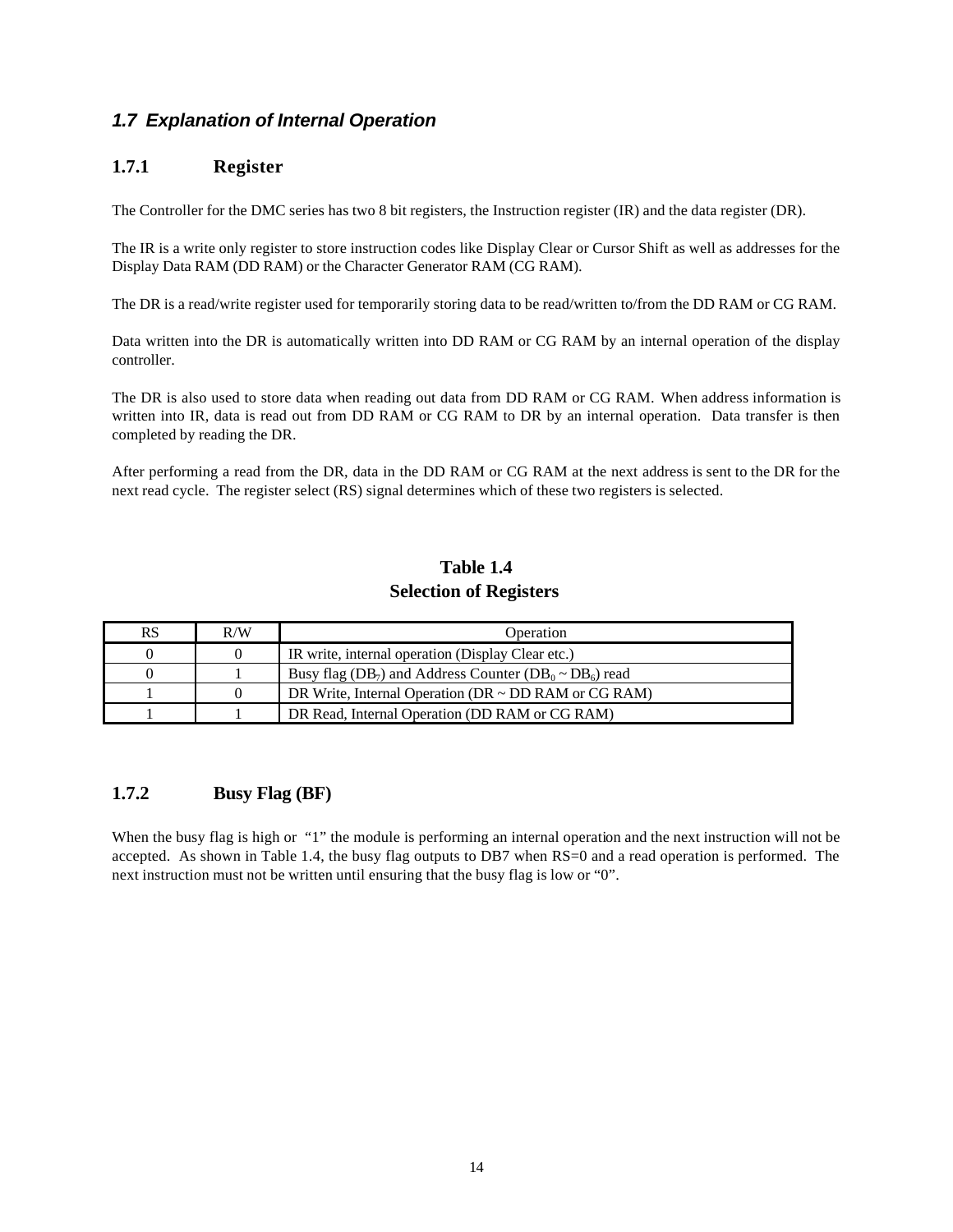#### *1.7 Explanation of Internal Operation*

#### **1.7.1 Register**

The Controller for the DMC series has two 8 bit registers, the Instruction register (IR) and the data register (DR).

The IR is a write only register to store instruction codes like Display Clear or Cursor Shift as well as addresses for the Display Data RAM (DD RAM) or the Character Generator RAM (CG RAM).

The DR is a read/write register used for temporarily storing data to be read/written to/from the DD RAM or CG RAM.

Data written into the DR is automatically written into DD RAM or CG RAM by an internal operation of the display controller.

The DR is also used to store data when reading out data from DD RAM or CG RAM. When address information is written into IR, data is read out from DD RAM or CG RAM to DR by an internal operation. Data transfer is then completed by reading the DR.

After performing a read from the DR, data in the DD RAM or CG RAM at the next address is sent to the DR for the next read cycle. The register select (RS) signal determines which of these two registers is selected.

### **Table 1.4 Selection of Registers**

| RS | R/W | Operation                                                                                       |
|----|-----|-------------------------------------------------------------------------------------------------|
|    |     | IR write, internal operation (Display Clear etc.)                                               |
|    |     | Busy flag (DB <sub>7</sub> ) and Address Counter (DB <sub>0</sub> $\sim$ DB <sub>6</sub> ) read |
|    | 0   | DR Write, Internal Operation ( $DR \sim DD$ RAM or CG RAM)                                      |
|    |     | DR Read, Internal Operation (DD RAM or CG RAM)                                                  |

#### **1.7.2 Busy Flag (BF)**

When the busy flag is high or "1" the module is performing an internal operation and the next instruction will not be accepted. As shown in Table 1.4, the busy flag outputs to DB7 when RS=0 and a read operation is performed. The next instruction must not be written until ensuring that the busy flag is low or "0".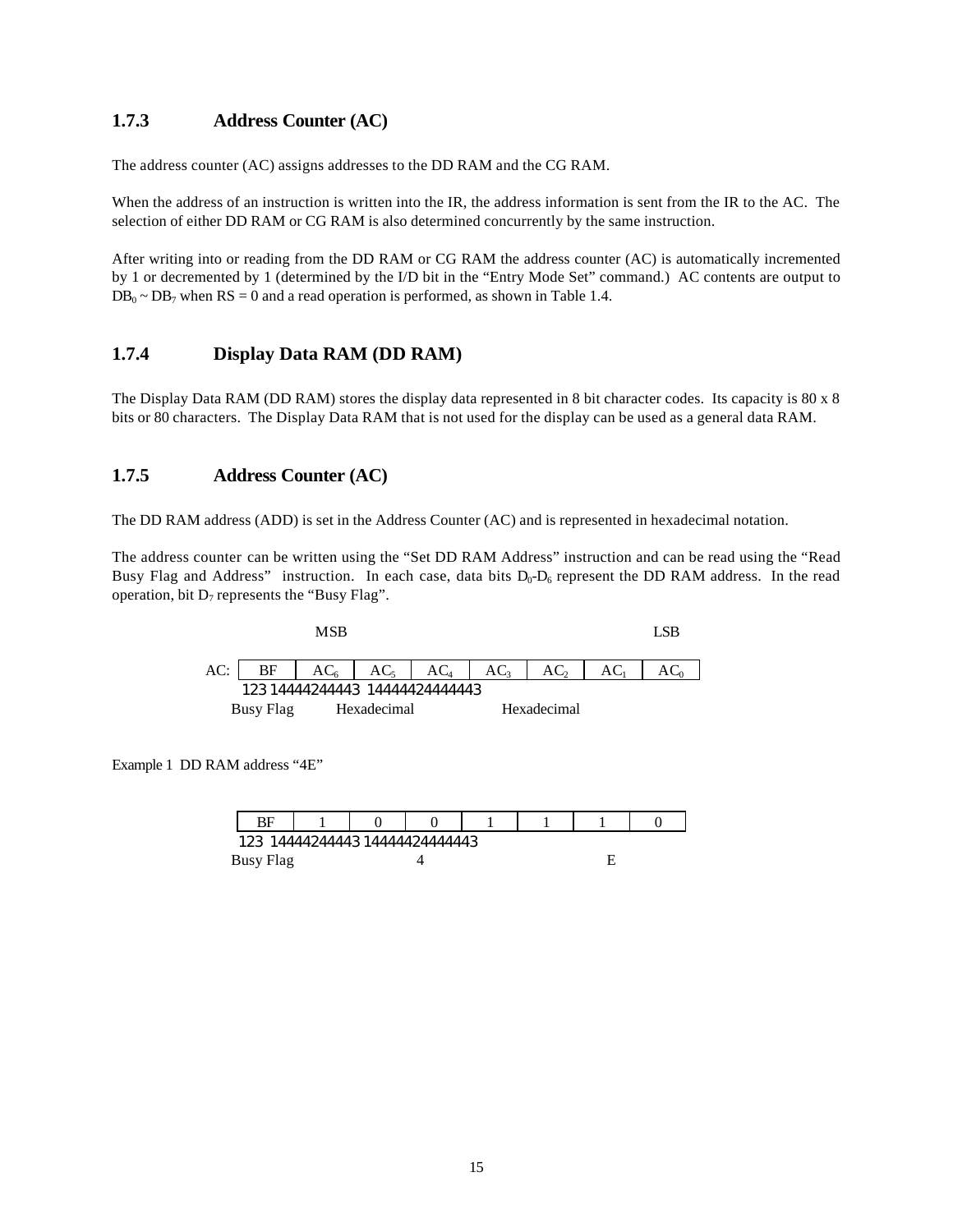#### **1.7.3 Address Counter (AC)**

The address counter (AC) assigns addresses to the DD RAM and the CG RAM.

When the address of an instruction is written into the IR, the address information is sent from the IR to the AC. The selection of either DD RAM or CG RAM is also determined concurrently by the same instruction.

After writing into or reading from the DD RAM or CG RAM the address counter (AC) is automatically incremented by 1 or decremented by 1 (determined by the I/D bit in the "Entry Mode Set" command.) AC contents are output to  $DB_0 \sim DB_7$  when RS = 0 and a read operation is performed, as shown in Table 1.4.

#### **1.7.4 Display Data RAM (DD RAM)**

The Display Data RAM (DD RAM) stores the display data represented in 8 bit character codes. Its capacity is 80 x 8 bits or 80 characters. The Display Data RAM that is not used for the display can be used as a general data RAM.

#### **1.7.5 Address Counter (AC)**

The DD RAM address (ADD) is set in the Address Counter (AC) and is represented in hexadecimal notation.

The address counter can be written using the "Set DD RAM Address" instruction and can be read using the "Read Busy Flag and Address" instruction. In each case, data bits  $D_0$ - $D_6$  represent the DD RAM address. In the read operation, bit  $D_7$  represents the "Busy Flag".



Example 1 DD RAM address "4E"

| BF               |                            |  |  |  |  |
|------------------|----------------------------|--|--|--|--|
| 123              |                            |  |  |  |  |
| <b>Busy Flag</b> | 14444244443 14444424444443 |  |  |  |  |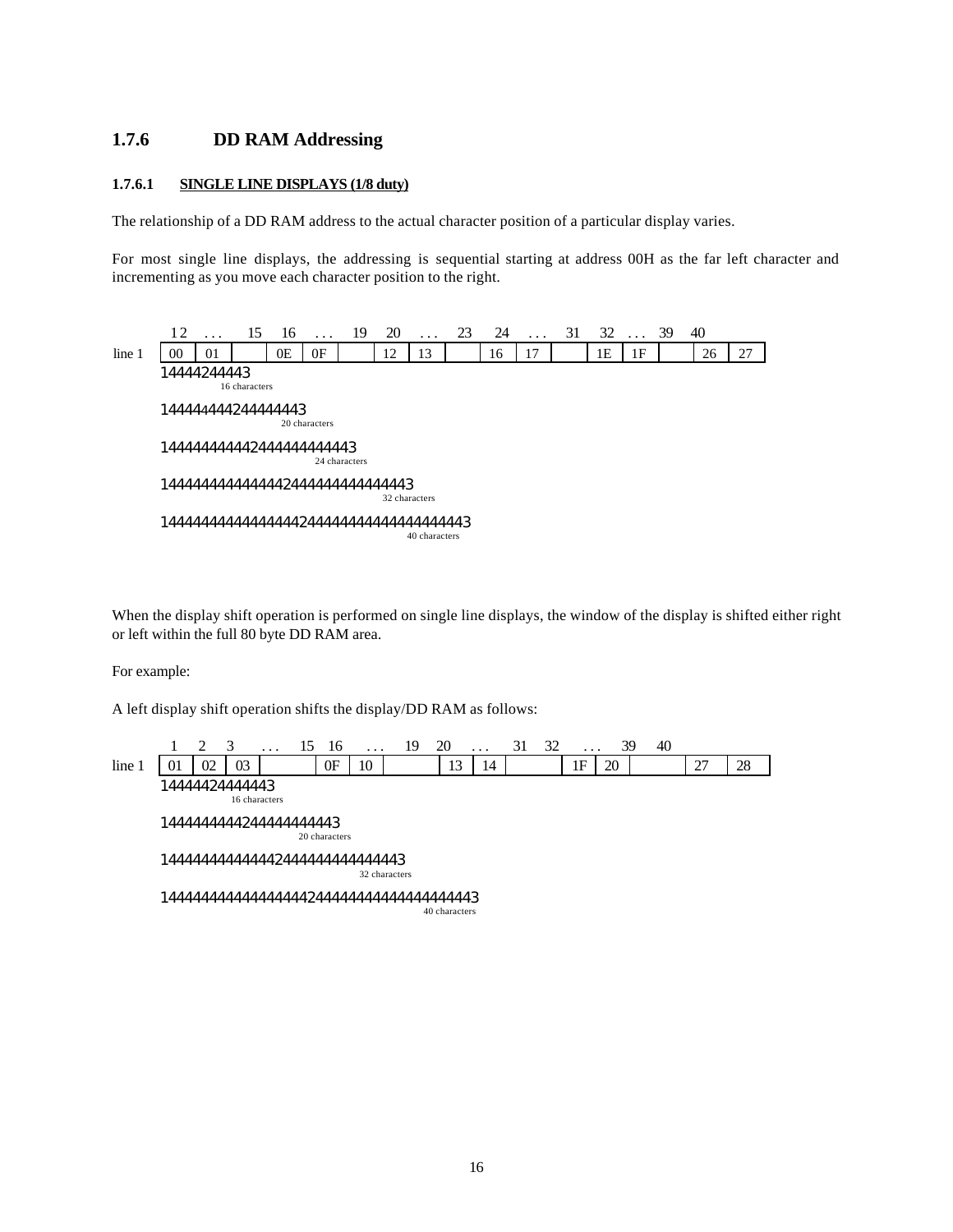#### **1.7.6 DD RAM Addressing**

#### **1.7.6.1 SINGLE LINE DISPLAYS (1/8 duty)**

The relationship of a DD RAM address to the actual character position of a particular display varies.

For most single line displays, the addressing is sequential starting at address 00H as the far left character and incrementing as you move each character position to the right.

12 . . . 15 16 . . . 19 20 . . . 23 24 . . . 31 32 . . . 39 40  $\ln 2$  | 00 | 01 | 0E | 0F | 12 | 13 | 16 | 17 | 1E | 1F | 26 | 27 14444244443 16 characters 144444444244444443 20 characters 144444444442444444444443 24 characters 1444444444444442444444444444443 32 characters 14444444444444444244444444444444444443 40 characters

When the display shift operation is performed on single line displays, the window of the display is shifted either right or left within the full 80 byte DD RAM area.

For example:

A left display shift operation shifts the display/DD RAM as follows:

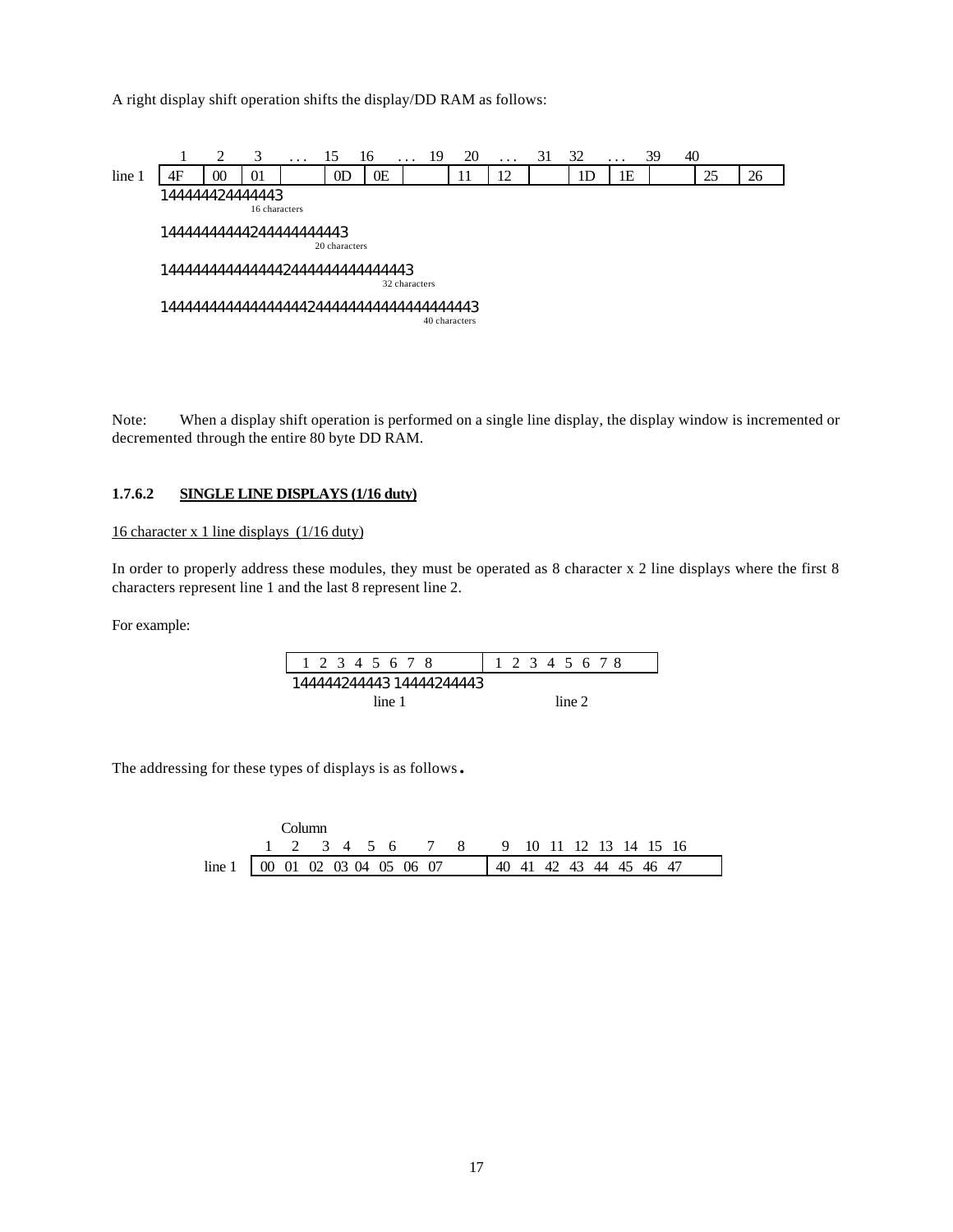A right display shift operation shifts the display/DD RAM as follows:



Note: When a display shift operation is performed on a single line display, the display window is incremented or decremented through the entire 80 byte DD RAM.

#### **1.7.6.2 SINGLE LINE DISPLAYS (1/16 duty)**

#### 16 character x 1 line displays (1/16 duty)

In order to properly address these modules, they must be operated as 8 character x 2 line displays where the first 8 characters represent line 1 and the last 8 represent line 2.

For example:



The addressing for these types of displays is as follows.

|                                          |  | Column. |  |  |                                        |  |  |  |                                     |  |
|------------------------------------------|--|---------|--|--|----------------------------------------|--|--|--|-------------------------------------|--|
|                                          |  |         |  |  | 1 2 3 4 5 6 7 8 9 10 11 12 13 14 15 16 |  |  |  |                                     |  |
| line 1 $\boxed{00}$ 01 02 03 04 05 06 07 |  |         |  |  |                                        |  |  |  | $\parallel$ 40 41 42 43 44 45 46 47 |  |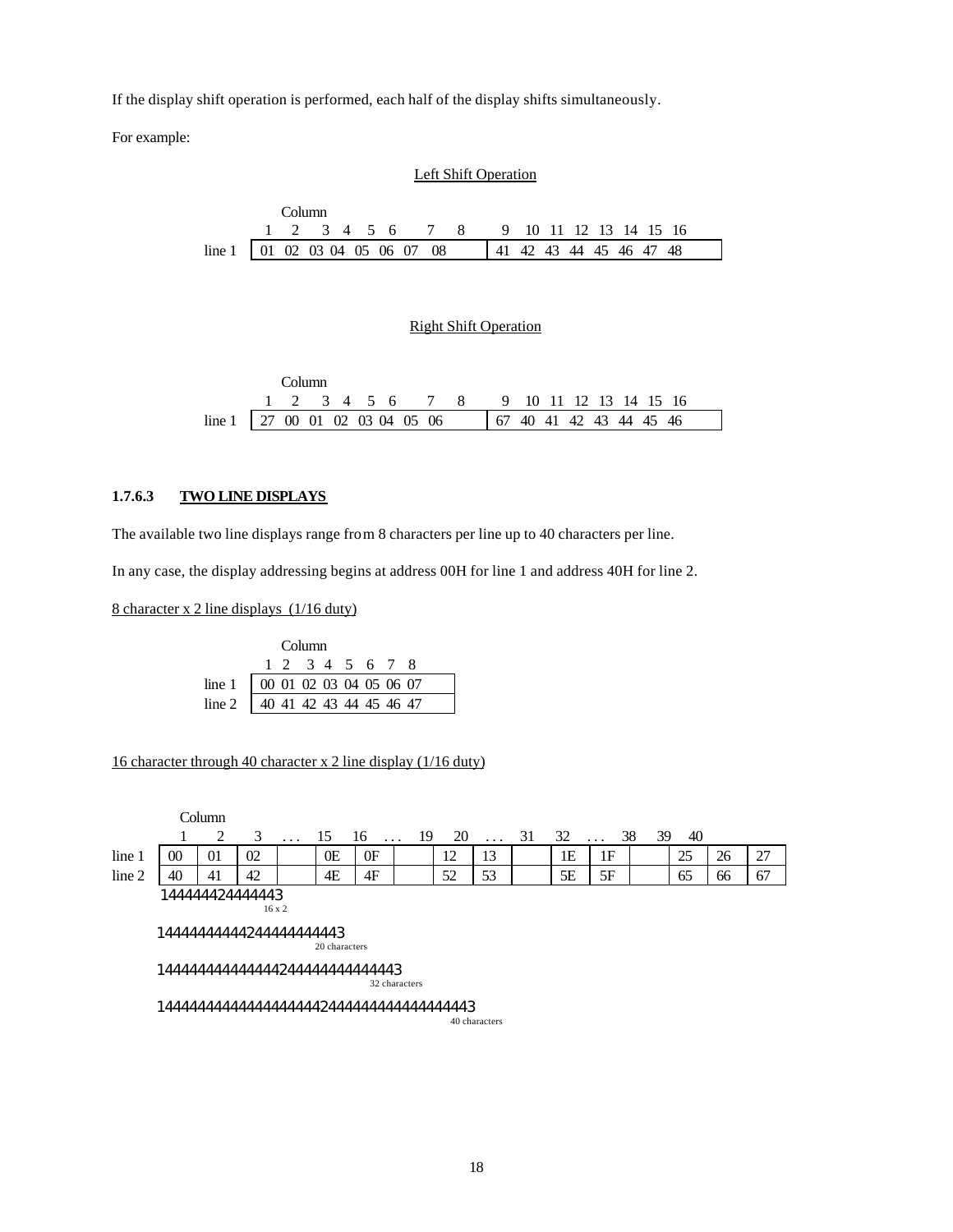If the display shift operation is performed, each half of the display shifts simultaneously.

For example:

#### Left Shift Operation

|                                |  | Column. |  |  |                                        |  |                         |  |  |  |  |
|--------------------------------|--|---------|--|--|----------------------------------------|--|-------------------------|--|--|--|--|
|                                |  |         |  |  | 1 2 3 4 5 6 7 8 9 10 11 12 13 14 15 16 |  |                         |  |  |  |  |
| line 1 01 02 03 04 05 06 07 08 |  |         |  |  |                                        |  | 41 42 43 44 45 46 47 48 |  |  |  |  |

#### Right Shift Operation

|                                  | Column |  |  |  |                                        |  |  |  |  |
|----------------------------------|--------|--|--|--|----------------------------------------|--|--|--|--|
|                                  |        |  |  |  | 1 2 3 4 5 6 7 8 9 10 11 12 13 14 15 16 |  |  |  |  |
| line 1   27 00 01 02 03 04 05 06 |        |  |  |  |                                        |  |  |  |  |

#### **1.7.6.3 TWO LINE DISPLAYS**

The available two line displays range from 8 characters per line up to 40 characters per line.

In any case, the display addressing begins at address 00H for line 1 and address 40H for line 2.

8 character x 2 line displays (1/16 duty)

|                                          |  | Column          |  |  |  |
|------------------------------------------|--|-----------------|--|--|--|
|                                          |  | 1 2 3 4 5 6 7 8 |  |  |  |
| line 1   00 01 02 03 04 05 06 07         |  |                 |  |  |  |
| line 2 $\boxed{40}$ 41 42 43 44 45 46 47 |  |                 |  |  |  |

#### 16 character through 40 character x 2 line display (1/16 duty)

|        |                                        | Column          |               |         |               |                       |               |    |               |    |    |           |          |    |    |    |
|--------|----------------------------------------|-----------------|---------------|---------|---------------|-----------------------|---------------|----|---------------|----|----|-----------|----------|----|----|----|
|        |                                        | 2               | 3             | $\cdot$ | 15            | 16<br>$\cdot$ $\cdot$ | 19            | 20 | $\cdots$      | 31 | 32 | $\ddotsc$ | 38<br>39 | 40 |    |    |
| line 1 | 00                                     | 01              | 02            |         | 0E            | 0F                    |               | 12 | 13            |    | 1E | 1F        |          | 25 | 26 | 27 |
| line 2 | 40                                     | 41              | 42            |         | 4E            | 4F                    |               | 52 | 53            |    | 5E | 5F        |          | 65 | 66 | 67 |
|        | 1444444444244444444443                 | 144444424444443 | $16 \times 2$ |         | 20 characters |                       |               |    |               |    |    |           |          |    |    |    |
|        | 14444444444444244444444444443          |                 |               |         |               |                       | 32 characters |    |               |    |    |           |          |    |    |    |
|        | 14444444444444444444444444444444444443 |                 |               |         |               |                       |               |    | 40 characters |    |    |           |          |    |    |    |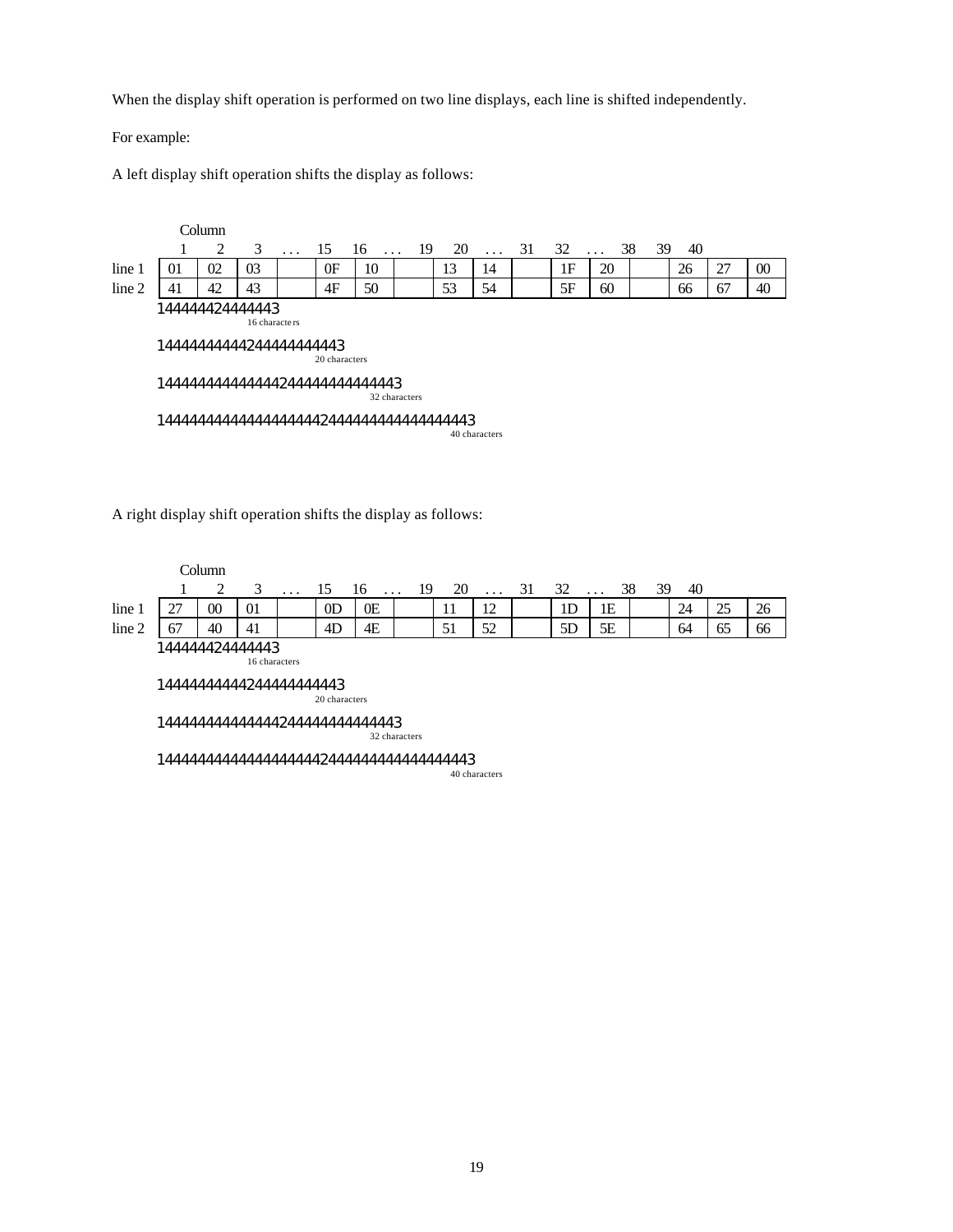When the display shift operation is performed on two line displays, each line is shifted independently.

For example:

A left display shift operation shifts the display as follows:

|        |                         | Column         |               |          |               |                                |               |    |               |    |    |          |          |    |    |        |
|--------|-------------------------|----------------|---------------|----------|---------------|--------------------------------|---------------|----|---------------|----|----|----------|----------|----|----|--------|
|        |                         | 2              | 3             | $\cdots$ | 15            | 16<br>$\cdots$                 | 19            | 20 | $\ldots$      | 31 | 32 | $\ddots$ | 38<br>39 | 40 |    |        |
| line 1 | 01                      | 02             | 03            |          | 0F            | 10                             |               | 13 | 14            |    | 1F | 20       |          | 26 | 27 | $00\,$ |
| line 2 | 41                      | 42             | 43            |          | 4F            | 50                             |               | 53 | 54            |    | 5F | 60       |          | 66 | 67 | 40     |
|        | 14444444444244444444443 | 44444424444443 | 16 characters |          | 20 characters |                                |               |    |               |    |    |          |          |    |    |        |
|        |                         |                |               |          |               | 444444444444442444444444444443 | 32 characters |    |               |    |    |          |          |    |    |        |
|        |                         |                |               |          |               |                                |               |    | 40 characters |    |    |          |          |    |    |        |

A right display shift operation shifts the display as follows:

|                                                                                                                           |                                                                                                              | Column |    |          |                |    |  |    |          |    |    |    |    |    |    |
|---------------------------------------------------------------------------------------------------------------------------|--------------------------------------------------------------------------------------------------------------|--------|----|----------|----------------|----|--|----|----------|----|----|----|----|----|----|
|                                                                                                                           |                                                                                                              | 2      | 3  | $\cdots$ | 15             |    |  | 20 | $\cdots$ | 31 | 32 |    | 40 |    |    |
| line 1                                                                                                                    | 27                                                                                                           | $00\,$ | 01 |          | 0 <sub>D</sub> | 0E |  | 11 | 12       |    | 1D | 1E | 24 | 25 | 26 |
| line 2                                                                                                                    | 67                                                                                                           | 40     | 41 |          | 4D             | 4E |  | 51 | 52       |    | 5D | 5E | 64 | 65 | 66 |
|                                                                                                                           |                                                                                                              |        |    |          |                |    |  |    |          |    |    |    |    |    |    |
|                                                                                                                           | 144444424444443<br>16 characters<br>1444444444244444444443<br>20 characters<br>14444444444444244444444444443 |        |    |          |                |    |  |    |          |    |    |    |    |    |    |
| 38<br>39<br>16<br>-19<br>$\cdots$<br>$\cdots$<br>32 characters<br>14444444444444444442444444444444444443<br>40 characters |                                                                                                              |        |    |          |                |    |  |    |          |    |    |    |    |    |    |
|                                                                                                                           |                                                                                                              |        |    |          |                |    |  |    |          |    |    |    |    |    |    |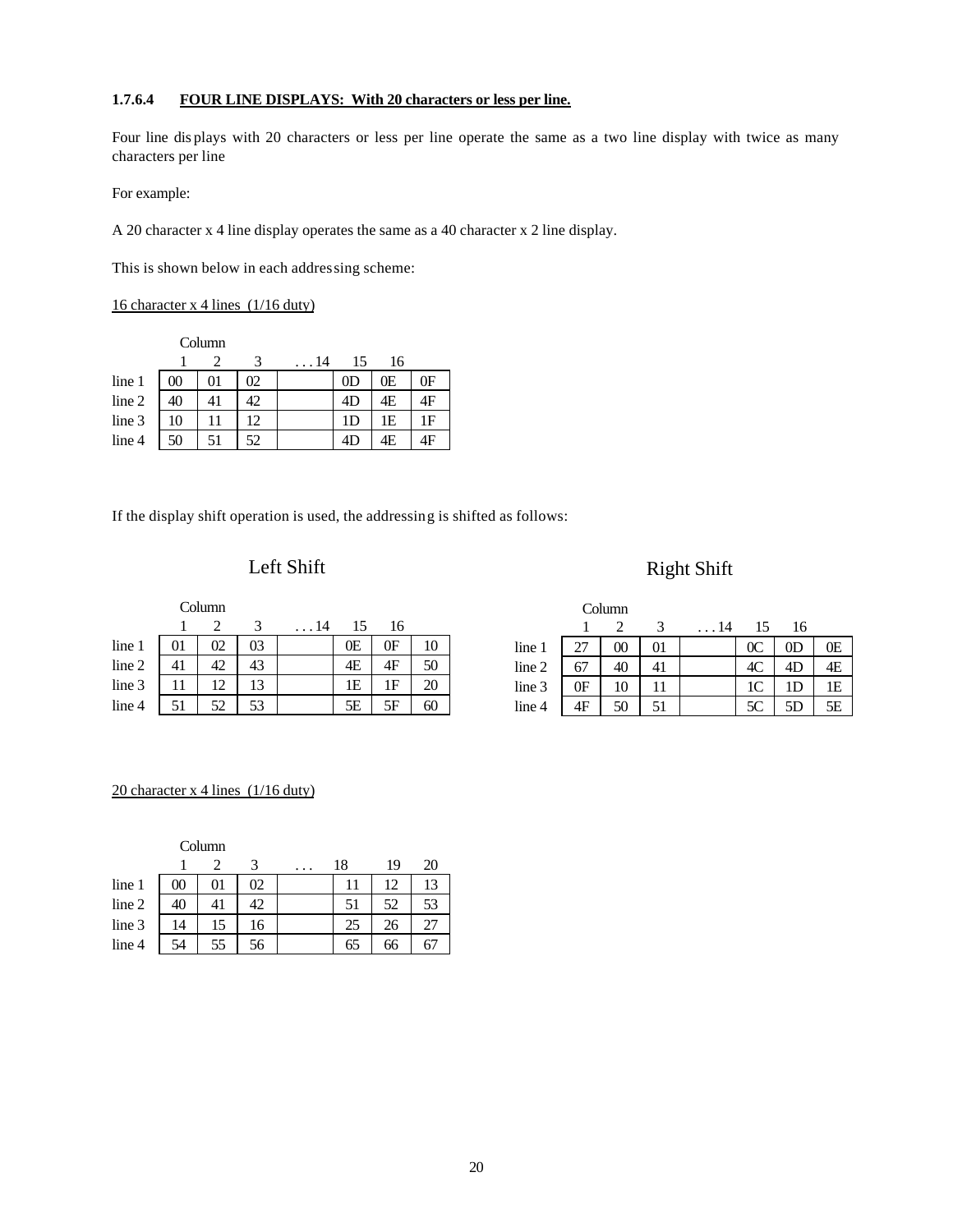#### **1.7.6.4 FOUR LINE DISPLAYS: With 20 characters or less per line.**

Four line dis plays with 20 characters or less per line operate the same as a two line display with twice as many characters per line

For example:

A 20 character x 4 line display operates the same as a 40 character x 2 line display.

This is shown below in each addressing scheme:

#### 16 character x 4 lines (1/16 duty)

|        |        | Column  |    |      |                |    |    |
|--------|--------|---------|----|------|----------------|----|----|
|        |        |         | 3  | . 14 | 15             | 16 |    |
| line 1 | $00\,$ | $_{01}$ | 02 |      | 0 <sub>D</sub> | 0E | 0F |
| line 2 | 40     | 41      | 42 |      | 4D             | 4E | 4F |
| line 3 | 10     | 11      | 12 |      | 1D             | 1E | 1F |
| line 4 | 50     | 51      | 52 |      | 4D             | 4Ε | 4F |

If the display shift operation is used, the addressing is shifted as follows:

### Left Shift

### Right Shift

|        |    | Column |    |      |    |    |    |
|--------|----|--------|----|------|----|----|----|
|        |    |        | 3  | . 14 | 15 | 16 |    |
| line 1 | 01 | 02     | 03 |      | 0E | 0F | 10 |
| line 2 | 41 | 42     | 43 |      | 4E | 4F | 50 |
| line 3 | 11 | 12     | 13 |      | 1E | 1F | 20 |
| line 4 | 51 | 52     | 53 |      | 5E | 5F | OU |

|        |    | Column |    |             |                |                |    |
|--------|----|--------|----|-------------|----------------|----------------|----|
|        |    |        |    | $\ldots$ 14 | 15             | 16             |    |
| line 1 | 27 | 00     | 01 |             | 0 <sup>C</sup> | 0 <sub>D</sub> | 0E |
| line 2 | 67 | 40     | 41 |             | 4C             | 4D             | 4E |
| line 3 | 0F | 10     | 11 |             | 1C             | 1D             | 1E |
| line 4 | 4F | 50     | 51 |             | 5C             | 5D             | 5Е |

#### 20 character x 4 lines (1/16 duty)

Column

|        |    |    |    | $\cdot$ | 18 | 19 | 20 |
|--------|----|----|----|---------|----|----|----|
| line 1 | 00 | 01 | 02 |         |    | 12 | 13 |
| line 2 | 40 | 41 | 42 |         | 51 | 52 | 53 |
| line 3 | 14 | 15 | 16 |         | 25 | 26 | 27 |
| line 4 | 54 | 55 | 56 |         | 65 | 66 | 67 |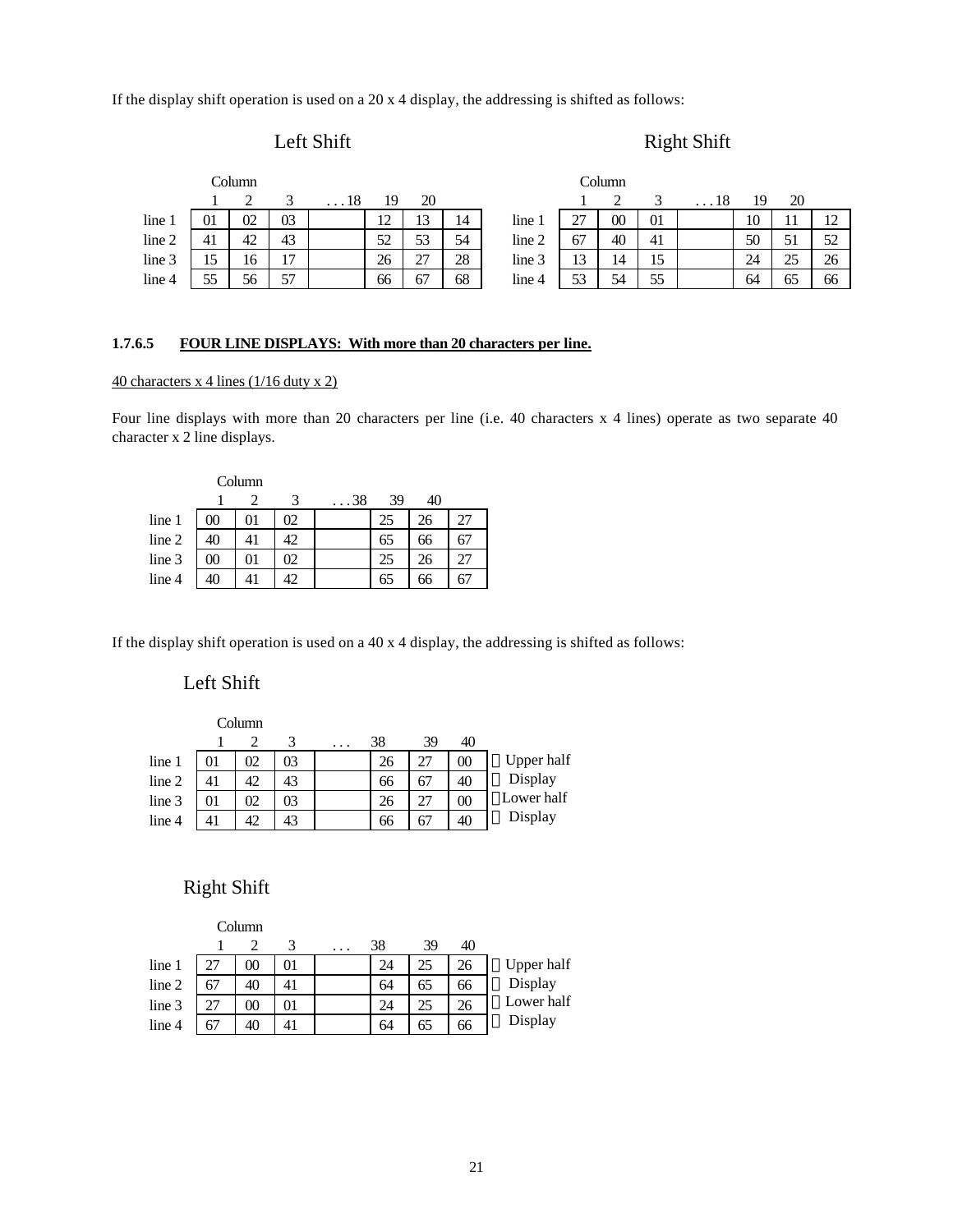If the display shift operation is used on a 20 x 4 display, the addressing is shifted as follows:

#### Left Shift

```
Right Shift
```

|        |    | Column |    |            |    |    |    |        |    | Column |    |            |    |    |                |
|--------|----|--------|----|------------|----|----|----|--------|----|--------|----|------------|----|----|----------------|
|        |    |        |    | $\dots$ 18 | 19 | 20 |    |        |    |        |    | $\dots 18$ |    | 20 |                |
| line 1 | 01 | 02     | 03 |            | 12 | 13 | 14 | line 1 | 27 | $00\,$ | 01 |            | 10 | 11 | $\overline{ }$ |
| line 2 | 41 | 42     | 43 |            | 52 | 53 | 54 | line 2 | 67 | 40     | 41 |            | 50 | 51 | 52             |
| line 3 | 15 | 16     | 17 |            | 26 | 27 | 28 | line 3 | 13 | 14     | 15 |            | 24 | 25 | 26             |
| line 4 | 55 | 56     | 57 |            | 66 | 67 | 68 | line 4 | 53 | 54     | 55 |            | 64 | 65 | 66             |

#### **1.7.6.5 FOUR LINE DISPLAYS: With more than 20 characters per line.**

#### $\frac{40 \text{ characters } x \text{ 4 lines } (1/16 \text{ duty } x \text{ 2})}{2}$

Four line displays with more than 20 characters per line (i.e. 40 characters x 4 lines) operate as two separate 40 character x 2 line displays.

|        |        | Column |    |      |    |    |    |
|--------|--------|--------|----|------|----|----|----|
|        |        |        | 3  | . 38 | 39 | 40 |    |
| line 1 | 00     | 01     | 02 |      | 25 | 26 | 27 |
| line 2 | 40     | 41     | 42 |      | 65 | 66 | 67 |
| line 3 | $00\,$ | 01     | 02 |      | 25 | 26 | 27 |
| line 4 | 40     |        | 42 |      | 62 | 66 | b. |

If the display shift operation is used on a 40 x 4 display, the addressing is shifted as follows:

#### Left Shift

|        |    | Column |    |    |    |    |            |
|--------|----|--------|----|----|----|----|------------|
|        |    |        | 3  | 38 | 39 | 40 |            |
| line 1 | 01 | 02     | 03 | 26 | 27 | 00 | Upper half |
| line 2 | 41 | 42     | 43 | 66 | 67 | 40 | Display    |
| line 3 | 01 | 02     | 03 | 26 | 27 | 00 | Lower half |
| line 4 |    | 42     | 43 | 66 | 67 | 40 | Display    |

#### Right Shift

|        |    | Column |    |   |    |    |    |            |
|--------|----|--------|----|---|----|----|----|------------|
|        |    |        | 3  | . | 38 | 39 | 40 |            |
| line 1 |    | 00     | 01 |   | 24 | 25 | 26 | Upper half |
| line 2 | 67 | 40     | 41 |   | 64 | 65 | 66 | Display    |
| line 3 | 27 | $00\,$ | 01 |   | 24 | 25 | 26 | Lower half |
| line 4 |    | 40     | 41 |   | 64 | 65 | 66 | Display    |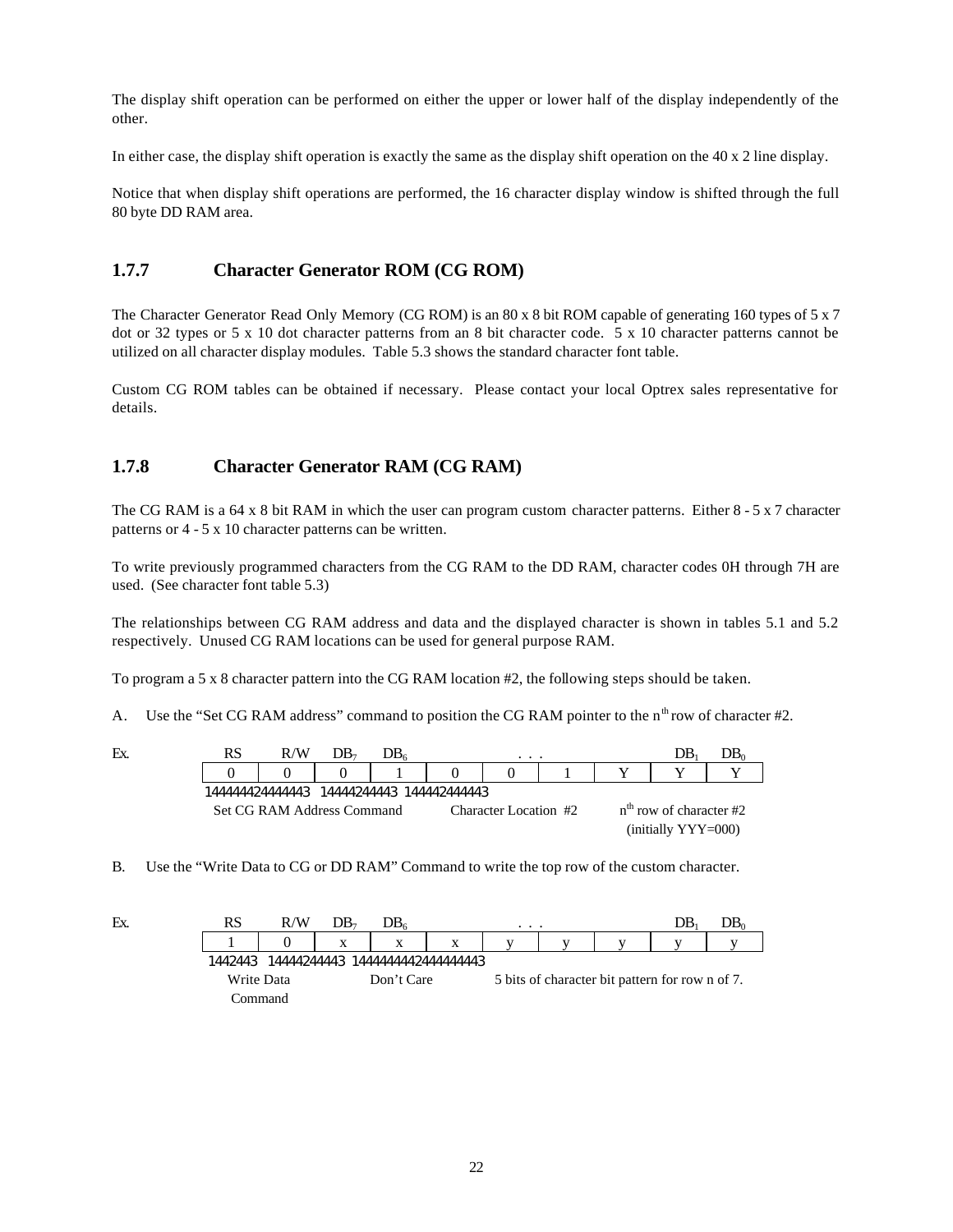The display shift operation can be performed on either the upper or lower half of the display independently of the other.

In either case, the display shift operation is exactly the same as the display shift operation on the 40 x 2 line display.

Notice that when display shift operations are performed, the 16 character display window is shifted through the full 80 byte DD RAM area.

#### **1.7.7 Character Generator ROM (CG ROM)**

The Character Generator Read Only Memory (CG ROM) is an 80 x 8 bit ROM capable of generating 160 types of 5 x 7 dot or 32 types or 5 x 10 dot character patterns from an 8 bit character code. 5 x 10 character patterns cannot be utilized on all character display modules. Table 5.3 shows the standard character font table.

Custom CG ROM tables can be obtained if necessary. Please contact your local Optrex sales representative for details.

#### **1.7.8 Character Generator RAM (CG RAM)**

The CG RAM is a 64 x 8 bit RAM in which the user can program custom character patterns. Either 8 - 5 x 7 character patterns or 4 - 5 x 10 character patterns can be written.

To write previously programmed characters from the CG RAM to the DD RAM, character codes 0H through 7H are used. (See character font table 5.3)

The relationships between CG RAM address and data and the displayed character is shown in tables 5.1 and 5.2 respectively. Unused CG RAM locations can be used for general purpose RAM.

To program a 5 x 8 character pattern into the CG RAM location #2, the following steps should be taken.

A. Use the "Set CG RAM address" command to position the CG RAM pointer to the  $n^{\text{th}}$  row of character #2.

| Ex. | R/W                        | DB- | DB. | $\cdot$ $\cdot$ $\cdot$ |                           | DB                                             |  |
|-----|----------------------------|-----|-----|-------------------------|---------------------------|------------------------------------------------|--|
|     |                            |     |     |                         |                           |                                                |  |
|     |                            |     |     |                         |                           |                                                |  |
|     | Set CG RAM Address Command |     |     | Character Location #2   | $nth$ row of character #2 |                                                |  |
|     |                            |     |     |                         |                           | $\left(\text{initially } YY \times 000\right)$ |  |

B. Use the "Write Data to CG or DD RAM" Command to write the top row of the custom character.

| Ex. | RS         | R/W       | DB- | DB.        |                                 | $\cdot$ $\cdot$ $\cdot$ |  | DB⊹                                             | DB0 |
|-----|------------|-----------|-----|------------|---------------------------------|-------------------------|--|-------------------------------------------------|-----|
|     |            |           | X   | X          | X                               |                         |  |                                                 |     |
|     | 1442443    |           |     |            | 14444244443 1444444442444444443 |                         |  |                                                 |     |
|     | Write Data |           |     | Don't Care |                                 |                         |  | 5 bits of character bit pattern for row n of 7. |     |
|     |            | Command . |     |            |                                 |                         |  |                                                 |     |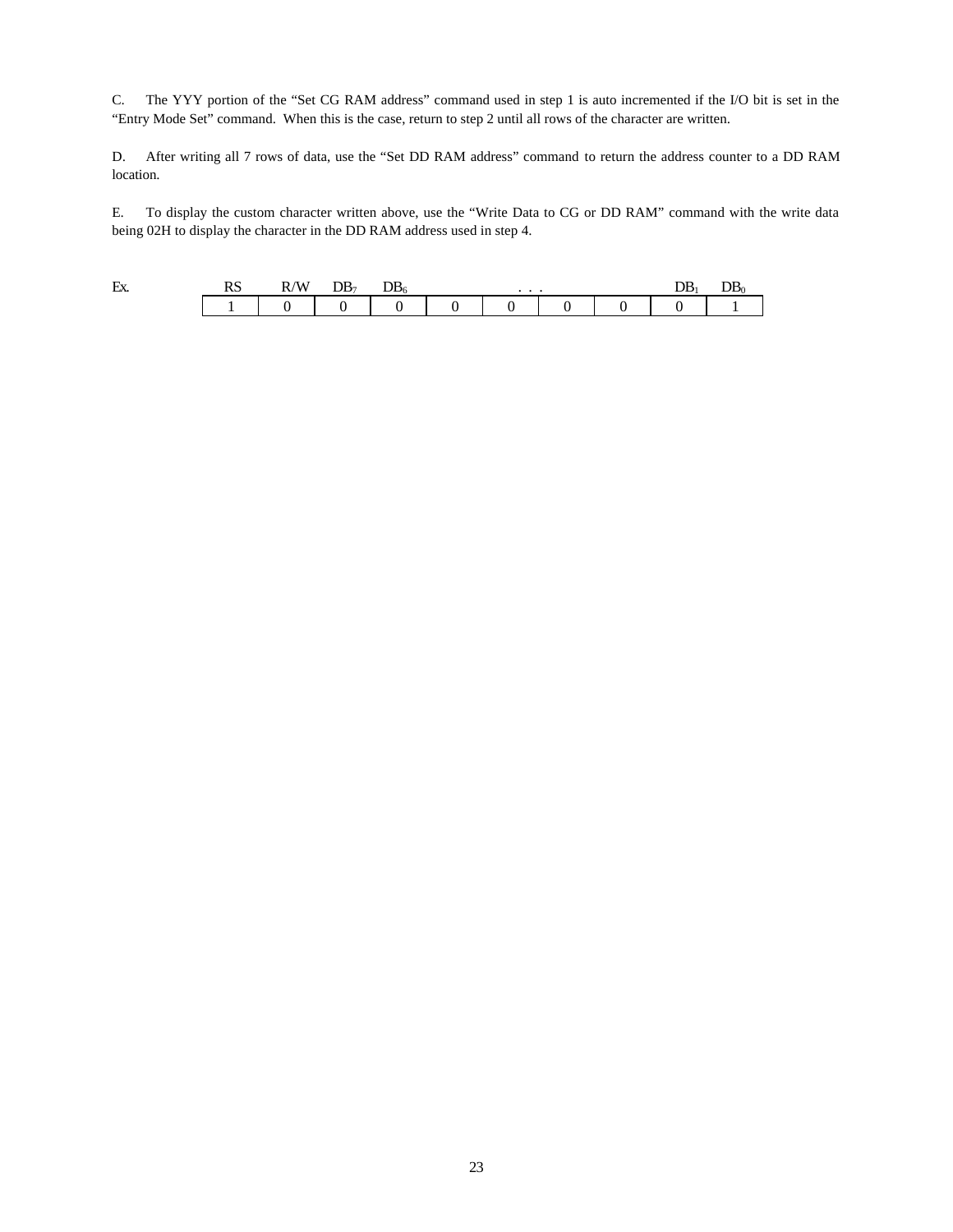C. The YYY portion of the "Set CG RAM address" command used in step 1 is auto incremented if the I/O bit is set in the "Entry Mode Set" command. When this is the case, return to step 2 until all rows of the character are written.

D. After writing all 7 rows of data, use the "Set DD RAM address" command to return the address counter to a DD RAM location.

E. To display the custom character written above, use the "Write Data to CG or DD RAM" command with the write data being 02H to display the character in the DD RAM address used in step 4.

| Ex. | RS | R/W | DB <sub>7</sub> | $DB_6$ | . |  | DB <sub>1</sub> | DB0. |
|-----|----|-----|-----------------|--------|---|--|-----------------|------|
|     |    |     |                 |        |   |  |                 |      |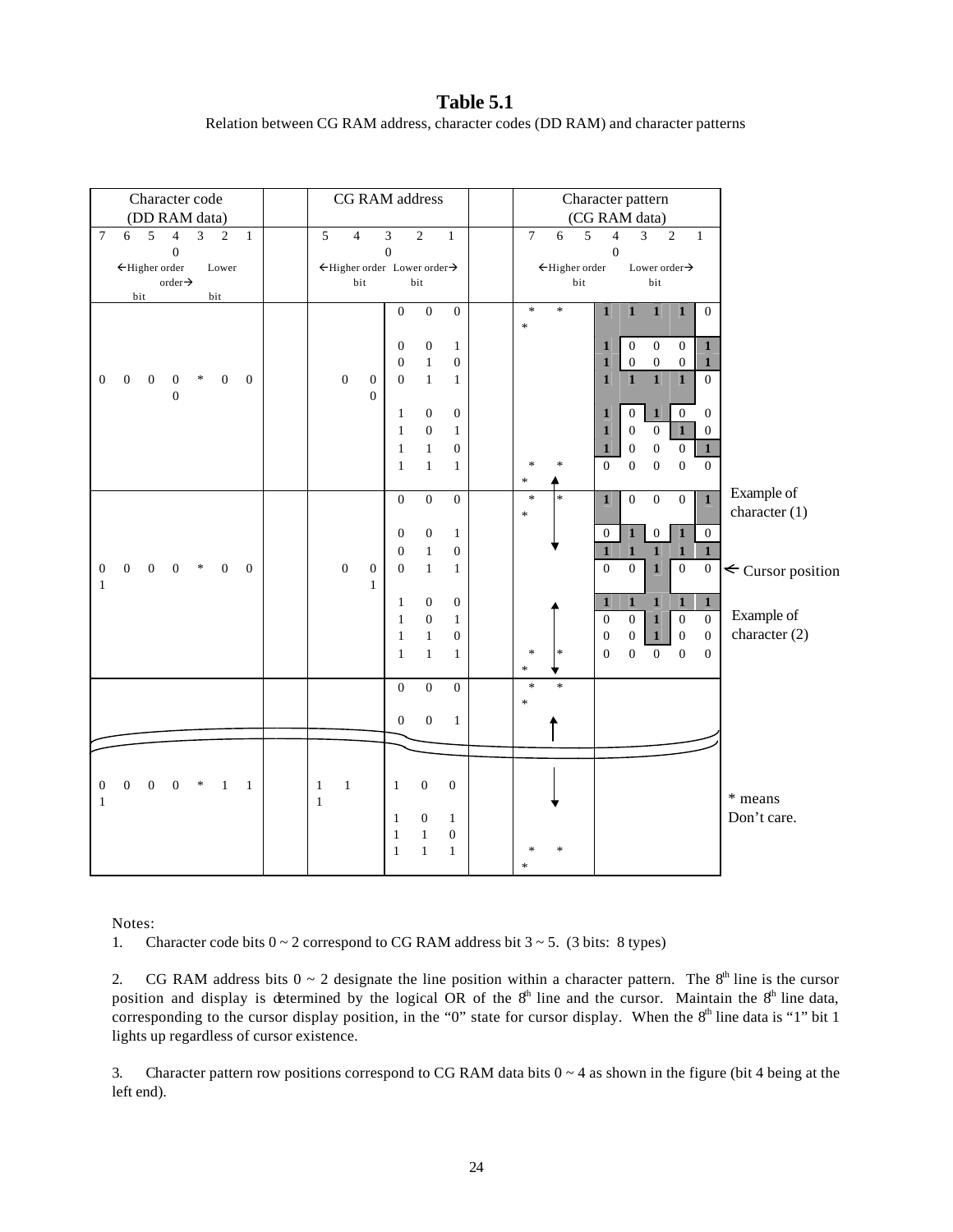**Table 5.1** Relation between CG RAM address, character codes (DD RAM) and character patterns

| Character code                                                                                                             | CG RAM address                                                                       | Character pattern                                                                                         |                        |
|----------------------------------------------------------------------------------------------------------------------------|--------------------------------------------------------------------------------------|-----------------------------------------------------------------------------------------------------------|------------------------|
| (DD RAM data)                                                                                                              |                                                                                      | (CG RAM data)                                                                                             |                        |
| $7\phantom{.0}$<br>5<br>$\overline{3}$<br>$\overline{c}$<br>$\mathbf{1}$<br>6<br>$\overline{4}$                            | 5<br>$\sqrt{2}$<br>$\overline{4}$<br>$\mathfrak{Z}$<br>$\mathbf{1}$                  | $\overline{7}$<br>$\overline{2}$<br>5<br>$\overline{3}$<br>6<br>$\overline{4}$<br>$\mathbf{1}$            |                        |
| $\boldsymbol{0}$                                                                                                           | $\boldsymbol{0}$                                                                     | $\boldsymbol{0}$                                                                                          |                        |
| ←Higher order<br>Lower<br>order $\rightarrow$                                                                              | ←Higher order Lower order→<br>bit<br>bit                                             | ←Higher order<br>Lower order $\rightarrow$<br>bit<br>bit                                                  |                        |
| bit<br>bit                                                                                                                 |                                                                                      |                                                                                                           |                        |
|                                                                                                                            | $\boldsymbol{0}$<br>$\boldsymbol{0}$<br>$\boldsymbol{0}$                             | $\ast$<br>$\ast$<br>$\mathbf 1$<br>$\mathbf 1$<br>$\mathbf{1}$<br>$\boldsymbol{0}$<br>$\mathbf 1$         |                        |
|                                                                                                                            |                                                                                      | $\ast$                                                                                                    |                        |
|                                                                                                                            | $\boldsymbol{0}$<br>$\boldsymbol{0}$<br>$\mathbf{1}$                                 | $\boldsymbol{0}$<br>$\boldsymbol{0}$<br>$\boldsymbol{0}$<br>$\mathbf{1}$<br>$\mathbf{1}$                  |                        |
|                                                                                                                            | $\mathbf{1}$<br>$\boldsymbol{0}$<br>$\boldsymbol{0}$                                 | $\boldsymbol{0}$<br>$\boldsymbol{0}$<br>$\boldsymbol{0}$<br>$\mathbf{1}$<br>$\mathbf{1}$                  |                        |
| $\boldsymbol{0}$<br>$\boldsymbol{0}$<br>$\ast$<br>$\boldsymbol{0}$<br>$\mathbf{0}$<br>$\mathbf{0}$<br>$\overline{0}$       | $\boldsymbol{0}$<br>$\mathbf{0}$<br>$\mathbf{1}$<br>$\mathbf{0}$<br>$\mathbf{1}$     | $\overline{\mathbf{1}}$<br>$\mathbf{1}$<br>$\overline{0}$<br>$\mathbf{1}$<br>$\mathbf{1}$                 |                        |
| $\overline{0}$                                                                                                             | $\mathbf{0}$                                                                         |                                                                                                           |                        |
|                                                                                                                            |                                                                                      |                                                                                                           |                        |
|                                                                                                                            | $\boldsymbol{0}$<br>$\boldsymbol{0}$<br>$\mathbf{1}$                                 | $\boldsymbol{0}$<br>$\boldsymbol{0}$<br>$\boldsymbol{0}$<br>$\mathbf{1}$<br>$\mathbf{1}$                  |                        |
|                                                                                                                            | $\boldsymbol{0}$<br>$\mathbf{1}$<br>$\mathbf{1}$                                     | $\mathbf{1}$<br>$\boldsymbol{0}$<br>$\boldsymbol{0}$<br>$\mathbf{1}$<br>$\boldsymbol{0}$                  |                        |
|                                                                                                                            | $\,1$<br>$\boldsymbol{0}$<br>$\mathbf{1}$                                            | $\boldsymbol{0}$<br>$\mathbf{1}$<br>$\boldsymbol{0}$<br>$\boldsymbol{0}$<br>$\mathbf{1}$                  |                        |
|                                                                                                                            | $\mathbf{1}$<br>$\mathbf{1}$<br>$\mathbf{1}$                                         | $\boldsymbol{0}$<br>$\ast$<br>$\overline{0}$<br>$\boldsymbol{0}$<br>$\mathbf{0}$<br>$\boldsymbol{0}$<br>* |                        |
|                                                                                                                            |                                                                                      | $\ast$                                                                                                    |                        |
|                                                                                                                            | $\overline{0}$<br>$\boldsymbol{0}$<br>$\boldsymbol{0}$                               | $\overline{1}$<br>$\overline{0}$<br>$\overline{0}$<br>$\overline{0}$<br>$\ast$<br>$\mathbf{1}$<br>$\ast$  | Example of             |
|                                                                                                                            |                                                                                      | $\ast$                                                                                                    | character (1)          |
|                                                                                                                            | $\boldsymbol{0}$<br>$\boldsymbol{0}$<br>$\mathbf{1}$                                 | $\mathbf{1}$<br>$\mathbf 1$<br>$\overline{0}$<br>$\boldsymbol{0}$<br>$\boldsymbol{0}$                     |                        |
|                                                                                                                            | $\boldsymbol{0}$<br>$\boldsymbol{0}$<br>$\mathbf{1}$                                 | $\mathbf{1}$<br>$\mathbf{1}$<br>$\mathbf{1}$<br>$\mathbf{1}$<br>$\mathbf{1}$                              |                        |
| $\boldsymbol{0}$<br>$\boldsymbol{0}$<br>$\ast$<br>$\boldsymbol{0}$<br>$\boldsymbol{0}$<br>$\mathbf{0}$<br>$\boldsymbol{0}$ | $\boldsymbol{0}$<br>$\boldsymbol{0}$<br>$\mathbf{0}$<br>$\mathbf{1}$<br>$\mathbf{1}$ | $\boldsymbol{0}$<br>$\boldsymbol{0}$<br>$\boldsymbol{0}$<br>$\mathbf{1}$<br>$\boldsymbol{0}$              | $\leq$ Cursor position |
| $\mathbf{1}$                                                                                                               | $\mathbf{1}$                                                                         |                                                                                                           |                        |
|                                                                                                                            | $\mathbf{1}$<br>$\boldsymbol{0}$<br>$\boldsymbol{0}$                                 | $\mathbf{1}$<br>$\mathbf{1}$<br>$\mathbf{1}$<br>$\mathbf{1}$<br>$\mathbf{1}$                              |                        |
|                                                                                                                            | $\boldsymbol{0}$<br>$\mathbf{1}$<br>$\mathbf{1}$                                     | $\overline{0}$<br>$\overline{0}$<br>$\boldsymbol{0}$<br>$\boldsymbol{0}$<br>$\mathbf{1}$                  | Example of             |
|                                                                                                                            | $\mathbf 1$<br>$\boldsymbol{0}$<br>$\mathbf{1}$                                      | $\boldsymbol{0}$<br>$\boldsymbol{0}$<br>$\boldsymbol{0}$<br>$\boldsymbol{0}$<br>$\mathbf{1}$              | character (2)          |
|                                                                                                                            | $\mathbf{1}$<br>$\mathbf{1}$<br>$\mathbf{1}$                                         | $\boldsymbol{0}$<br>$\boldsymbol{0}$<br>$\ast$<br>*<br>$\mathbf{0}$<br>$\mathbf{0}$<br>$\mathbf{0}$       |                        |
|                                                                                                                            |                                                                                      | $\ast$                                                                                                    |                        |
|                                                                                                                            | $\boldsymbol{0}$<br>$\boldsymbol{0}$<br>$\boldsymbol{0}$                             | $\ast$<br>$\ast$                                                                                          |                        |
|                                                                                                                            |                                                                                      | $\ast$                                                                                                    |                        |
|                                                                                                                            | $\boldsymbol{0}$<br>$\boldsymbol{0}$<br>$\mathbf{1}$                                 |                                                                                                           |                        |
|                                                                                                                            |                                                                                      |                                                                                                           |                        |
|                                                                                                                            |                                                                                      |                                                                                                           |                        |
|                                                                                                                            |                                                                                      |                                                                                                           |                        |
| $\boldsymbol{0}$<br>$\boldsymbol{0}$<br>$\boldsymbol{0}$<br>$\boldsymbol{0}$<br>$\ast$<br>$\mathbf{1}$<br>$\overline{1}$   | $\mathbf 1$<br>$\boldsymbol{0}$<br>$\boldsymbol{0}$<br>$\mathbf{1}$<br>$\mathbf{1}$  |                                                                                                           |                        |
| $\mathbf{1}$                                                                                                               | $\mathbf{1}$                                                                         |                                                                                                           | * means                |
|                                                                                                                            | $\boldsymbol{0}$<br>$\mathbf{1}$                                                     |                                                                                                           | Don't care.            |
|                                                                                                                            | $\mathbf{1}$<br>$\mathbf{1}$<br>$\mathbf{1}$<br>$\boldsymbol{0}$                     |                                                                                                           |                        |
|                                                                                                                            | $\mathbf{1}$<br>$\mathbf{1}$<br>$\mathbf{1}$                                         | ∗<br>*                                                                                                    |                        |
|                                                                                                                            |                                                                                      | $\ast$                                                                                                    |                        |
|                                                                                                                            |                                                                                      |                                                                                                           |                        |

Notes:

1. Character code bits  $0 \sim 2$  correspond to CG RAM address bit  $3 \sim 5$ . (3 bits: 8 types)

2. CG RAM address bits  $0 \sim 2$  designate the line position within a character pattern. The  $8<sup>th</sup>$  line is the cursor position and display is determined by the logical OR of the  $8<sup>th</sup>$  line and the cursor. Maintain the  $8<sup>th</sup>$  line data, corresponding to the cursor display position, in the "0" state for cursor display. When the 8<sup>th</sup> line data is "1" bit 1 lights up regardless of cursor existence.

3. Character pattern row positions correspond to CG RAM data bits  $0 \sim 4$  as shown in the figure (bit 4 being at the left end).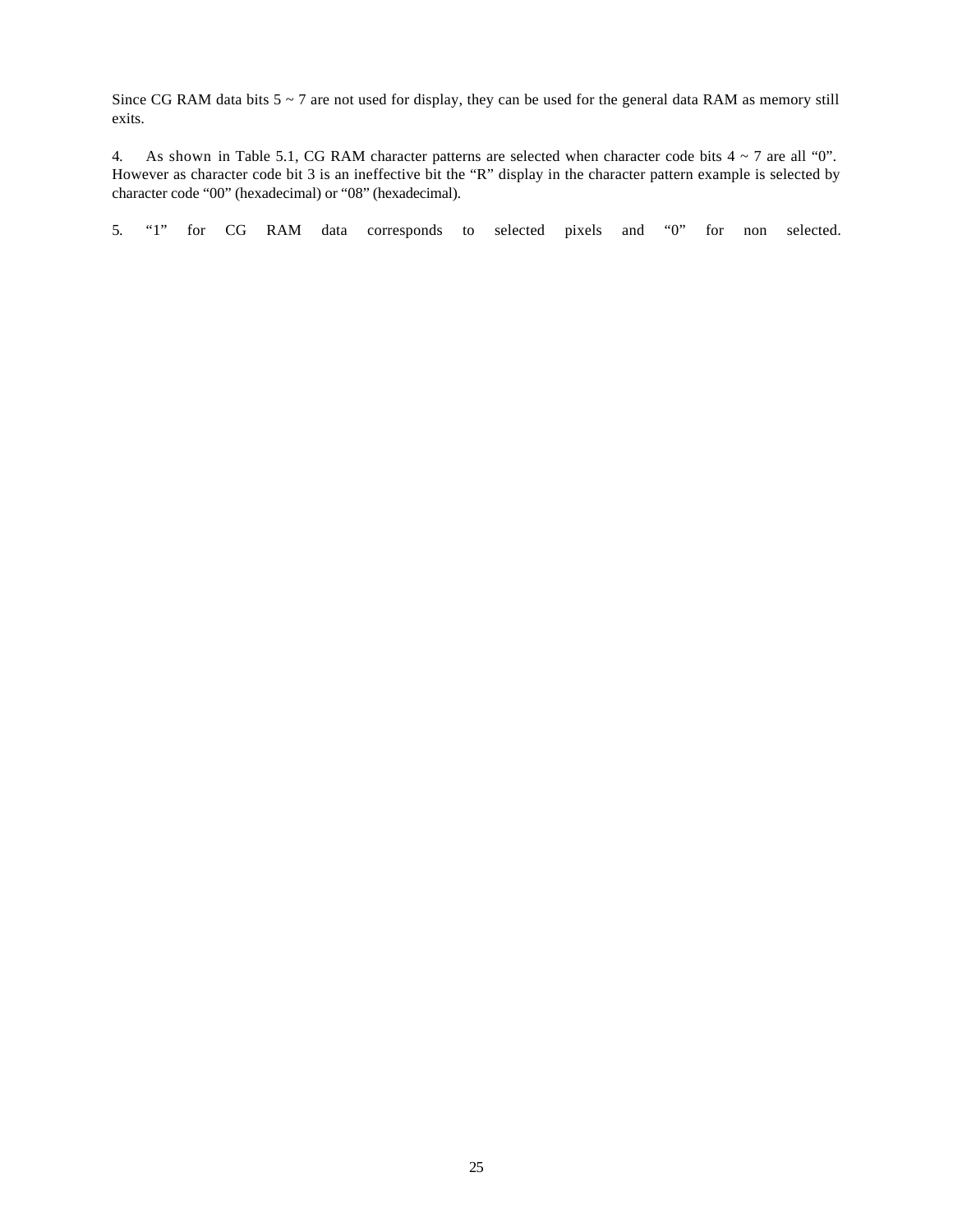Since CG RAM data bits 5 ~ 7 are not used for display, they can be used for the general data RAM as memory still exits.

4. As shown in Table 5.1, CG RAM character patterns are selected when character code bits 4 ~ 7 are all "0". However as character code bit 3 is an ineffective bit the "R" display in the character pattern example is selected by character code "00" (hexadecimal) or "08" (hexadecimal).

5. "1" for CG RAM data corresponds to selected pixels and "0" for non selected.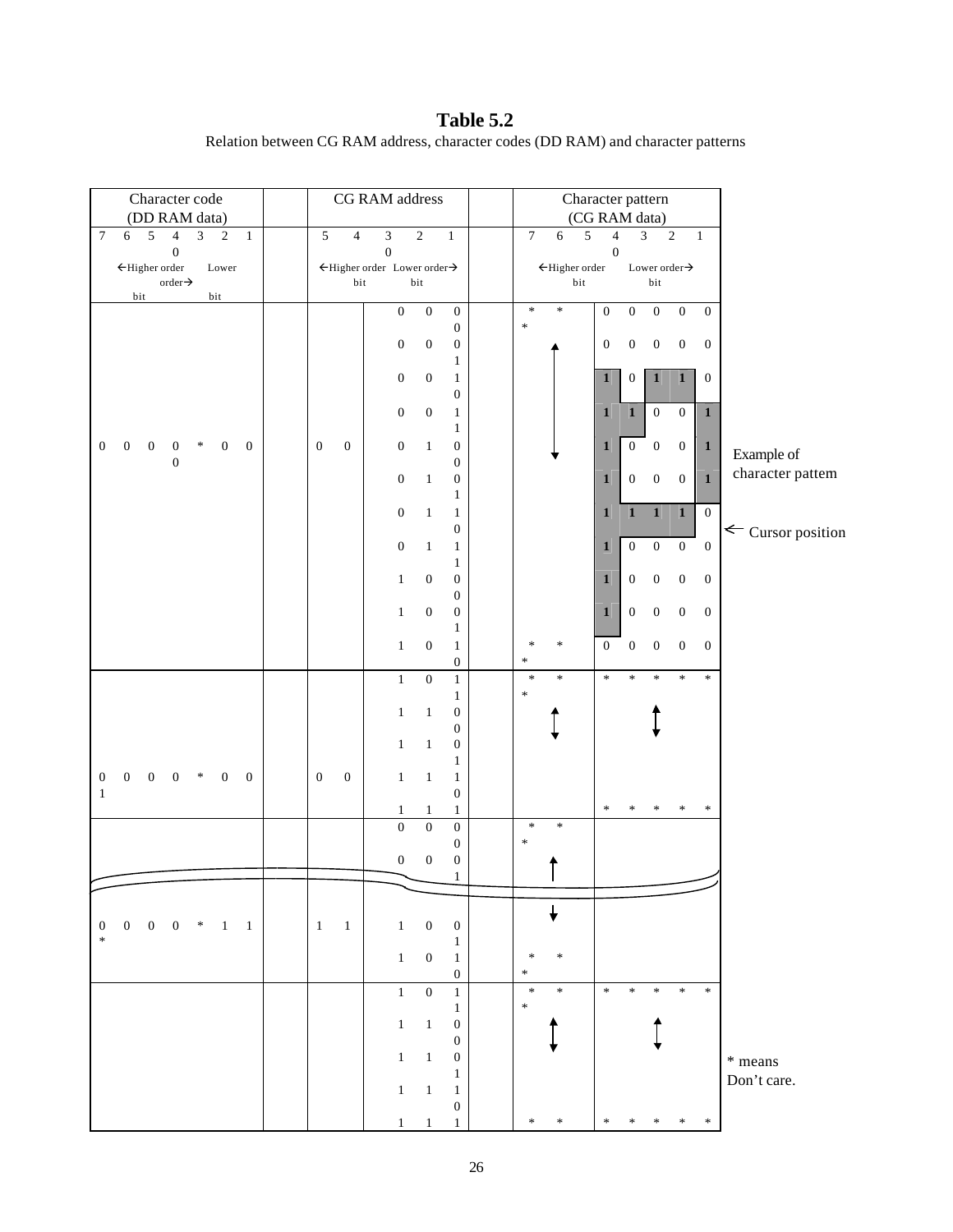**Table 5.2** Relation between CG RAM address, character codes (DD RAM) and character patterns

| Character code                                                                                                                             | CG RAM address                                                                                                   | Character pattern                                                                                                       |                              |
|--------------------------------------------------------------------------------------------------------------------------------------------|------------------------------------------------------------------------------------------------------------------|-------------------------------------------------------------------------------------------------------------------------|------------------------------|
| (DD RAM data)<br>$\sqrt{5}$<br>$\overline{4}$<br>$\overline{3}$<br>$\tau$<br>$\sqrt{2}$<br>$\mathbf{1}$<br>6                               | 5<br>$\mathfrak{Z}$<br>$\sqrt{2}$<br>$\overline{4}$<br>$\mathbf{1}$                                              | (CG RAM data)<br>$\overline{4}$<br>$\boldsymbol{7}$<br>$\overline{3}$<br>$\sqrt{6}$<br>5<br>$\sqrt{2}$<br>$\mathbf{1}$  |                              |
| $\boldsymbol{0}$                                                                                                                           | $\boldsymbol{0}$                                                                                                 | $\boldsymbol{0}$                                                                                                        |                              |
| $\leftarrow$ Higher order<br>Lower<br>order $\rightarrow$                                                                                  | $\leftarrow$ Higher order Lower order $\rightarrow$<br>bit<br>bit                                                | $\leftarrow$ Higher order<br>Lower order $\rightarrow$<br>bit<br>$_{\rm bit}$                                           |                              |
| bit<br>bit                                                                                                                                 |                                                                                                                  |                                                                                                                         |                              |
|                                                                                                                                            | $\boldsymbol{0}$<br>$\boldsymbol{0}$<br>$\boldsymbol{0}$<br>$\boldsymbol{0}$                                     | $\ast$<br>*<br>$\boldsymbol{0}$<br>$\boldsymbol{0}$<br>$\boldsymbol{0}$<br>$\boldsymbol{0}$<br>$\overline{0}$<br>$\ast$ |                              |
|                                                                                                                                            | $\boldsymbol{0}$<br>$\boldsymbol{0}$<br>$\boldsymbol{0}$                                                         | $\boldsymbol{0}$<br>$\boldsymbol{0}$<br>$\boldsymbol{0}$<br>$\boldsymbol{0}$<br>$\boldsymbol{0}$                        |                              |
|                                                                                                                                            | $\mathbf{1}$                                                                                                     |                                                                                                                         |                              |
|                                                                                                                                            | $\boldsymbol{0}$<br>$\boldsymbol{0}$<br>$\mathbf{1}$<br>$\boldsymbol{0}$                                         | $\mathbf 1$<br>$\mathbf{1}$<br>$\mathbf{1}$<br>$\boldsymbol{0}$<br>$\boldsymbol{0}$                                     |                              |
|                                                                                                                                            | $\boldsymbol{0}$<br>$\boldsymbol{0}$<br>$\mathbf{1}$                                                             | $\boldsymbol{0}$<br>$\boldsymbol{0}$<br>$\mathbf 1$<br>$\mathbf{1}$<br>$\mathbf{1}$                                     |                              |
|                                                                                                                                            | $\mathbf{1}$                                                                                                     |                                                                                                                         |                              |
| $\boldsymbol{0}$<br>$\overline{\mathbf{0}}$<br>$\boldsymbol{0}$<br>$\bf{0}$<br>∗<br>$\boldsymbol{0}$<br>$\overline{0}$<br>$\boldsymbol{0}$ | $\boldsymbol{0}$<br>$\boldsymbol{0}$<br>$\boldsymbol{0}$<br>$\boldsymbol{0}$<br>$\mathbf{1}$<br>$\boldsymbol{0}$ | $\boldsymbol{0}$<br>$\boldsymbol{0}$<br>$\boldsymbol{0}$<br>$\mathbf{1}$<br>$\mathbf{1}$                                | Example of                   |
|                                                                                                                                            | $\boldsymbol{0}$<br>$\boldsymbol{0}$<br>$\mathbf{1}$                                                             | $\boldsymbol{0}$<br>$\mathbf{0}$<br>$\mathbf{1}$<br>$\boldsymbol{0}$<br>$\mathbf{1}$                                    | character pattern            |
|                                                                                                                                            | $\mathbf{1}$                                                                                                     |                                                                                                                         |                              |
|                                                                                                                                            | $\boldsymbol{0}$<br>$\mathbf{1}$<br>$\mathbf{1}$<br>$\boldsymbol{0}$                                             | $\overline{\mathbf{1}}$<br>$\overline{1}$<br>$\mathbf{1}$<br>$\boldsymbol{0}$<br>$\mathbf{1}$                           |                              |
|                                                                                                                                            | $\boldsymbol{0}$<br>$\mathbf{1}$<br>$\mathbf{1}$                                                                 | $\boldsymbol{0}$<br>$\boldsymbol{0}$<br>$\boldsymbol{0}$<br>$\boldsymbol{0}$<br>$\mathbf{1}$                            | $\leftarrow$ Cursor position |
|                                                                                                                                            | $\mathbf{1}$                                                                                                     |                                                                                                                         |                              |
|                                                                                                                                            | $\boldsymbol{0}$<br>$\boldsymbol{0}$<br>$\mathbf{1}$<br>$\boldsymbol{0}$                                         | $\boldsymbol{0}$<br>$\boldsymbol{0}$<br>$\boldsymbol{0}$<br>$\mathbf{1}$<br>$\boldsymbol{0}$                            |                              |
|                                                                                                                                            | $\boldsymbol{0}$<br>$\boldsymbol{0}$<br>$\mathbf{1}$                                                             | $\boldsymbol{0}$<br>$\boldsymbol{0}$<br>$\boldsymbol{0}$<br>$\mathbf{1}$<br>$\boldsymbol{0}$                            |                              |
|                                                                                                                                            | $\mathbf{1}$                                                                                                     |                                                                                                                         |                              |
|                                                                                                                                            | $\boldsymbol{0}$<br>$\mathbf{1}$<br>$\mathbf{1}$<br>$\boldsymbol{0}$                                             | $\boldsymbol{0}$<br>$\boldsymbol{0}$<br>$\boldsymbol{0}$<br>$\boldsymbol{0}$<br>$\boldsymbol{0}$<br>∗<br>∗<br>$\ast$    |                              |
|                                                                                                                                            | $\boldsymbol{0}$<br>$\,1\,$<br>$\mathbf{1}$                                                                      | $\ast$<br>$\ast$<br>$\ast$<br>$\ast$<br>$\ast$<br>$\ast$<br>$\ast$                                                      |                              |
|                                                                                                                                            | $\mathbf{1}$                                                                                                     | *                                                                                                                       |                              |
|                                                                                                                                            | $\,1$<br>$\,1\,$<br>$\boldsymbol{0}$<br>$\boldsymbol{0}$                                                         |                                                                                                                         |                              |
|                                                                                                                                            | $\,1$<br>$\mathbf{1}$<br>$\boldsymbol{0}$                                                                        |                                                                                                                         |                              |
|                                                                                                                                            | $\mathbf{1}$                                                                                                     |                                                                                                                         |                              |
| $\boldsymbol{0}$<br>$0 \quad 0$ *<br>$\boldsymbol{0}$<br>$\overline{0}$<br>$\overline{\mathbf{0}}$<br>$\mathbf{1}$                         | $\boldsymbol{0}$<br>$\boldsymbol{0}$<br>$\mathbf{1}$<br>$\mathbf{1}$<br>$\mathbf{1}$<br>$\boldsymbol{0}$         |                                                                                                                         |                              |
|                                                                                                                                            | $\mathbf{1}$<br>$\mathbf{1}$<br>$\mathbf{1}$                                                                     | $\ast$<br>∗<br>∗<br>∗                                                                                                   |                              |
|                                                                                                                                            | $\boldsymbol{0}$<br>$\boldsymbol{0}$<br>$\boldsymbol{0}$                                                         | $\ast$<br>$\ast$                                                                                                        |                              |
|                                                                                                                                            | $\boldsymbol{0}$<br>$\boldsymbol{0}$<br>$\boldsymbol{0}$<br>$\boldsymbol{0}$                                     | $\ast$                                                                                                                  |                              |
|                                                                                                                                            | $\mathbf{1}$                                                                                                     |                                                                                                                         |                              |
|                                                                                                                                            |                                                                                                                  |                                                                                                                         |                              |
| $\boldsymbol{0}$<br>$\overline{0}$<br>$0 \t 0 \t * \t 1$<br>$\overline{1}$                                                                 | $\mathbf{1}$<br>$\mathbf{1}$<br>$\overline{1}$<br>$\boldsymbol{0}$<br>$\boldsymbol{0}$                           |                                                                                                                         |                              |
| $\ast$                                                                                                                                     | $\mathbf{1}$                                                                                                     |                                                                                                                         |                              |
|                                                                                                                                            | $\mathbf{0}$<br>$\mathbf{1}$<br>$\mathbf{1}$                                                                     | *<br>∗<br>$\ast$                                                                                                        |                              |
|                                                                                                                                            | $\boldsymbol{0}$<br>$\mathbf{1}$<br>$\boldsymbol{0}$<br>$\mathbf{1}$                                             | $\ast$<br>$\ast$<br>$\ast$<br>$\ast$<br>$\ast$<br>$\ast$<br>$\ast$                                                      |                              |
|                                                                                                                                            | $\mathbf{1}$                                                                                                     | $\ast$                                                                                                                  |                              |
|                                                                                                                                            | $\boldsymbol{0}$<br>$\mathbf{1}$<br>$\mathbf{1}$<br>0                                                            |                                                                                                                         |                              |
|                                                                                                                                            | $\mathbf{1}$<br>$\boldsymbol{0}$<br>$\mathbf{1}$                                                                 |                                                                                                                         | * means                      |
|                                                                                                                                            | $\mathbf{1}$                                                                                                     |                                                                                                                         | Don't care.                  |
|                                                                                                                                            | $\mathbf{1}$<br>$\mathbf{1}$<br>$\mathbf{1}$<br>$\boldsymbol{0}$                                                 |                                                                                                                         |                              |
|                                                                                                                                            | $\mathbf{1}$<br>1<br>1                                                                                           | $\ast$<br>∗<br>*                                                                                                        |                              |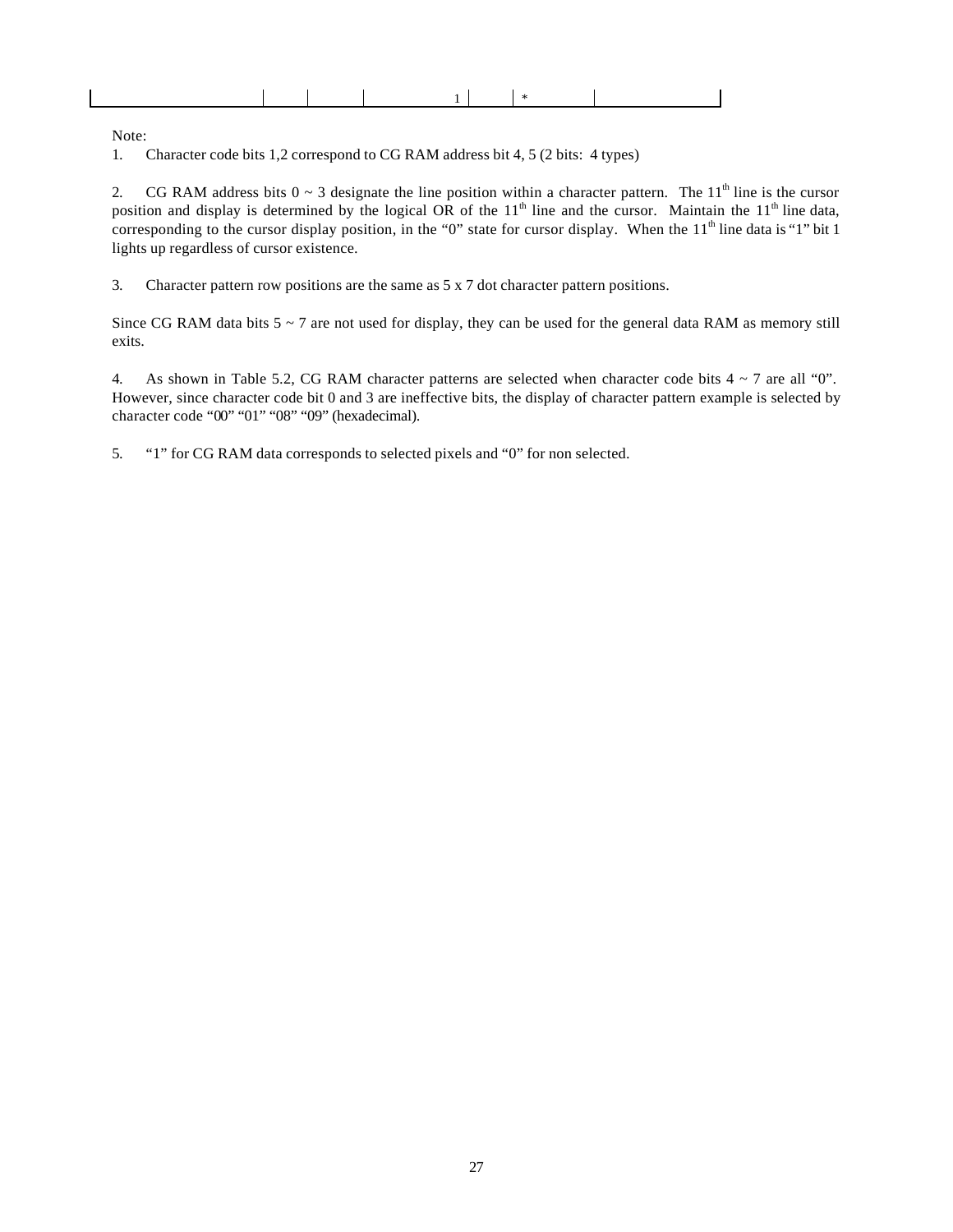Note:

 $\mathbf{L}$ 

1. Character code bits 1,2 correspond to CG RAM address bit 4, 5 (2 bits: 4 types)

2. CG RAM address bits  $0 \sim 3$  designate the line position within a character pattern. The 11<sup>th</sup> line is the cursor position and display is determined by the logical OR of the  $11<sup>th</sup>$  line and the cursor. Maintain the  $11<sup>th</sup>$  line data, corresponding to the cursor display position, in the "0" state for cursor display. When the  $11<sup>th</sup>$  line data is "1" bit 1 lights up regardless of cursor existence.

3. Character pattern row positions are the same as 5 x 7 dot character pattern positions.

Since CG RAM data bits  $5 \sim 7$  are not used for display, they can be used for the general data RAM as memory still exits.

4. As shown in Table 5.2, CG RAM character patterns are selected when character code bits  $4 \sim 7$  are all "0". However, since character code bit 0 and 3 are ineffective bits, the display of character pattern example is selected by character code "00" "01" "08" "09" (hexadecimal).

5. "1" for CG RAM data corresponds to selected pixels and "0" for non selected.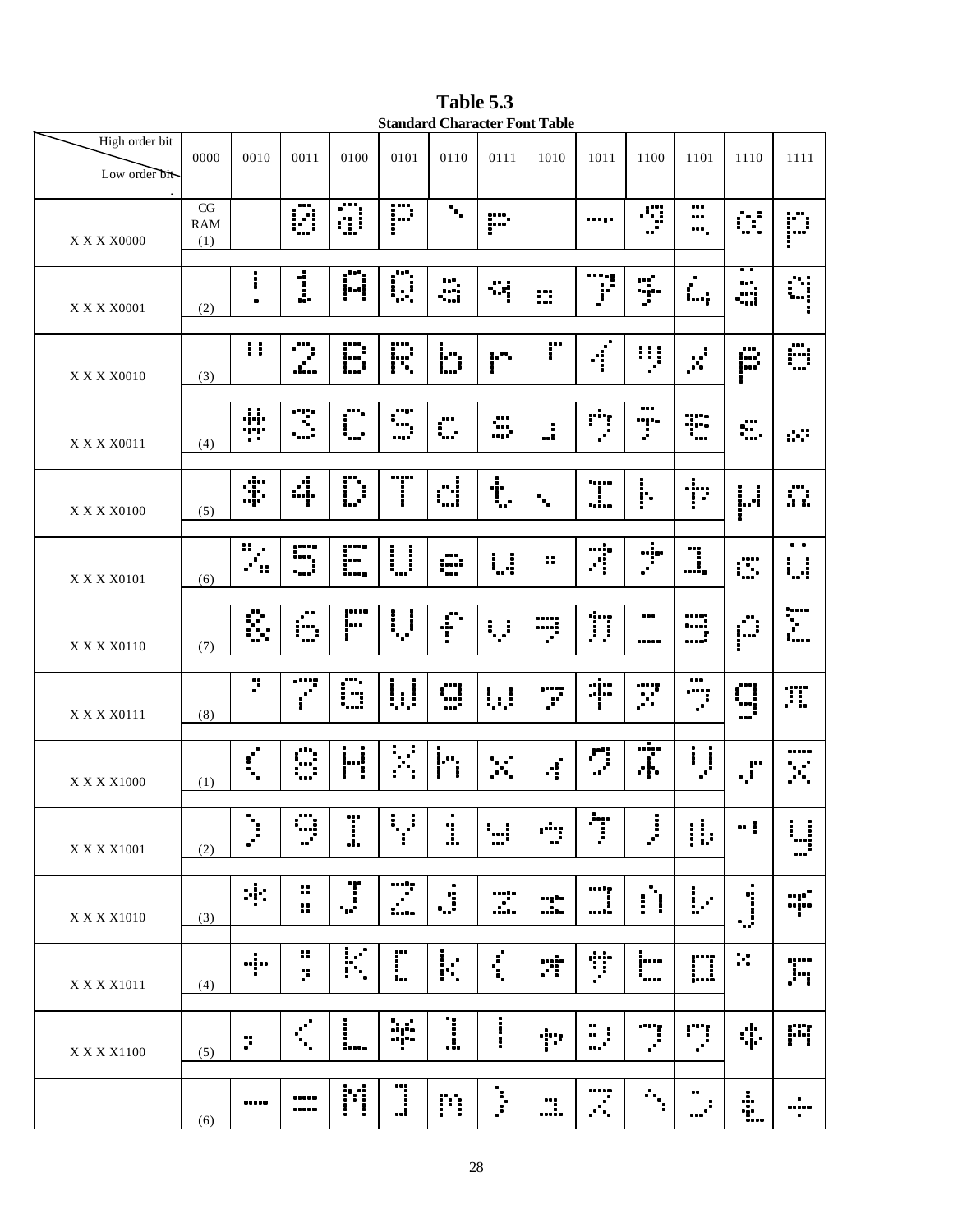**Table 5.3 Standard Character Font Table**

| High order bit<br>Low order bit-<br>$\cdot$ | 0000                    | 0010                        | 0011                                 | 0100                    | 0101               | 0110                     | 0111              | 1010                              | 1011                 | 1100                 | 1101                         | 1110                      | 1111                                                                                                       |
|---------------------------------------------|-------------------------|-----------------------------|--------------------------------------|-------------------------|--------------------|--------------------------|-------------------|-----------------------------------|----------------------|----------------------|------------------------------|---------------------------|------------------------------------------------------------------------------------------------------------|
| <b>X X X X0000</b>                          | CG<br><b>RAM</b><br>(1) |                             | Ø                                    | $\overline{\mathbb{S}}$ | P                  | $\mathbf{h}_\bullet$     | P                 |                                   |                      | ∙ÿ                   | <br><br>┅.                   | ₿Ì,                       | p                                                                                                          |
| X X X X 0001                                | (2)                     | i<br>$\blacksquare$         | $\overline{1}$                       | Ā                       | Ō                  | å                        | ∹ą                | ₩                                 | <br>F                | Ş.                   | $\blacksquare$<br>Ĺ.,        | . .<br>Å                  | űį                                                                                                         |
| X X X X0010                                 | (3)                     | $\mathbf{H}$                | O                                    | D                       | F.                 | bility.                  | i"                | r                                 | $\tilde{f}$          | iij                  | ë,                           | E.                        | Ö                                                                                                          |
| X X X X 0011                                | (4)                     | ÷                           | $\dddot{\mathbf{z}}$                 | ….<br>Г.,               | un p<br>Г.,<br>,.' | O                        | ÷                 | j.                                | ़ं                   | <br>Ţ.               | T                            | , o o<br>÷.               | d.                                                                                                         |
| X X X X0100                                 | (5)                     | \$                          | d.                                   | $\ddot{D}$              | T                  | d                        | $\ddot{\ddagger}$ | $\mathcal{L}_{\mathbf{r}}$        | T                    | $\frac{1}{1}$        | $\mathbb{P}^1$               | i.i<br>i                  | O.                                                                                                         |
| X X X X 0101                                | (6)                     | 8<br>$\mathcal{L}$<br>88    | ,,,,,<br>1<br>i                      | po<br>!<br>i,           | $\prod_{i=1}^{n}$  | ∰                        | $\ddot{a}$        | 8                                 | Ã                    | $\frac{1}{2}$        | ")<br>!,                     | Ü.                        | $\bullet$ $\bullet$<br>i <sub>n</sub> i                                                                    |
| X X X X0110                                 | (7)                     | Ŝ.                          | Ê.                                   | ,,,,,<br> <br>!         | Ų                  | $\ddot{\ddot{\text{r}}}$ | Ų                 | W                                 | Ï                    | <br>                 | $\mathbb{C}$<br><sup>r</sup> | Ê                         | T                                                                                                          |
| X X X X 0111                                | (8)                     | ÿ.                          | Ţ                                    | G                       |                    | œ<br>"                   | W                 | Ţ                                 | Ť                    | X                    | <br>Ï.                       | $\mathbb{C}$              | TI.                                                                                                        |
| X X X X1000                                 | (1)                     | $\mathbf{r}^{\prime}$<br>٠. | $\ddot{\mathbb{C}}$                  | ij                      | X                  | i <sup>.</sup>           | $\mathbb{R}^2$    | $\boldsymbol{\cdot}^{\mathrm{c}}$ | $\ddot{\phantom{a}}$ | Ť                    | i<br>$\mathcal{J}$           | $\mathbf{J}^{\mathbf{r}}$ | <br>$\mathbb{R}^2$                                                                                         |
| X X X X 1001                                | (2)                     | ÷,<br>$\mathbf{r}$          | $\ddot{z}$                           | T<br>.!.                | ŧ,<br>J<br>T       | ٠<br>1                   | i <sub>ni</sub>   | Ť                                 | ėŗ<br>J              | I.<br>ë,             | $\ddot{v}$                   | $\blacksquare$            | ÷<br>$\mathbf{I}$<br>ׇׇ֧֧֧ׅׅׅ֧֓֡֘<br>֧֧֧ׅ֧֧֧ׅ֧֦֧ׅ֧֦֧֦֧֦֧ׅ֧֦֧֧֧ׅ֧֧֧֧֧֧֧֦֧֩֩֩֘֘֝֘֘֘֝֘֘֘<br>֧֢֧ׅ֧֧֧֧֧֧֧֧֧֧֘֘֘ |
| X X X X 1010                                | (3)                     | ÷Е                          | $\ddot{\phantom{a}}$<br>$\mathbf{H}$ | T<br>57                 | I                  | ٠<br>$\ddot{a}$          | T                 | mple<br>                          | <b>.</b><br>….       | Ĥ                    | $\mathbf{L}$                 | j                         | ng "<br>wjto                                                                                               |
| X X X X 1011                                | (4)                     |                             | 88<br>ņ.                             | K                       | Ï.                 | k,                       | $\ddot{\cdot}$    | ri:                               | Ť                    | jm<br>$\ddot{\cdot}$ | D                            | ×                         | ,,,,,<br>.in                                                                                               |
| X X X X1100                                 | (5)                     | Ï.                          | $\mathcal{C}^{\mathcal{C}}$<br>۰.    | ļ<br>$\ddotsc$          | bi<br>Bi           | <u>:</u>                 | į                 | Ť                                 |                      |                      | ņ                            | \$                        | F                                                                                                          |
|                                             | (6)                     |                             | <br>                                 | M                       |                    | m                        | ļ.                | $\dddot{\mathbf{u}}$              | <br>Ţ.               | $\gamma_{\rm{r}}$    | <br>$\cdots$ .               | ÷                         | $\bullet$<br><br>$\blacksquare$                                                                            |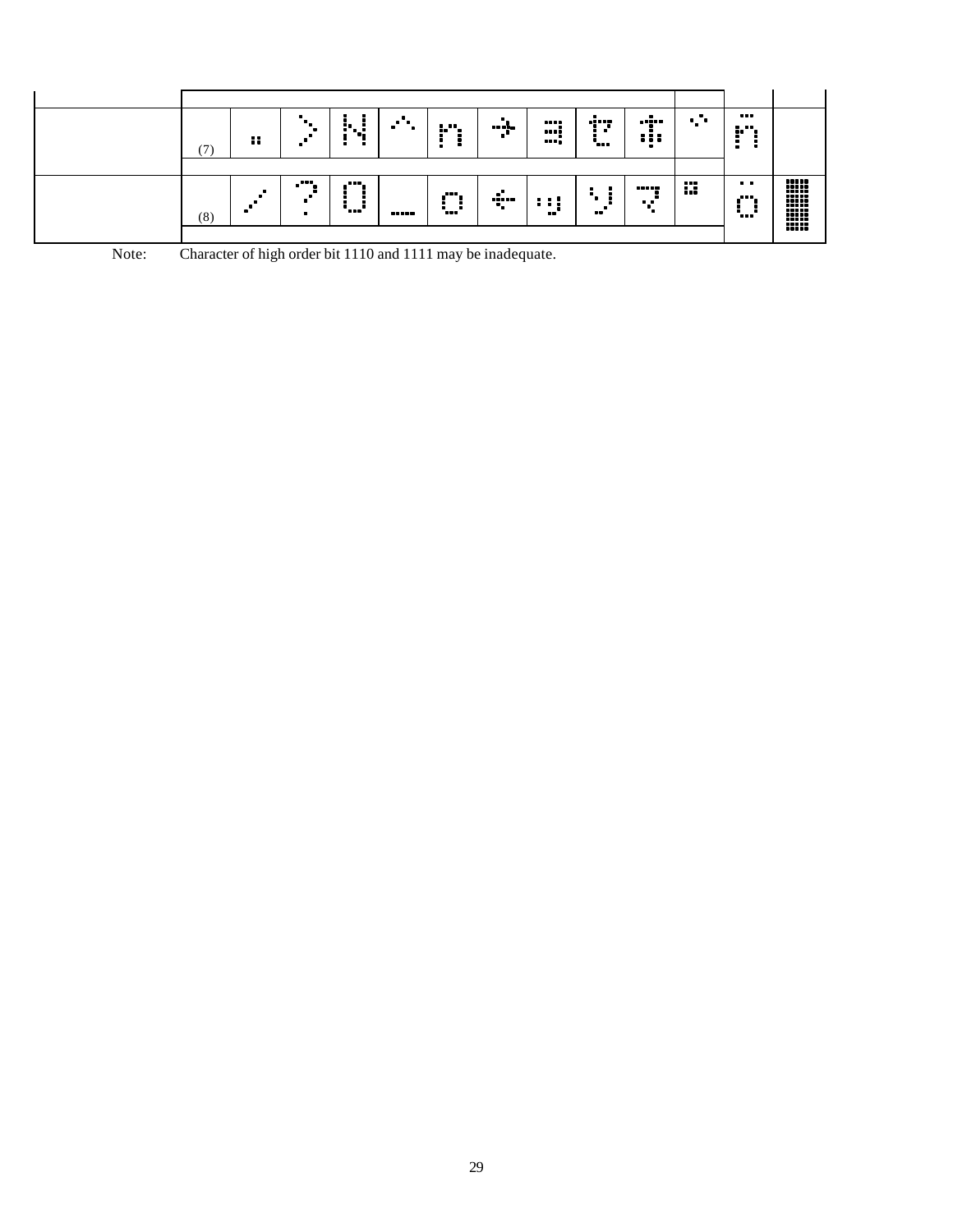| 7   | 88 | $\bullet$ | r. :<br>ч.<br>٠ |       |                                               | <br>- - | <br><br><br>ains.<br>٠<br>- | <br>:::           | × | <br>.<br><br>×<br>$\blacksquare$ |  |
|-----|----|-----------|-----------------|-------|-----------------------------------------------|---------|-----------------------------|-------------------|---|----------------------------------|--|
| (8) |    | .         | <br>            | ----- | $\mathbf{m}_{\mathbf{r}}$<br>٠<br><b>Tees</b> | <br>    | <br><br>                    | <br>. .<br>−<br>٠ | m | $\bullet$<br><br>٠<br>           |  |

| Note: | Character of high order bit 1110 and 1111 may be inadequate. |  |
|-------|--------------------------------------------------------------|--|
|       |                                                              |  |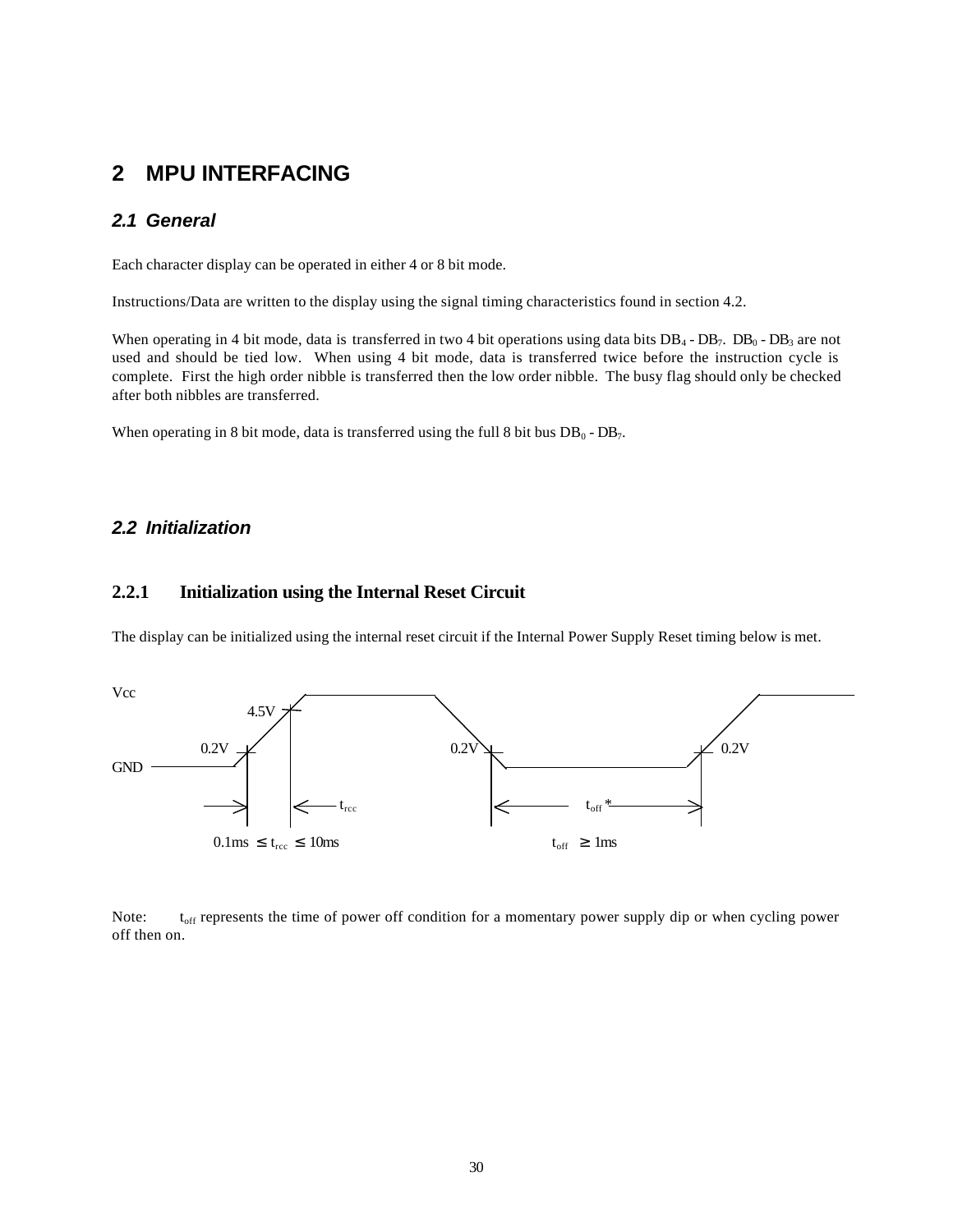### **2 MPU INTERFACING**

#### *2.1 General*

Each character display can be operated in either 4 or 8 bit mode.

Instructions/Data are written to the display using the signal timing characteristics found in section 4.2.

When operating in 4 bit mode, data is transferred in two 4 bit operations using data bits  $DB_4$ - $DB_7$ .  $DB_0$ - $DB_3$  are not used and should be tied low. When using 4 bit mode, data is transferred twice before the instruction cycle is complete. First the high order nibble is transferred then the low order nibble. The busy flag should only be checked after both nibbles are transferred.

When operating in 8 bit mode, data is transferred using the full 8 bit bus  $DB_0 - DB_7$ .

#### *2.2 Initialization*

#### **2.2.1 Initialization using the Internal Reset Circuit**

The display can be initialized using the internal reset circuit if the Internal Power Supply Reset timing below is met.



Note:  $t_{off}$  represents the time of power off condition for a momentary power supply dip or when cycling power off then on.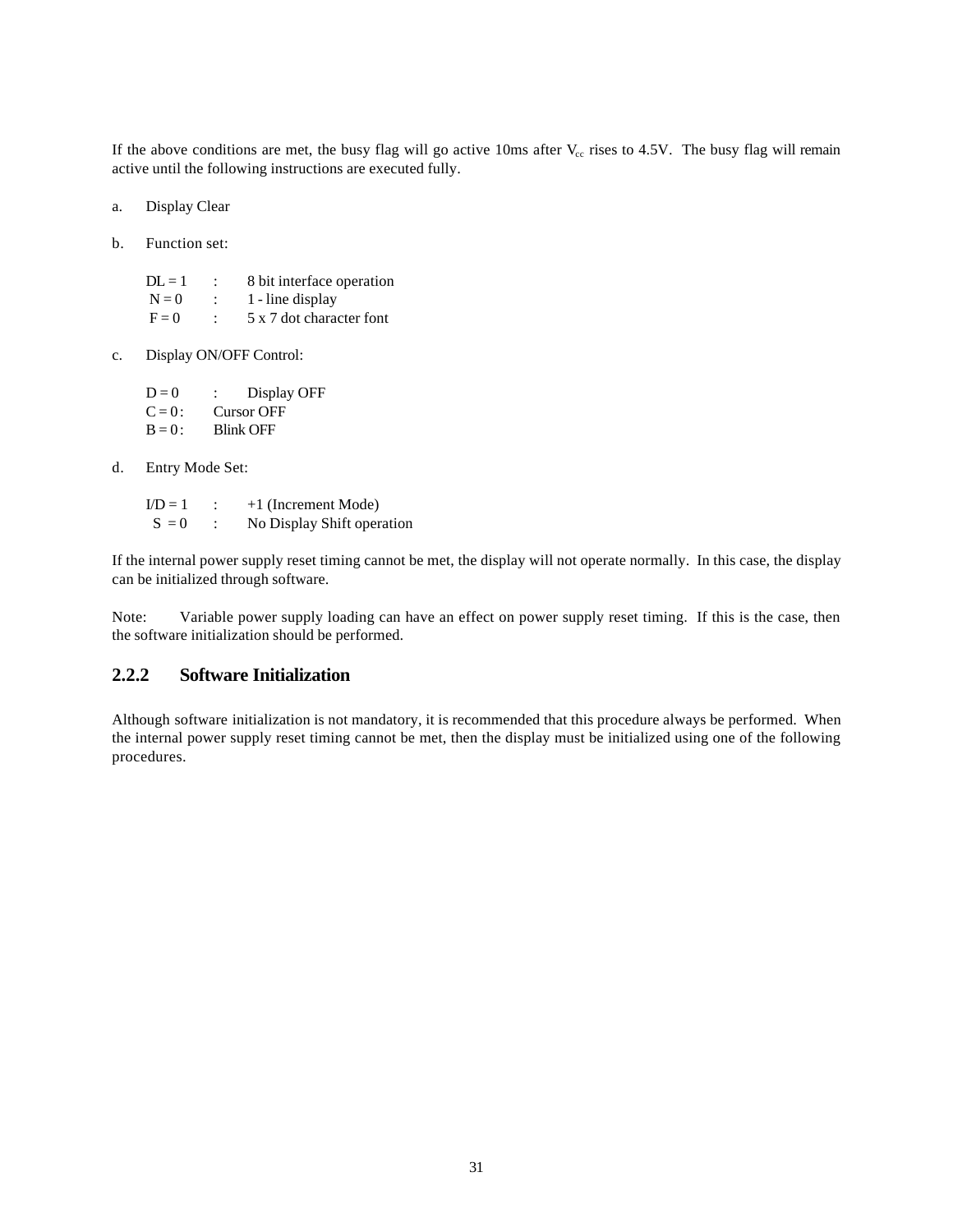If the above conditions are met, the busy flag will go active 10ms after  $V_{cc}$  rises to 4.5V. The busy flag will remain active until the following instructions are executed fully.

- a. Display Clear
- b. Function set:

 $DL = 1$  : 8 bit interface operation  $N = 0$  : 1 - line display  $F = 0$  : 5 x 7 dot character font

c. Display ON/OFF Control:

 $D = 0$  : Display OFF  $C = 0:$  Cursor OFF  $B = 0$ : Blink OFF

d. Entry Mode Set:

 $ID = 1$  : +1 (Increment Mode)  $S = 0$  : No Display Shift operation

If the internal power supply reset timing cannot be met, the display will not operate normally. In this case, the display can be initialized through software.

Note: Variable power supply loading can have an effect on power supply reset timing. If this is the case, then the software initialization should be performed.

#### **2.2.2 Software Initialization**

Although software initialization is not mandatory, it is recommended that this procedure always be performed. When the internal power supply reset timing cannot be met, then the display must be initialized using one of the following procedures.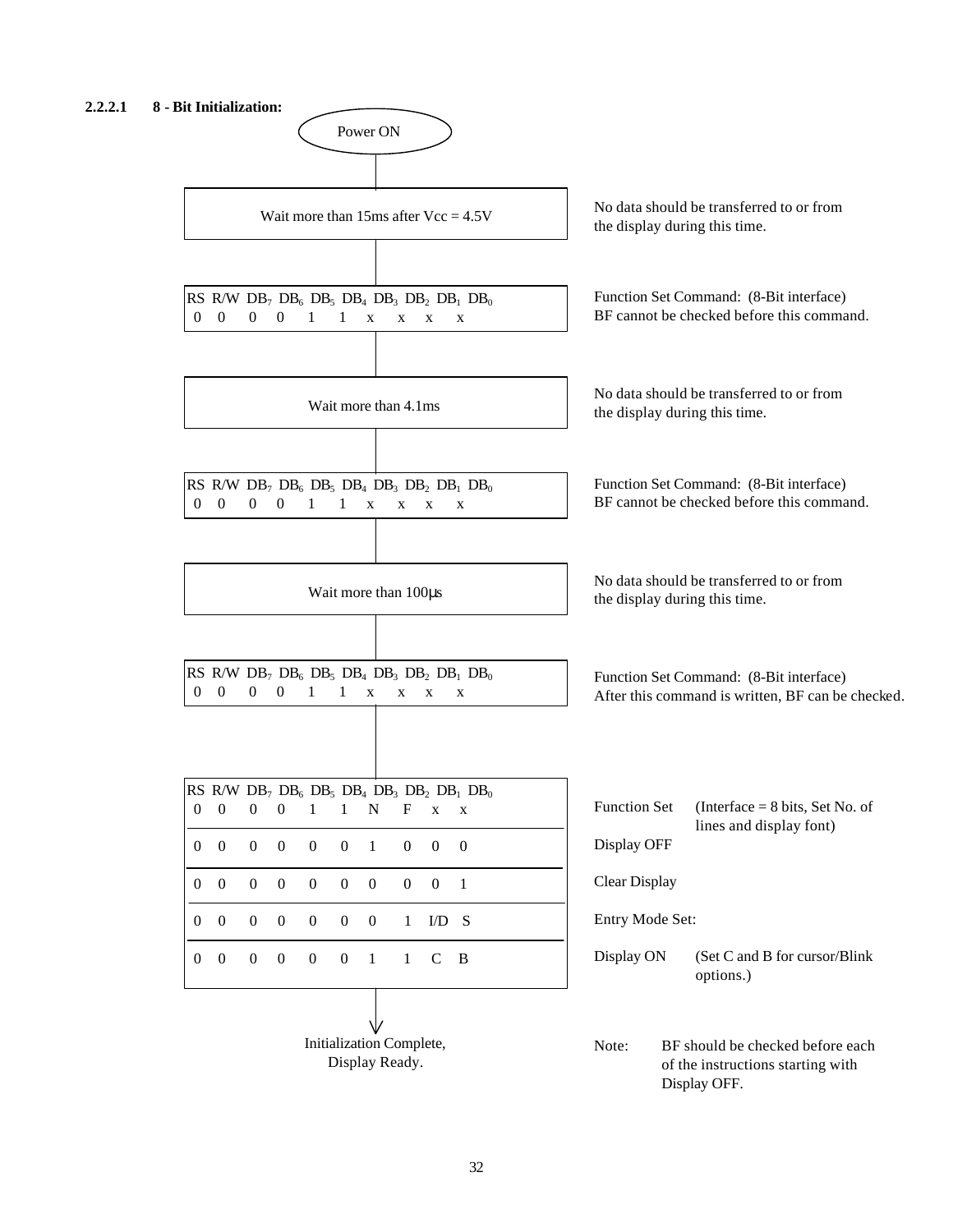#### **2.2.2.1 8 - Bit Initialization:**

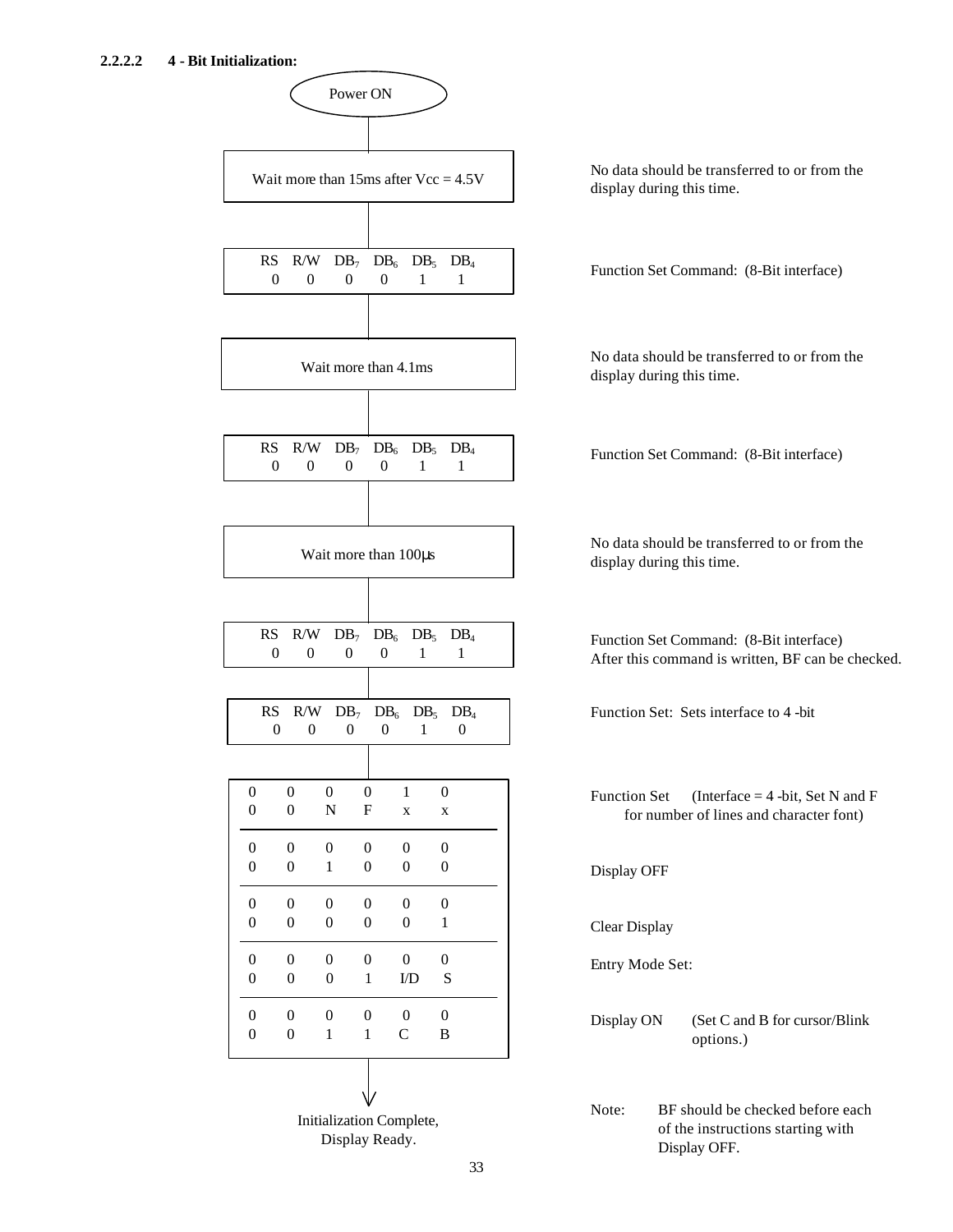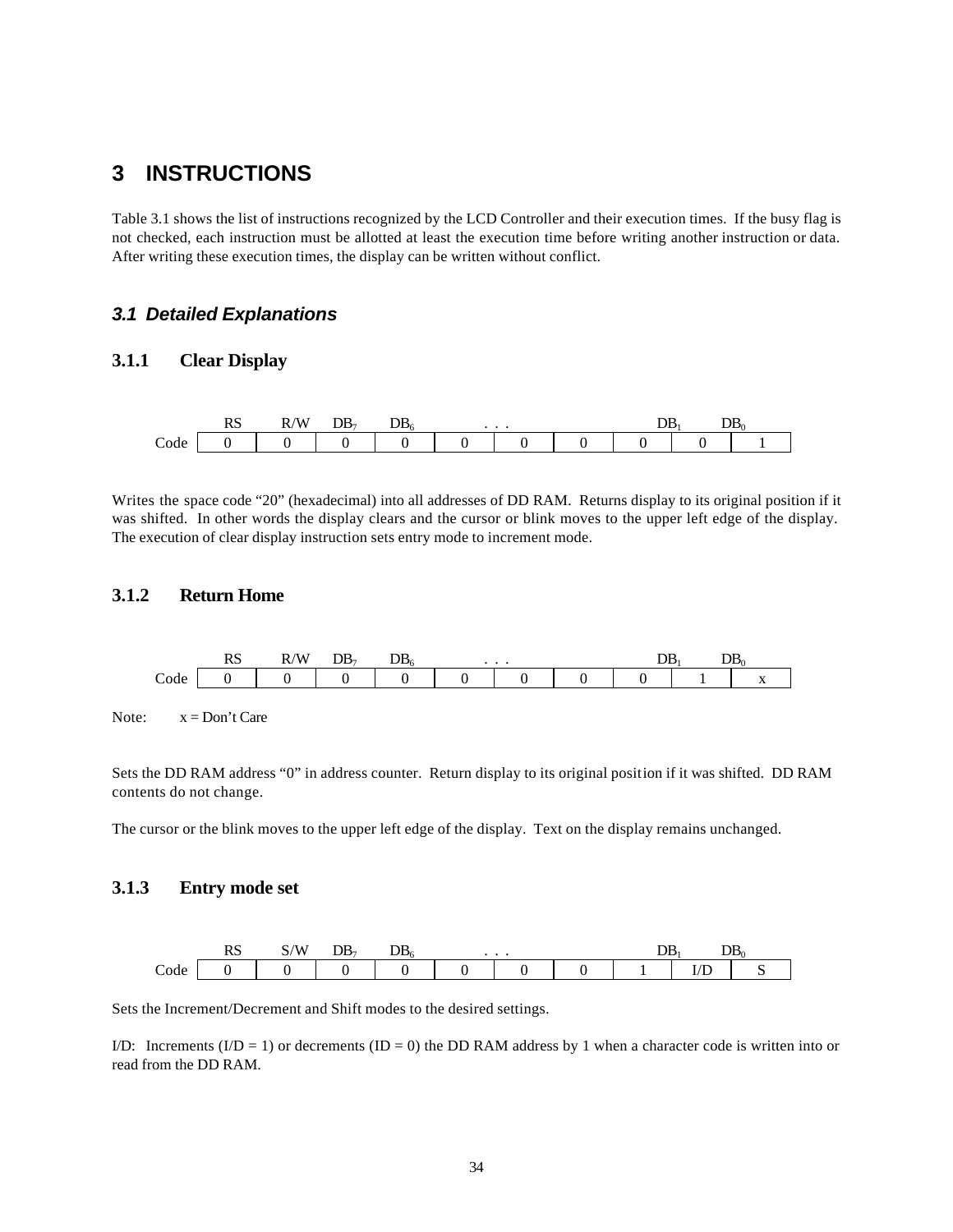### **3 INSTRUCTIONS**

Table 3.1 shows the list of instructions recognized by the LCD Controller and their execution times. If the busy flag is not checked, each instruction must be allotted at least the execution time before writing another instruction or data. After writing these execution times, the display can be written without conflict.

#### *3.1 Detailed Explanations*

#### **3.1.1 Clear Display**



Writes the space code "20" (hexadecimal) into all addresses of DD RAM. Returns display to its original position if it was shifted. In other words the display clears and the cursor or blink moves to the upper left edge of the display. The execution of clear display instruction sets entry mode to increment mode.

#### **3.1.2 Return Home**



Note:  $x = Don't Care$ 

Sets the DD RAM address "0" in address counter. Return display to its original position if it was shifted. DD RAM contents do not change.

The cursor or the blink moves to the upper left edge of the display. Text on the display remains unchanged.

#### **3.1.3 Entry mode set**



Sets the Increment/Decrement and Shift modes to the desired settings.

I/D: Increments  $(I/D = 1)$  or decrements  $(ID = 0)$  the DD RAM address by 1 when a character code is written into or read from the DD RAM.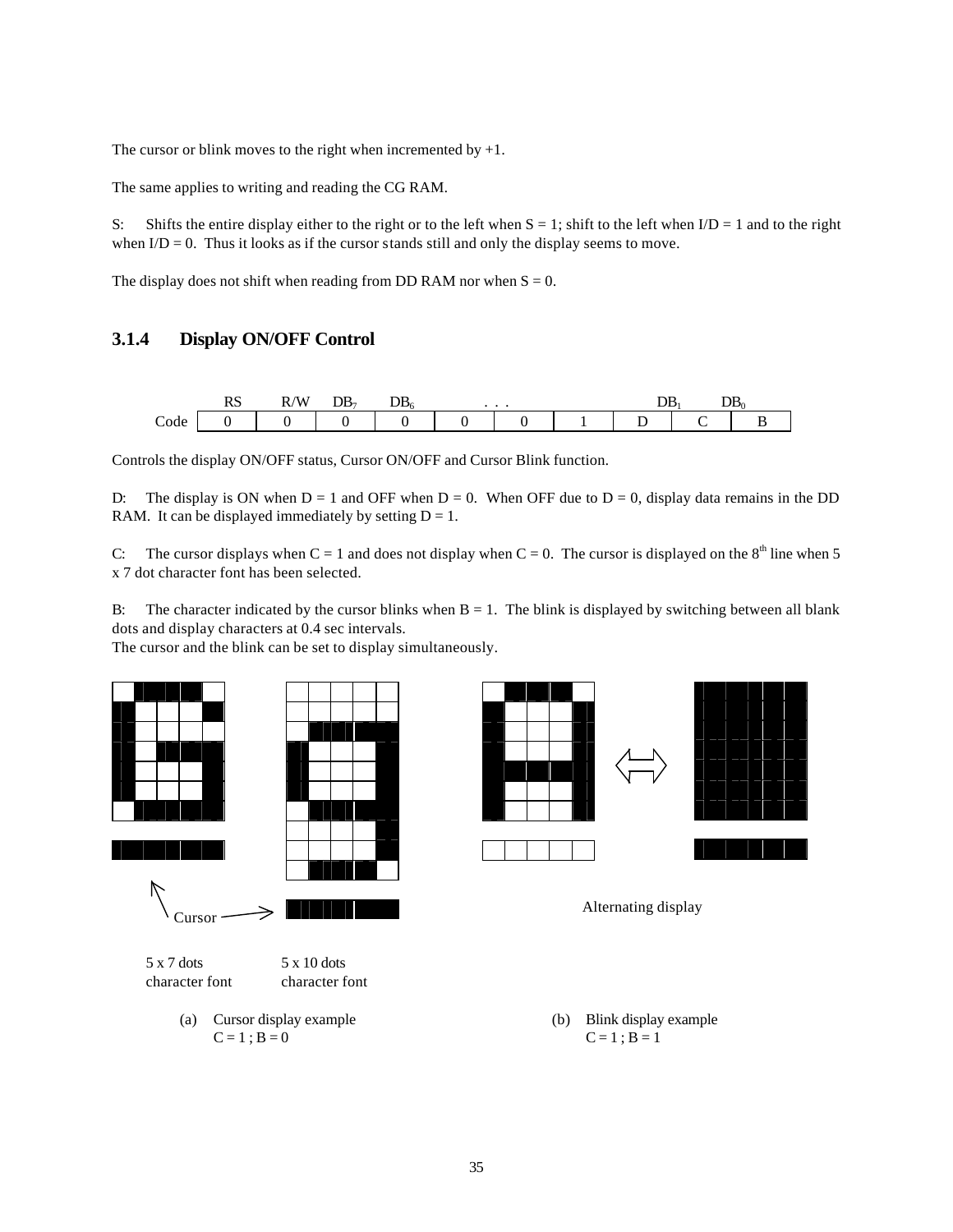The cursor or blink moves to the right when incremented by  $+1$ .

The same applies to writing and reading the CG RAM.

S: Shifts the entire display either to the right or to the left when  $S = 1$ ; shift to the left when  $I/D = 1$  and to the right when  $I/D = 0$ . Thus it looks as if the cursor stands still and only the display seems to move.

The display does not shift when reading from DD RAM nor when  $S = 0$ .

#### **3.1.4 Display ON/OFF Control**

|                | 177) | $T = T$<br>A<br>ĸ | עע |  |  | ৴ | Dr |
|----------------|------|-------------------|----|--|--|---|----|
| $\sim$<br>Code |      |                   |    |  |  |   |    |

Controls the display ON/OFF status, Cursor ON/OFF and Cursor Blink function.

D: The display is ON when  $D = 1$  and OFF when  $D = 0$ . When OFF due to  $D = 0$ , display data remains in the DD RAM. It can be displayed immediately by setting  $D = 1$ .

C: The cursor displays when  $C = 1$  and does not display when  $C = 0$ . The cursor is displayed on the  $8<sup>th</sup>$  line when 5 x 7 dot character font has been selected.

B: The character indicated by the cursor blinks when  $B = 1$ . The blink is displayed by switching between all blank dots and display characters at 0.4 sec intervals.

The cursor and the blink can be set to display simultaneously.



- $C = 1$ ;  $B = 0$   $C = 1$ ;  $B = 1$
-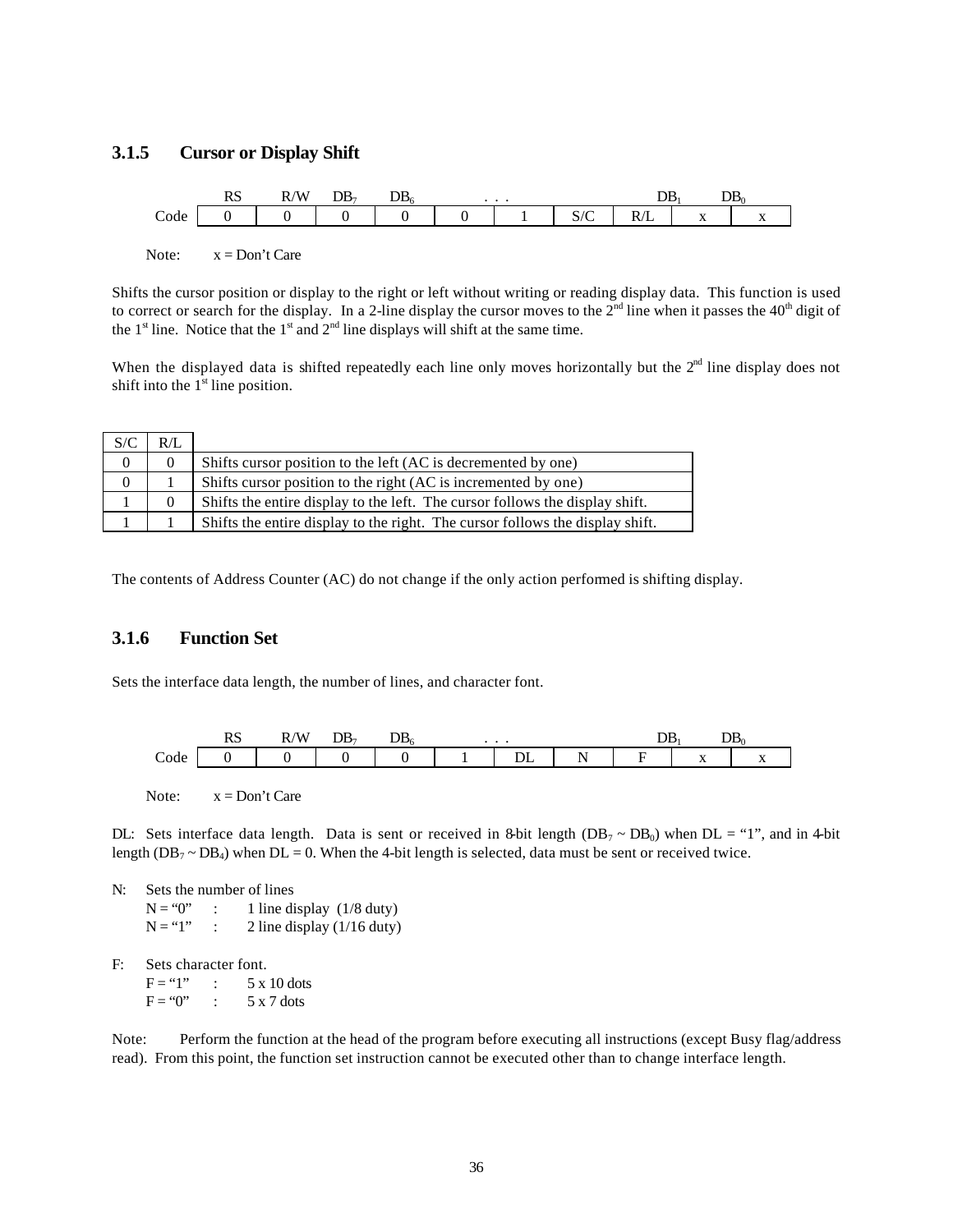#### **3.1.5 Cursor or Display Shift**

|                      | w | $T$ $T$ $T$<br>WΛ<br>. . | ້ | $\sim$ T <sub>2</sub> | . |   |            |                                          | ີ້ |
|----------------------|---|--------------------------|---|-----------------------|---|---|------------|------------------------------------------|----|
| $\sim$<br>$\c{code}$ |   |                          |   |                       |   | ັ | . .<br>. . | $\mathbf{v}$<br>$\overline{\phantom{a}}$ |    |

Note:  $x = Don't Care$ 

Shifts the cursor position or display to the right or left without writing or reading display data. This function is used to correct or search for the display. In a 2-line display the cursor moves to the  $2<sup>nd</sup>$  line when it passes the  $40<sup>th</sup>$  digit of the  $1<sup>st</sup>$  line. Notice that the  $1<sup>st</sup>$  and  $2<sup>nd</sup>$  line displays will shift at the same time.

When the displayed data is shifted repeatedly each line only moves horizontally but the  $2<sup>nd</sup>$  line display does not shift into the  $1<sup>st</sup>$  line position.

| S/C            | $R/I$ . |                                                                               |
|----------------|---------|-------------------------------------------------------------------------------|
| $\overline{0}$ |         | Shifts cursor position to the left (AC is decremented by one)                 |
| 0              |         | Shifts cursor position to the right (AC is incremented by one)                |
|                |         | Shifts the entire display to the left. The cursor follows the display shift.  |
|                |         | Shifts the entire display to the right. The cursor follows the display shift. |

The contents of Address Counter (AC) do not change if the only action performed is shifting display.

#### **3.1.6 Function Set**

Sets the interface data length, the number of lines, and character font.



Note:  $x = Don't Care$ 

DL: Sets interface data length. Data is sent or received in 8-bit length ( $DB_7 \sim DB_0$ ) when DL = "1", and in 4-bit length ( $DB_7 \sim DB_4$ ) when  $DL = 0$ . When the 4-bit length is selected, data must be sent or received twice.

N: Sets the number of lines  $N = "0"$  : 1 line display (1/8 duty)

 $N = "1"$  : 2 line display (1/16 duty)

F: Sets character font.

 $F = "1"$  : 5 x 10 dots  $F = "0"$  : 5 x 7 dots

Note: Perform the function at the head of the program before executing all instructions (except Busy flag/address read). From this point, the function set instruction cannot be executed other than to change interface length.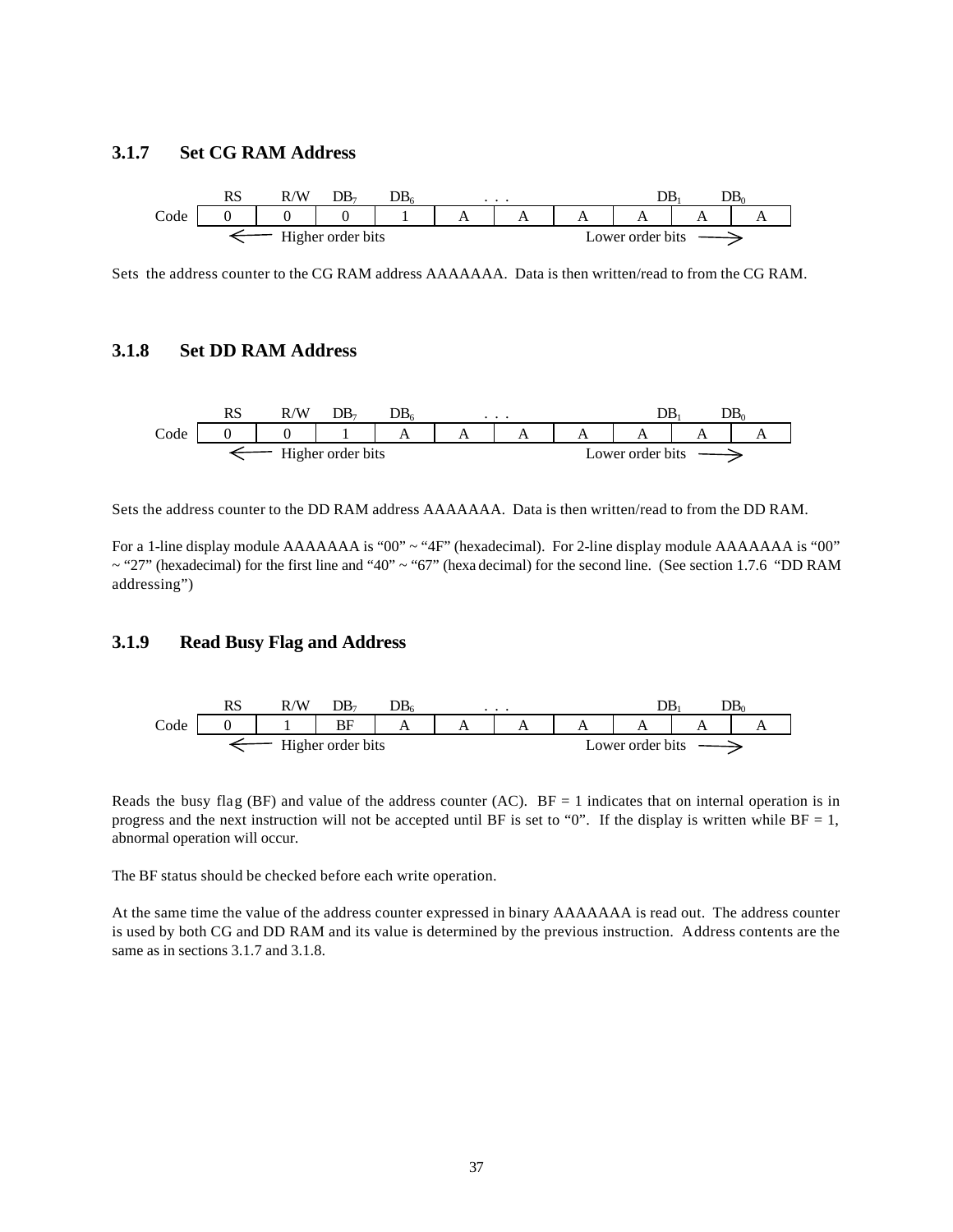#### **3.1.7 Set CG RAM Address**



Sets the address counter to the CG RAM address AAAAAAA. Data is then written/read to from the CG RAM.

#### **3.1.8 Set DD RAM Address**



Sets the address counter to the DD RAM address AAAAAAA. Data is then written/read to from the DD RAM.

For a 1-line display module AAAAAAA is "00" ~ "4F" (hexadecimal). For 2-line display module AAAAAAA is "00" ~ "27" (hexadecimal) for the first line and "40" ~ "67" (hexa decimal) for the second line. (See section 1.7.6 "DD RAM addressing")

#### **3.1.9 Read Busy Flag and Address**



Reads the busy flag (BF) and value of the address counter (AC).  $BF = 1$  indicates that on internal operation is in progress and the next instruction will not be accepted until BF is set to "0". If the display is written while  $BF = 1$ , abnormal operation will occur.

The BF status should be checked before each write operation.

At the same time the value of the address counter expressed in binary AAAAAAA is read out. The address counter is used by both CG and DD RAM and its value is determined by the previous instruction. Address contents are the same as in sections 3.1.7 and 3.1.8.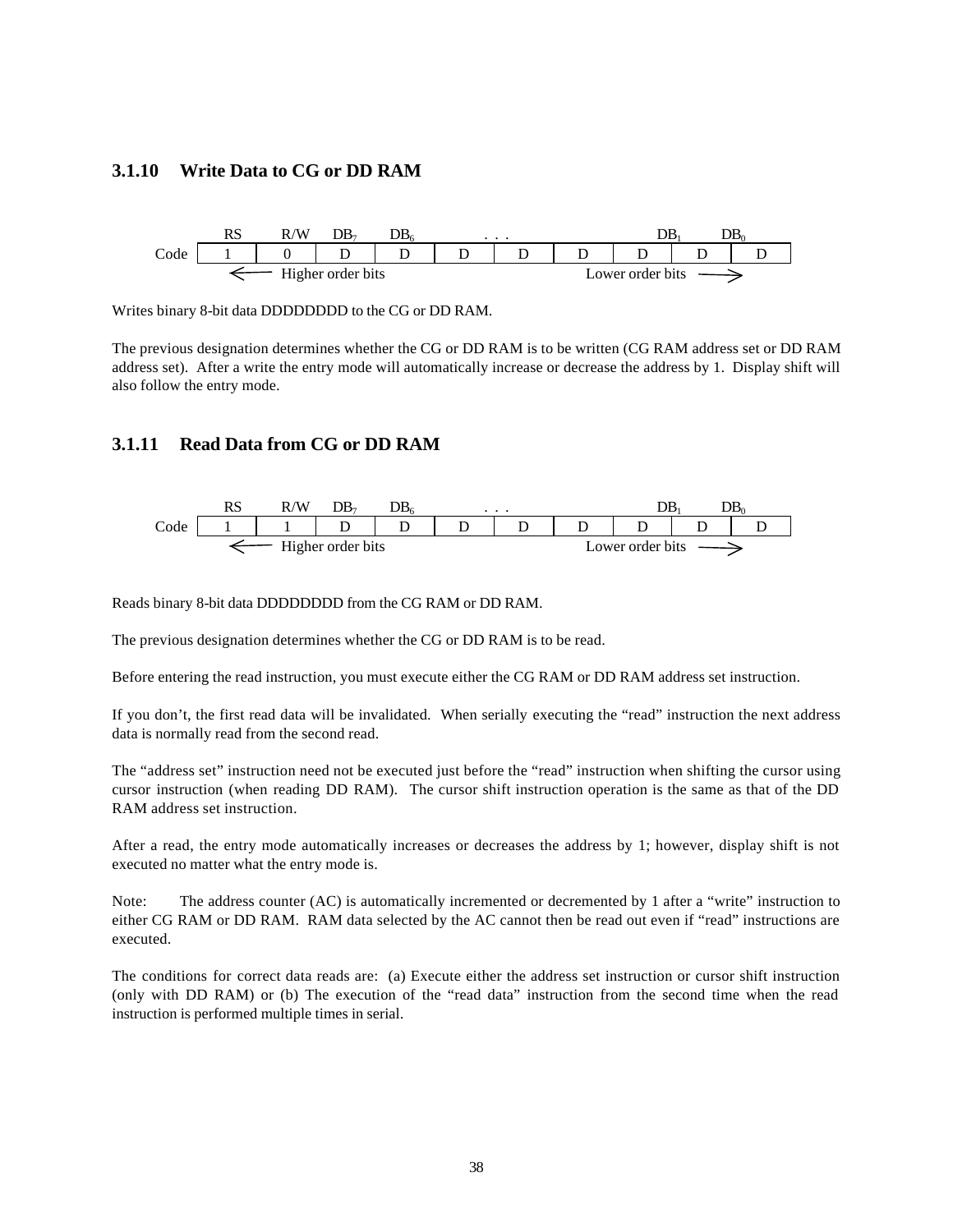#### **3.1.10 Write Data to CG or DD RAM**



Writes binary 8-bit data DDDDDDDD to the CG or DD RAM.

The previous designation determines whether the CG or DD RAM is to be written (CG RAM address set or DD RAM address set). After a write the entry mode will automatically increase or decrease the address by 1. Display shift will also follow the entry mode.

#### **3.1.11 Read Data from CG or DD RAM**



Reads binary 8-bit data DDDDDDDD from the CG RAM or DD RAM.

The previous designation determines whether the CG or DD RAM is to be read.

Before entering the read instruction, you must execute either the CG RAM or DD RAM address set instruction.

If you don't, the first read data will be invalidated. When serially executing the "read" instruction the next address data is normally read from the second read.

The "address set" instruction need not be executed just before the "read" instruction when shifting the cursor using cursor instruction (when reading DD RAM). The cursor shift instruction operation is the same as that of the DD RAM address set instruction.

After a read, the entry mode automatically increases or decreases the address by 1; however, display shift is not executed no matter what the entry mode is.

Note: The address counter (AC) is automatically incremented or decremented by 1 after a "write" instruction to either CG RAM or DD RAM. RAM data selected by the AC cannot then be read out even if "read" instructions are executed.

The conditions for correct data reads are: (a) Execute either the address set instruction or cursor shift instruction (only with DD RAM) or (b) The execution of the "read data" instruction from the second time when the read instruction is performed multiple times in serial.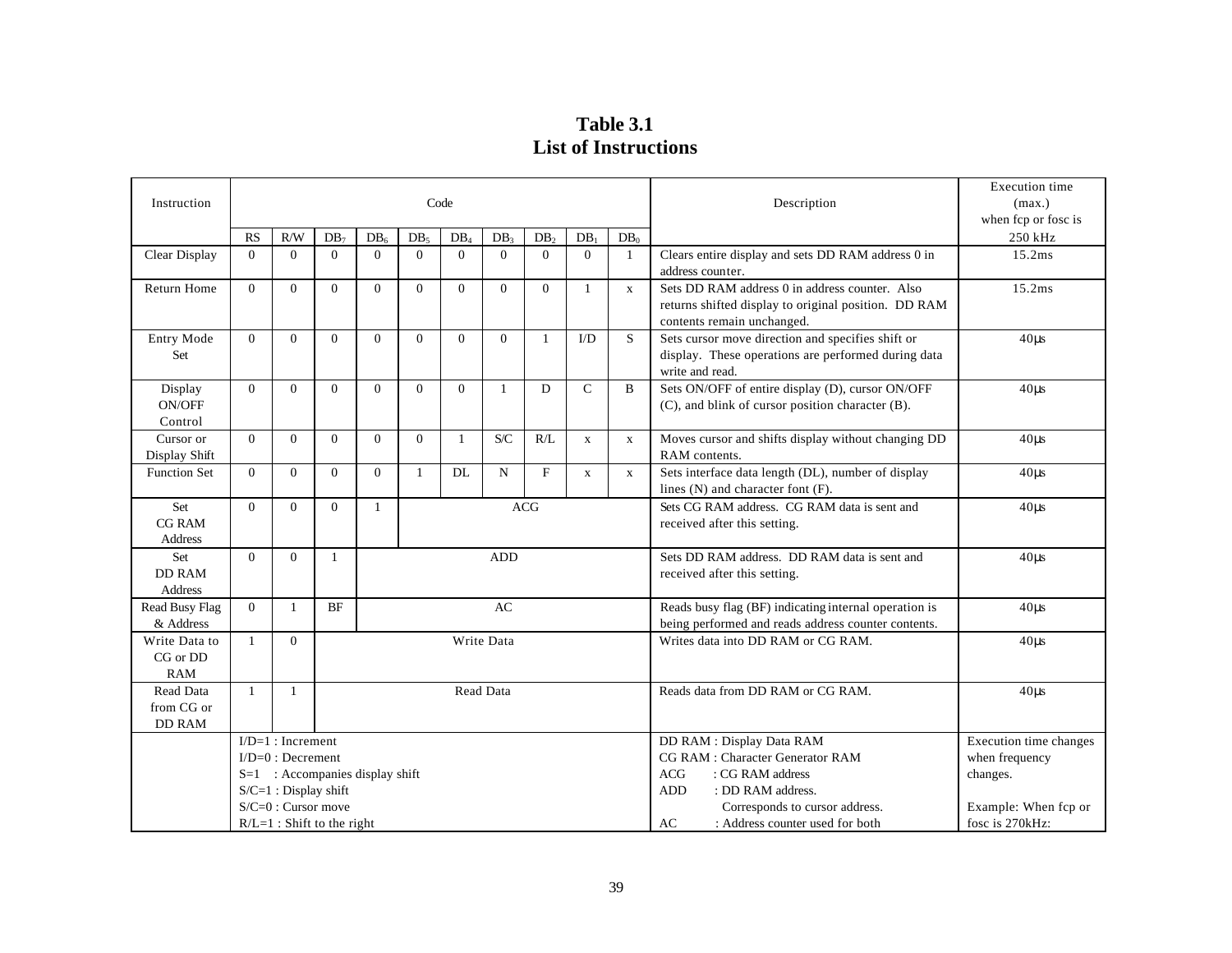**Table 3.1 List of Instructions**

|                     |              |                                                |              |                 |          |                                   |                 |                 |                        |              |                                                                     | <b>Execution</b> time  |
|---------------------|--------------|------------------------------------------------|--------------|-----------------|----------|-----------------------------------|-----------------|-----------------|------------------------|--------------|---------------------------------------------------------------------|------------------------|
| Instruction         |              |                                                |              |                 |          | Code                              |                 |                 |                        |              | Description                                                         | (max.)                 |
|                     |              |                                                |              |                 |          |                                   |                 |                 |                        |              |                                                                     | when fcp or fosc is    |
|                     | <b>RS</b>    | R/W                                            | $DB_7$       | DB <sub>e</sub> | $DB_5$   | DB.                               | DB <sub>2</sub> | DB <sub>1</sub> | <b>DB</b>              | $DB_0$       |                                                                     | 250 kHz                |
| Clear Display       | $\Omega$     | $\Omega$                                       | $\theta$     | $\Omega$        | $\theta$ | $\theta$                          | $\theta$        | $\Omega$        | $\theta$               | $\mathbf{1}$ | Clears entire display and sets DD RAM address 0 in                  | 15.2ms                 |
|                     |              |                                                |              |                 |          |                                   |                 |                 |                        |              | address counter.                                                    |                        |
| <b>Return Home</b>  | $\Omega$     | $\Omega$                                       | $\Omega$     | $\overline{0}$  | $\theta$ | $\theta$                          | $\Omega$        | $\Omega$        | 1                      | $\mathbf X$  | Sets DD RAM address 0 in address counter. Also                      | 15.2ms                 |
|                     |              |                                                |              |                 |          |                                   |                 |                 |                        |              | returns shifted display to original position. DD RAM                |                        |
|                     |              |                                                |              |                 |          |                                   |                 |                 |                        |              | contents remain unchanged.                                          |                        |
| Entry Mode          | $\Omega$     | $\theta$                                       | $\Omega$     | $\Omega$        | $\Omega$ | $\theta$                          | $\theta$        | 1               | $\mathbf{U}\mathbf{D}$ | S            | Sets cursor move direction and specifies shift or                   | $40\mu s$              |
| <b>Set</b>          |              |                                                |              |                 |          |                                   |                 |                 |                        |              | display. These operations are performed during data                 |                        |
|                     | $\Omega$     | $\Omega$                                       | $\Omega$     | $\Omega$        | $\theta$ | $\theta$                          | -1              | D               | $\mathcal{C}$          | B            | write and read.<br>Sets ON/OFF of entire display (D), cursor ON/OFF |                        |
| Display<br>ON/OFF   |              |                                                |              |                 |          |                                   |                 |                 |                        |              | (C), and blink of cursor position character (B).                    | $40\mu s$              |
| Control             |              |                                                |              |                 |          |                                   |                 |                 |                        |              |                                                                     |                        |
| Cursor or           | $\Omega$     | $\Omega$                                       | $\Omega$     | $\Omega$        | $\Omega$ | $\mathbf{1}$                      | S/C             | R/L             | $\mathbf X$            | $\mathbf X$  | Moves cursor and shifts display without changing DD                 | $40\mu s$              |
| Display Shift       |              |                                                |              |                 |          |                                   |                 |                 |                        |              | RAM contents.                                                       |                        |
| <b>Function Set</b> | $\Omega$     | $\Omega$                                       | $\Omega$     | $\overline{0}$  | 1        | DL                                | $\mathbf N$     | $\mathbf F$     | $\mathbf x$            | $\mathbf X$  | Sets interface data length (DL), number of display                  | $40\mu s$              |
|                     |              |                                                |              |                 |          |                                   |                 |                 |                        |              | lines (N) and character font (F).                                   |                        |
| Set                 | $\Omega$     | $\theta$                                       | $\Omega$     | 1               |          |                                   |                 | <b>ACG</b>      |                        |              | Sets CG RAM address. CG RAM data is sent and                        | $40\mu s$              |
| <b>CG RAM</b>       |              |                                                |              |                 |          |                                   |                 |                 |                        |              | received after this setting.                                        |                        |
| Address             |              |                                                |              |                 |          |                                   |                 |                 |                        |              |                                                                     |                        |
| Set                 | $\Omega$     | $\Omega$                                       | $\mathbf{1}$ |                 |          |                                   | <b>ADD</b>      |                 |                        |              | Sets DD RAM address. DD RAM data is sent and                        | $40\mu s$              |
| <b>DD RAM</b>       |              |                                                |              |                 |          |                                   |                 |                 |                        |              | received after this setting.                                        |                        |
| Address             |              |                                                |              |                 |          |                                   |                 |                 |                        |              |                                                                     |                        |
| Read Busy Flag      | $\Omega$     | $\mathbf{1}$                                   | $\rm{BF}$    |                 |          |                                   | AC              |                 |                        |              | Reads busy flag (BF) indicating internal operation is               | $40\mu s$              |
| & Address           |              |                                                |              |                 |          |                                   |                 |                 |                        |              | being performed and reads address counter contents.                 |                        |
| Write Data to       | $\mathbf{1}$ | $\Omega$                                       |              |                 |          |                                   | Write Data      |                 |                        |              | Writes data into DD RAM or CG RAM.                                  | $40\mu s$              |
| CG or DD            |              |                                                |              |                 |          |                                   |                 |                 |                        |              |                                                                     |                        |
| <b>RAM</b>          |              |                                                |              |                 |          |                                   |                 |                 |                        |              |                                                                     |                        |
| Read Data           | 1            | -1                                             |              | Read Data       |          | Reads data from DD RAM or CG RAM. | $40\mu s$       |                 |                        |              |                                                                     |                        |
| from CG or          |              |                                                |              |                 |          |                                   |                 |                 |                        |              |                                                                     |                        |
| <b>DD RAM</b>       |              |                                                |              |                 |          |                                   |                 |                 |                        |              |                                                                     |                        |
|                     |              | $ID=1$ : Increment                             |              |                 |          |                                   |                 |                 |                        |              | DD RAM : Display Data RAM                                           | Execution time changes |
|                     |              | $I/D=0$ : Decrement                            |              |                 |          |                                   |                 |                 |                        |              | CG RAM : Character Generator RAM                                    | when frequency         |
|                     |              | $S=1$ : Accompanies display shift              |              |                 |          |                                   |                 |                 |                        |              | <b>ACG</b><br>: CG RAM address<br>: DD RAM address.                 | changes.               |
|                     |              | S/C=1 : Display shift<br>$S/C=0$ : Cursor move |              |                 |          |                                   |                 |                 |                        |              | <b>ADD</b><br>Corresponds to cursor address.                        | Example: When fcp or   |
|                     |              | $R/L=1$ : Shift to the right                   |              |                 |          |                                   |                 |                 |                        |              | : Address counter used for both<br>AC                               | fosc is 270kHz:        |
|                     |              |                                                |              |                 |          |                                   |                 |                 |                        |              |                                                                     |                        |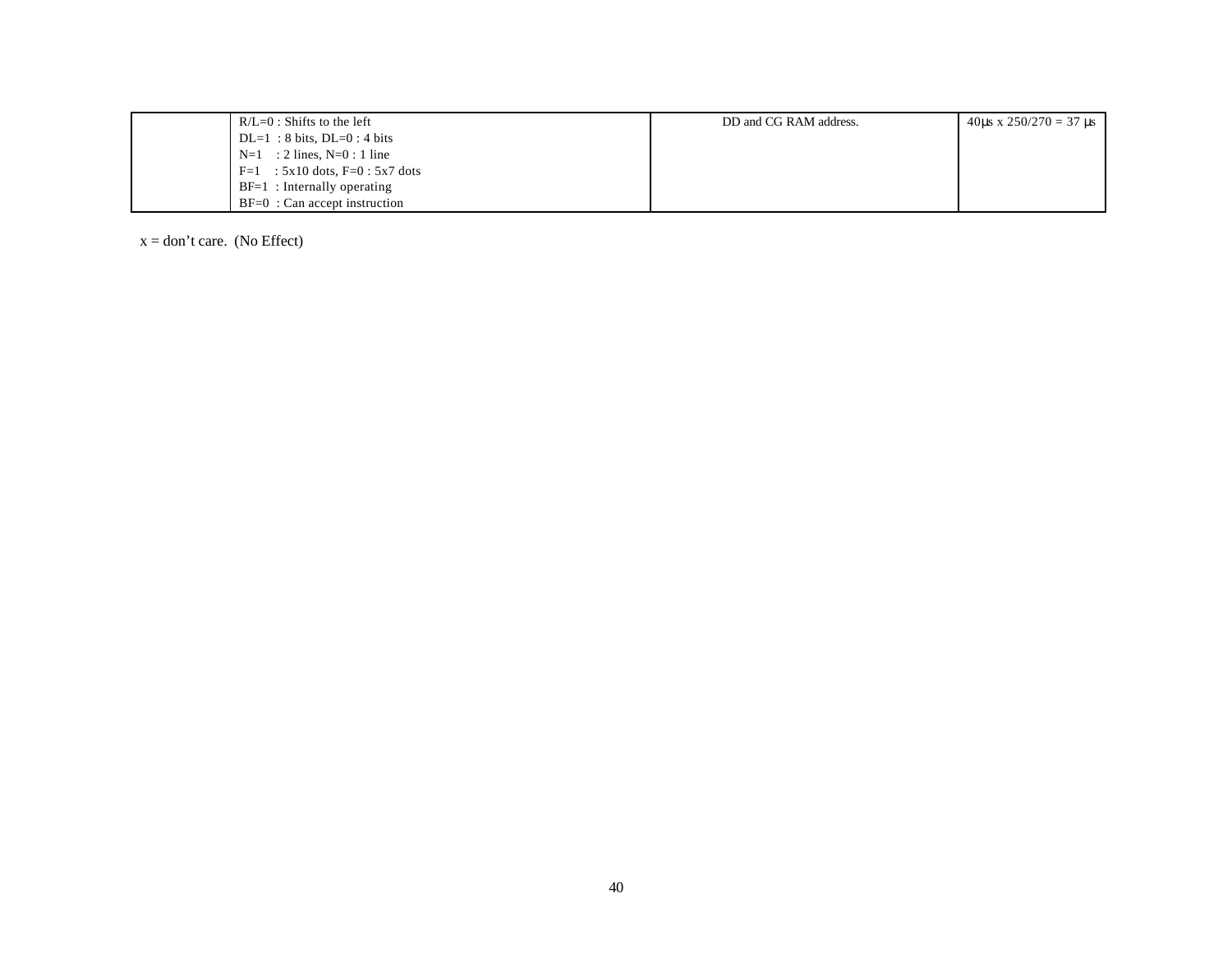| $R/L=0$ : Shifts to the left        | DD and CG RAM address. | 40us x $250/270 = 37$ us |
|-------------------------------------|------------------------|--------------------------|
| $DL=1$ : 8 bits, $DL=0$ : 4 bits    |                        |                          |
| $N=1$ : 2 lines, $N=0$ : 1 line     |                        |                          |
| $F=1$ : 5x10 dots, $F=0$ : 5x7 dots |                        |                          |
| $BF=1$ : Internally operating       |                        |                          |
| $BF=0$ : Can accept instruction     |                        |                          |

 $x = don't care.$  (No Effect)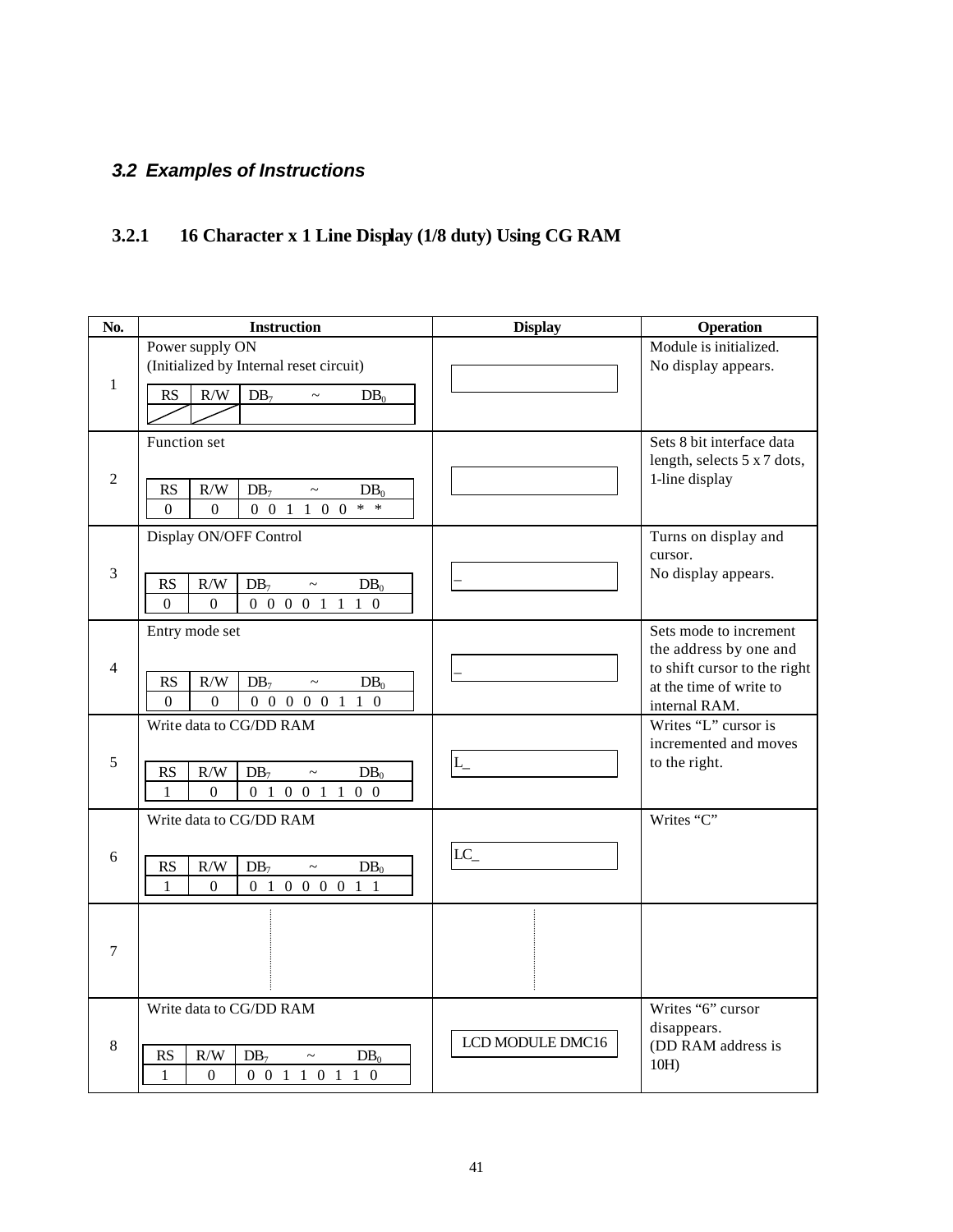### *3.2 Examples of Instructions*

### **3.2.1 16 Character x 1 Line Display (1/8 duty) Using CG RAM**

| No.            | <b>Instruction</b>                                                                                                                             | <b>Display</b>   | Operation                                                                                                                    |
|----------------|------------------------------------------------------------------------------------------------------------------------------------------------|------------------|------------------------------------------------------------------------------------------------------------------------------|
| $\mathbf{1}$   | Power supply ON<br>(Initialized by Internal reset circuit)<br>RS<br>R/W<br>$DB_7$<br>$DB_0$<br>$\sim$                                          |                  | Module is initialized.<br>No display appears.                                                                                |
| $\overline{2}$ | Function set<br>$\rm R/W$<br><b>RS</b><br>$DB_7$<br>$DB_0$<br>$\sim$<br>$0 \t0 \t1 \t1 \t0 \t0$<br>$*$ *<br>$\boldsymbol{0}$<br>$\overline{0}$ |                  | Sets 8 bit interface data<br>length, selects 5 x 7 dots,<br>1-line display                                                   |
| 3              | Display ON/OFF Control<br>$\rm R/W$<br><b>RS</b><br>$DB_7$<br>$DB_0$<br>$\sim$<br>0 0 0 0 1 1 1 0<br>$\Omega$<br>$\overline{0}$                |                  | Turns on display and<br>cursor.<br>No display appears.                                                                       |
| 4              | Entry mode set<br><b>RS</b><br>R/W<br>$DB_7$<br>$\tilde{}$<br>$DB_0$<br>$\overline{0}$<br>$\overline{0}$<br>0 0 0 0 0 1 1 0                    |                  | Sets mode to increment<br>the address by one and<br>to shift cursor to the right<br>at the time of write to<br>internal RAM. |
| 5              | Write data to CG/DD RAM<br>R/W<br><b>RS</b><br>$DB_7$<br>$DB_0$<br>$\sim$<br>0 1 0 0 1 1 0 0<br>$\mathbf{1}$<br>$\Omega$                       |                  | Writes "L" cursor is<br>incremented and moves<br>to the right.                                                               |
| 6              | Write data to CG/DD RAM<br>RS<br>R/W<br>$DB_7$<br>$DB_0$<br>$\sim$<br>0 1 0 0 0 0 1 1<br>$\Omega$<br>$\mathbf{1}$                              | $LC_$            | Writes "C"                                                                                                                   |
| $\tau$         |                                                                                                                                                |                  |                                                                                                                              |
| 8              | Write data to CG/DD RAM<br>R/W<br><b>RS</b><br>$DB_7$<br>DB <sub>0</sub><br>$\tilde{}$<br>1<br>$\Omega$<br>0 0 1 1 0 1 1 0                     | LCD MODULE DMC16 | Writes "6" cursor<br>disappears.<br>(DD RAM address is<br>10H                                                                |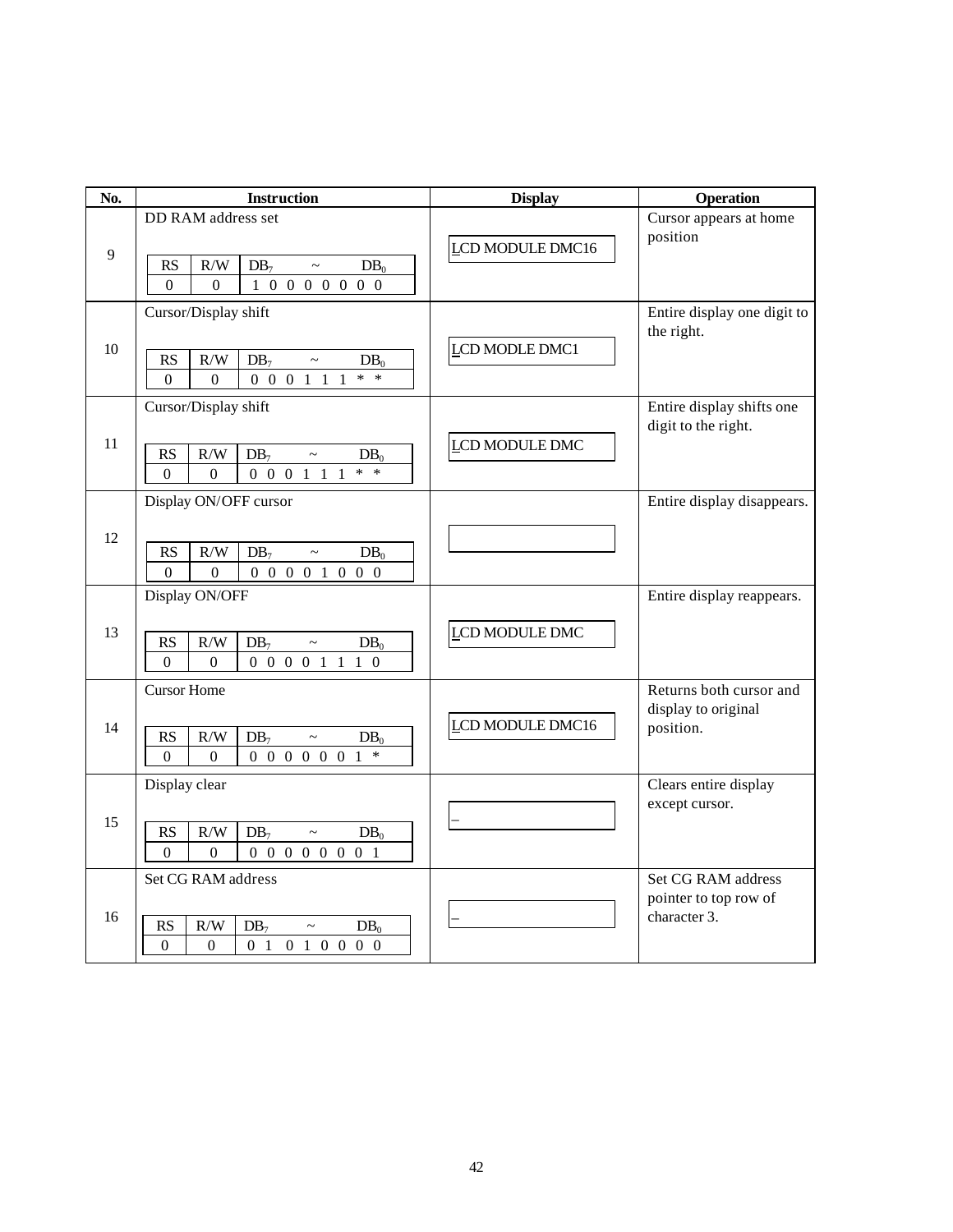| No. | <b>Instruction</b>                                                                                                                                                   | <b>Display</b>   | Operation                                                   |
|-----|----------------------------------------------------------------------------------------------------------------------------------------------------------------------|------------------|-------------------------------------------------------------|
| 9   | DD RAM address set<br>$\rm R/W$<br>RS<br>$DB_7$<br>$DB_0$<br>$\thicksim$<br>1 0 0 0 0 0 0 0 0<br>$\Omega$<br>$\Omega$                                                | LCD MODULE DMC16 | Cursor appears at home<br>position                          |
| 10  | Cursor/Display shift<br>R/W<br>RS<br>$DB_7$<br>$DB_0$<br>$\tilde{}$<br>$*$ *<br>$0 \t0 \t0 \t1 \t1$<br>$\Omega$<br>$\Omega$                                          | LCD MODLE DMC1   | Entire display one digit to<br>the right.                   |
| 11  | Cursor/Display shift<br>R/W<br>RS<br>DB <sub>7</sub><br>DB <sub>0</sub><br>$\sim$<br>$0 \t0 \t0 \t1 \t1$<br>$\ast$<br>$\Omega$<br>$\ast$<br>$\Omega$<br>$\mathbf{1}$ | LCD MODULE DMC   | Entire display shifts one<br>digit to the right.            |
| 12  | Display ON/OFF cursor<br>RS<br>$\rm R/W$<br>$DB_7$<br>DB <sub>0</sub><br>$\thicksim$<br>0 0 0 0 1 0 0 0<br>$\Omega$<br>$\theta$                                      |                  | Entire display disappears.                                  |
| 13  | Display ON/OFF<br><b>RS</b><br>$\rm R/W$<br>$DB_7$<br>$DB_0$<br>$\sim$<br>$\Omega$<br>0 0 0 0 1 1<br>$\Omega$<br>$1\quad0$                                           | LCD MODULE DMC   | Entire display reappears.                                   |
| 14  | <b>Cursor Home</b><br><b>RS</b><br>R/W<br>$DB_7$<br>$DB_0$<br>$\thicksim$<br>$\overline{0}$<br>0 0 0 0 0 0 1<br>$\boldsymbol{0}$<br>$\ast$                           | LCD MODULE DMC16 | Returns both cursor and<br>display to original<br>position. |
| 15  | Display clear<br><b>RS</b><br>$\rm R/W$<br>DB <sub>7</sub><br>$DB_0$<br>$\thicksim$<br>$\Omega$<br>0 0 0 0 0 0 0 1<br>$\Omega$                                       |                  | Clears entire display<br>except cursor.                     |
| 16  | Set CG RAM address<br>R/W<br><b>RS</b><br>DB <sub>7</sub><br>DB <sub>0</sub><br>$\sim$<br>$\theta$<br>$\theta$<br>0 1 0 1 0 0 0 0                                    |                  | Set CG RAM address<br>pointer to top row of<br>character 3. |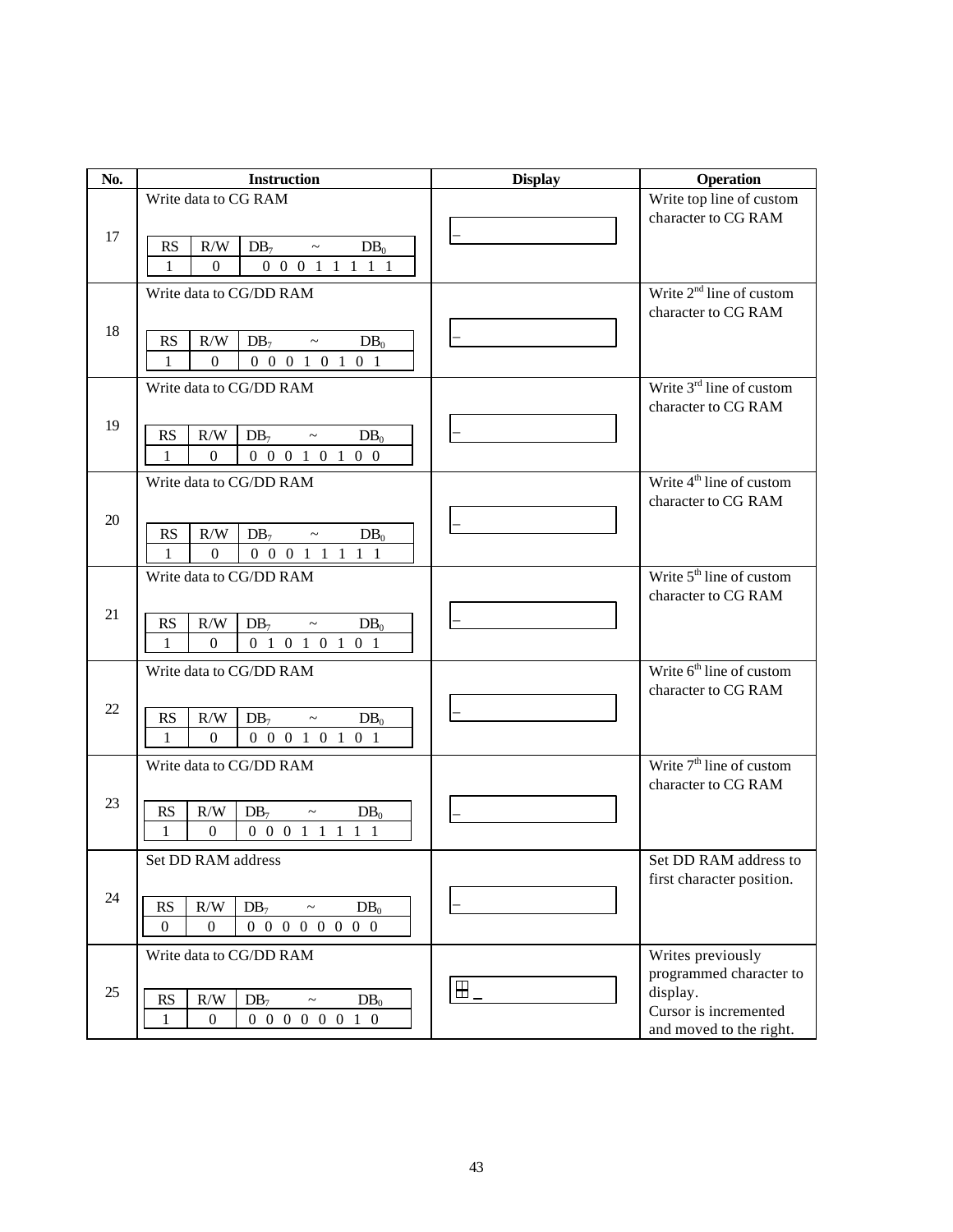| No. | <b>Instruction</b>                                                                | <b>Display</b>   | Operation                            |
|-----|-----------------------------------------------------------------------------------|------------------|--------------------------------------|
|     | Write data to CG RAM                                                              |                  | Write top line of custom             |
|     |                                                                                   |                  | character to CG RAM                  |
| 17  | R/W<br>RS<br>$DB_7$<br>$DB_0$<br>$\sim$ 100 $\sim$                                |                  |                                      |
|     | $\mathbf{1}$<br>0 0 0 1 1 1 1 1<br>$\overline{0}$                                 |                  |                                      |
|     | Write data to CG/DD RAM                                                           |                  | Write $2nd$ line of custom           |
|     |                                                                                   |                  | character to CG RAM                  |
| 18  | R/W<br><b>RS</b><br>$DB_7$ ~<br>$DB_0$                                            |                  |                                      |
|     | $\mathbf{1}$<br>0 0 0 1 0 1 0 1<br>$\overline{0}$                                 |                  |                                      |
|     | Write data to CG/DD RAM                                                           |                  | Write $3rd$ line of custom           |
|     |                                                                                   |                  | character to CG RAM                  |
| 19  | R/W<br>RS<br>$DB_7$ ~<br>$DB_0$                                                   |                  |                                      |
|     | 0 0 0 1 0 1 0 0<br>$\mathbf{1}$<br>$\overline{0}$                                 |                  |                                      |
|     | Write data to CG/DD RAM                                                           |                  | Write 4 <sup>th</sup> line of custom |
|     |                                                                                   |                  | character to CG RAM                  |
| 20  | $R/W$ $DB_7$ ~<br>RS<br>$DB_0$                                                    |                  |                                      |
|     | 0 0 0 1 1 1 1 1<br>$\mathbf{1}$<br>$\overline{0}$                                 |                  |                                      |
|     | Write data to CG/DD RAM                                                           |                  | Write $5th$ line of custom           |
| 21  |                                                                                   |                  | character to CG RAM                  |
|     | RS<br>R/W<br>$DB_7$ ~<br>$DB_0$                                                   |                  |                                      |
|     | 0 1 0 1 0 1 0 1<br>$\mathbf{1}$<br>$\mathbf{0}$                                   |                  |                                      |
|     | Write data to CG/DD RAM                                                           |                  | Write $6th$ line of custom           |
| 22  |                                                                                   |                  | character to CG RAM                  |
|     | RS<br>R/W<br>$DB_0$<br>$DB_7$<br>$\sim$                                           |                  |                                      |
|     | $\mathbf{1}$<br>$\overline{0}$<br>0 0 0 1 0 1 0 1                                 |                  |                                      |
|     | Write data to CG/DD RAM                                                           |                  | Write $7th$ line of custom           |
| 23  |                                                                                   |                  | character to CG RAM                  |
|     | <b>RS</b><br>R/W<br>$DB_7$ ~<br>$DB_0$                                            |                  |                                      |
|     | $0 \t0 \t0 \t1 \t1 \t1 \t1$<br>$\mathbf{1}$<br>$\overline{0}$                     |                  |                                      |
|     | Set DD RAM address                                                                |                  | Set DD RAM address to                |
| 24  |                                                                                   |                  | first character position.            |
|     | R/W<br>DB <sub>7</sub><br><b>RS</b><br>$DB_0$<br>$\thicksim$                      |                  |                                      |
|     | $\boldsymbol{0}$<br>$0\ 0\ 0\ 0\ 0\ 0\ 0\ 0$<br>$\boldsymbol{0}$                  |                  |                                      |
|     | Write data to CG/DD RAM                                                           |                  | Writes previously                    |
| 25  |                                                                                   | $\mathbf{H}_{-}$ | programmed character to<br>display.  |
|     | R/W<br><b>RS</b><br>$DB_7$<br>$DB_0$<br>$\sim$<br>$\mathbf{1}$<br>0 0 0 0 0 0 1 0 |                  | Cursor is incremented                |
|     | $\boldsymbol{0}$                                                                  |                  | and moved to the right.              |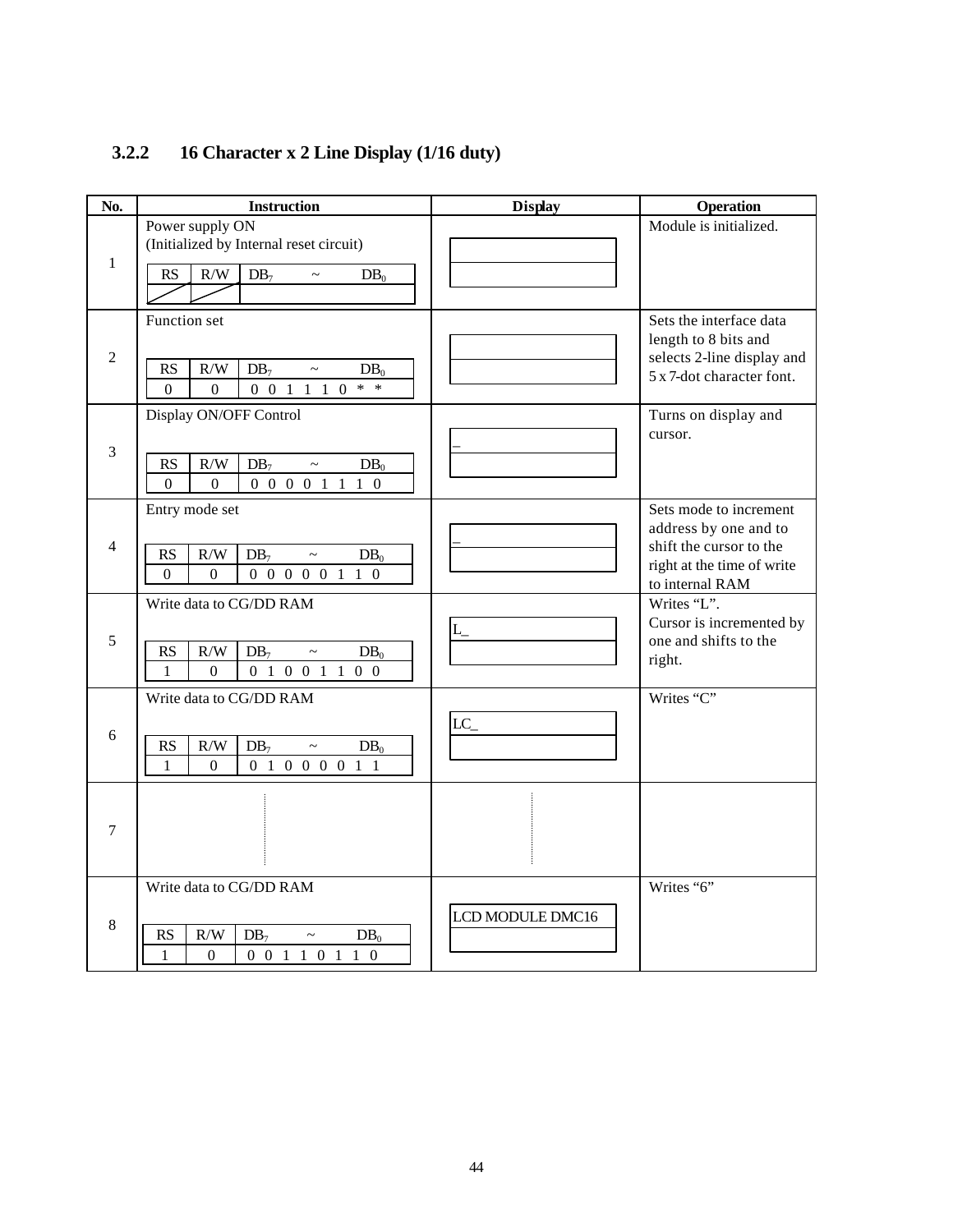| No.            | <b>Instruction</b>                                                                                                    | <b>Display</b>   | <b>Operation</b>                                        |
|----------------|-----------------------------------------------------------------------------------------------------------------------|------------------|---------------------------------------------------------|
| $\mathbf{1}$   | Power supply ON<br>(Initialized by Internal reset circuit)                                                            |                  | Module is initialized.                                  |
|                | RS<br>$\rm R/W$<br>$DB_7$<br>$DB_0$<br>$\sim$                                                                         |                  |                                                         |
|                | Function set                                                                                                          |                  | Sets the interface data<br>length to 8 bits and         |
| $\overline{2}$ | <b>RS</b><br>R/W<br>$DB_7$<br>$DB_0$<br>$\thicksim$<br>$0 \t0 \t1 \t1 \t1 \t0$<br>$* *$<br>$\Omega$<br>$\overline{0}$ |                  | selects 2-line display and<br>5 x 7-dot character font. |
|                | Display ON/OFF Control                                                                                                |                  | Turns on display and<br>cursor.                         |
| $\mathfrak{Z}$ | $\rm R/W$<br>RS<br>$DB_7$<br>$DB_0$<br>$\thicksim$<br>$\overline{0}$<br>$\Omega$<br>0 0 0 0 1 1 1 0                   |                  |                                                         |
|                | Entry mode set                                                                                                        |                  | Sets mode to increment<br>address by one and to         |
| 4              | RS<br>R/W<br>$DB_7$<br>$DB_0$<br>$\widetilde{\phantom{m}}$                                                            |                  | shift the cursor to the                                 |
|                | 0 0 0 0 0 1 1 0<br>$\Omega$<br>$\overline{0}$                                                                         |                  | right at the time of write<br>to internal RAM           |
|                | Write data to CG/DD RAM                                                                                               |                  | Writes "L".<br>Cursor is incremented by                 |
| 5              | R/W<br><b>RS</b><br>$DB_7$<br>$DB_0$<br>$\sim$                                                                        |                  | one and shifts to the                                   |
|                | $\mathbf{1}$<br>$\boldsymbol{0}$<br>0 1 0 0 1 1 0 0                                                                   |                  | right.                                                  |
|                | Write data to CG/DD RAM                                                                                               |                  | Writes "C"                                              |
| 6              | <b>RS</b><br>R/W<br>DB <sub>7</sub><br>$DB_0$<br>$\tilde{}$                                                           | $LC_{-}$         |                                                         |
|                | $\overline{0}$<br>0 1 0 0 0 0 1 1<br>$\mathbf{1}$                                                                     |                  |                                                         |
| $\tau$         |                                                                                                                       |                  |                                                         |
|                | Write data to CG/DD RAM                                                                                               |                  | Writes "6"                                              |
| 8              |                                                                                                                       | LCD MODULE DMC16 |                                                         |
|                | RS<br>R/W<br>$DB_7$<br>$DB_0$<br>$0 \t0 \t1 \t1 \t0 \t1 \t1 \t0$<br>$\mathbf{1}$<br>$\overline{0}$                    |                  |                                                         |
|                |                                                                                                                       |                  |                                                         |

### **3.2.2 16 Character x 2 Line Display (1/16 duty)**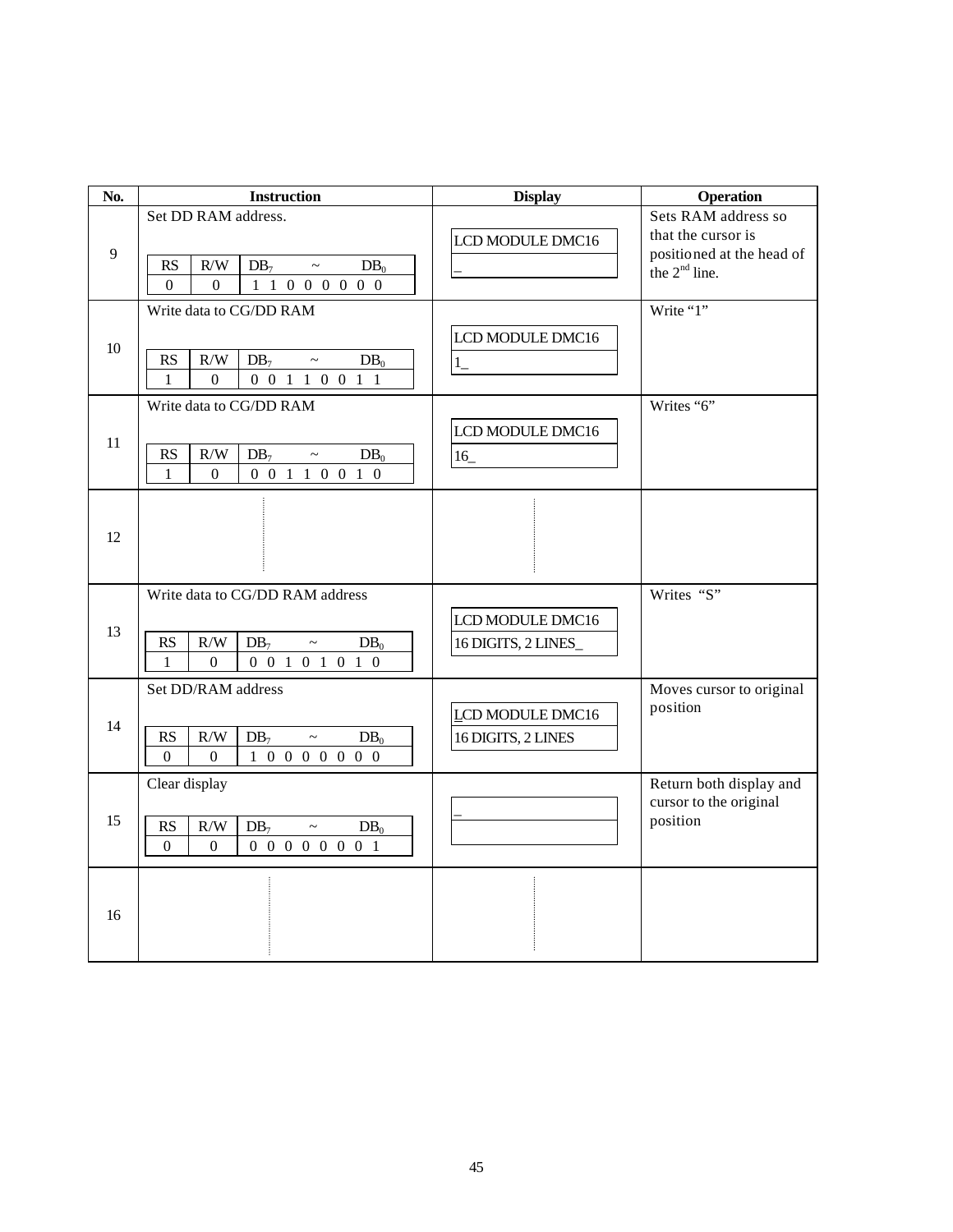| No. | <b>Instruction</b>                                                                                                                                                      | <b>Display</b>                          | <b>Operation</b>                                                                          |
|-----|-------------------------------------------------------------------------------------------------------------------------------------------------------------------------|-----------------------------------------|-------------------------------------------------------------------------------------------|
| 9   | Set DD RAM address.<br>RS<br>$\rm R/W$<br>$DB_7$<br>DB <sub>0</sub><br>$\sim$<br>1 1 0 0 0 0 0 0<br>$\Omega$<br>$\Omega$                                                | LCD MODULE DMC16                        | Sets RAM address so<br>that the cursor is<br>positioned at the head of<br>the $2nd$ line. |
| 10  | Write data to CG/DD RAM<br>$\mathbf{R}\mathbf{S}$<br>R/W<br>DB <sub>7</sub><br>$DB_0$<br>$\tilde{}$<br>0 0 1 1 0 0 1 1<br>$\mathbf{1}$<br>$\overline{0}$                | LCD MODULE DMC16<br>$1_{-}$             | Write "1"                                                                                 |
| 11  | Write data to CG/DD RAM<br>RS<br>R/W<br>$DB_7$<br>$DB_0$<br>$\sim$<br>0 0 1 1 0 0 1 0<br>$\mathbf{1}$<br>$\overline{0}$                                                 | LCD MODULE DMC16<br>16                  | Writes "6"                                                                                |
| 12  |                                                                                                                                                                         |                                         |                                                                                           |
| 13  | Write data to CG/DD RAM address<br>RS<br>R/W<br>DB <sub>7</sub><br>$DB_0$<br>$\thicksim$<br>$\mathbf{1}$<br>$\Omega$<br>0 0 1 0 1 0 1 0                                 | LCD MODULE DMC16<br>16 DIGITS, 2 LINES_ | Writes "S"                                                                                |
| 14  | Set DD/RAM address<br><b>RS</b><br>R/W<br>$DB_7$<br>$DB_0$<br>$\thicksim$<br>$1\  \, 0\  \, 0\  \, 0\  \, 0\  \, 0\  \, 0\  \, 0$<br>$\boldsymbol{0}$<br>$\overline{0}$ | LCD MODULE DMC16<br>16 DIGITS, 2 LINES  | Moves cursor to original<br>position                                                      |
| 15  | Clear display<br>$\rm R/W$<br>RS<br>$DB_7$<br>$DB_0$<br>$\tilde{}$<br>0 0 0 0 0 0 0 1<br>$\Omega$<br>$\Omega$                                                           |                                         | Return both display and<br>cursor to the original<br>position                             |
| 16  |                                                                                                                                                                         |                                         |                                                                                           |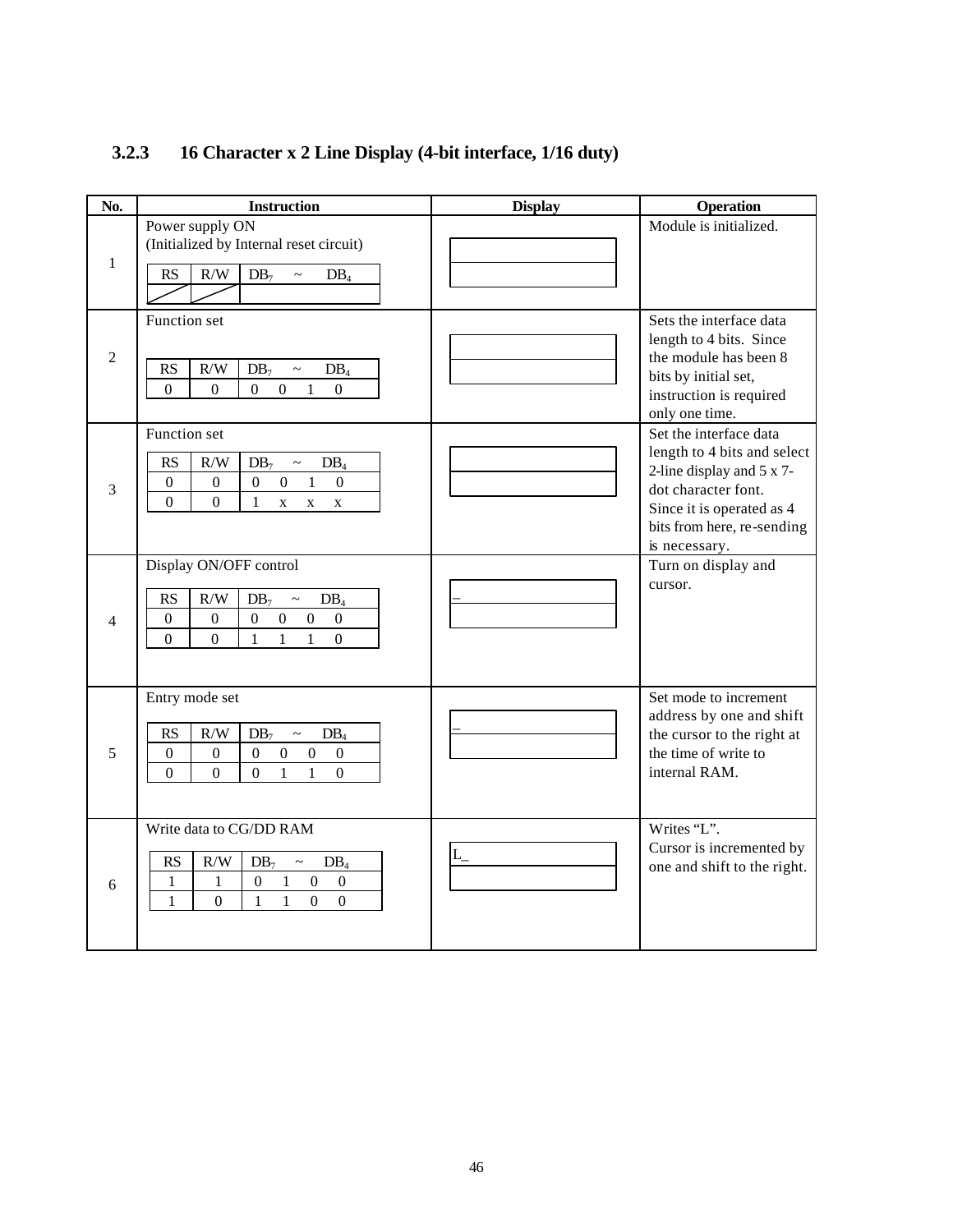| No.          | <b>Instruction</b>                                                                                                                                                                                                                                                                           | <b>Display</b> | <b>Operation</b>                                                                                                                                                                      |
|--------------|----------------------------------------------------------------------------------------------------------------------------------------------------------------------------------------------------------------------------------------------------------------------------------------------|----------------|---------------------------------------------------------------------------------------------------------------------------------------------------------------------------------------|
| $\mathbf{1}$ | Power supply ON<br>(Initialized by Internal reset circuit)<br>$\rm R/W$<br>$DB_7$<br>RS<br>$DB_4$<br>$\widetilde{\phantom{m}}$                                                                                                                                                               |                | Module is initialized.                                                                                                                                                                |
| 2            | Function set<br>$\rm R/W$<br><b>RS</b><br>DB <sub>7</sub><br>$DB_4$<br>$\sim$<br>$\overline{0}$<br>$\overline{0}$<br>$\overline{0}$<br>$\overline{0}$<br>$\mathbf{1}$<br>$\mathbf{0}$                                                                                                        |                | Sets the interface data<br>length to 4 bits. Since<br>the module has been 8<br>bits by initial set,<br>instruction is required<br>only one time.                                      |
| 3            | Function set<br>RS<br>$\rm R/W$<br>$DB_7$<br>$DB_4$<br>$\thicksim$<br>$\mathbf{1}$<br>$\boldsymbol{0}$<br>$\boldsymbol{0}$<br>$\boldsymbol{0}$<br>$\boldsymbol{0}$<br>$\boldsymbol{0}$<br>$\theta$<br>$\theta$<br>$\mathbf{1}$<br>$\mathbf X$<br>$\mathbf{x}$<br>$\mathbf X$                 |                | Set the interface data<br>length to 4 bits and select<br>2-line display and 5 x 7-<br>dot character font.<br>Since it is operated as 4<br>bits from here, re-sending<br>is necessary. |
| 4            | Display ON/OFF control<br>R/W<br>RS<br>$DB_7$<br>$DB_4$<br>$\thicksim$<br>$\boldsymbol{0}$<br>$\boldsymbol{0}$<br>$\theta$<br>$\boldsymbol{0}$<br>$\overline{0}$<br>$\boldsymbol{0}$<br>$\overline{0}$<br>$\mathbf{1}$<br>$\mathbf{1}$<br>$\overline{0}$<br>$\mathbf{1}$<br>$\boldsymbol{0}$ |                | Turn on display and<br>cursor.                                                                                                                                                        |
| 5            | Entry mode set<br>R/W<br><b>RS</b><br>$DB_7$<br>$DB_4$<br>$\sim$<br>$\boldsymbol{0}$<br>$\boldsymbol{0}$<br>$\mathbf{0}$<br>$\boldsymbol{0}$<br>$\boldsymbol{0}$<br>$\boldsymbol{0}$<br>$\mathbf{1}$<br>$\boldsymbol{0}$<br>$\Omega$<br>$\boldsymbol{0}$<br>$\mathbf{1}$<br>$\boldsymbol{0}$ |                | Set mode to increment<br>address by one and shift<br>the cursor to the right at<br>the time of write to<br>internal RAM.                                                              |
| 6            | Write data to CG/DD RAM<br>RS<br>$\rm R/W$<br>$DB_7$<br>$DB_4$<br>$\sim$<br>$\boldsymbol{0}$<br>$\boldsymbol{0}$<br>$\boldsymbol{0}$<br>$\mathbf{1}$<br>$\mathbf{1}$<br>1<br>$\mathbf{1}$<br>$\overline{0}$<br>$\mathbf{1}$<br>$\mathbf{1}$<br>$\boldsymbol{0}$<br>$\boldsymbol{0}$          | $L_{-}$        | Writes "L".<br>Cursor is incremented by<br>one and shift to the right.                                                                                                                |

### **3.2.3 16 Character x 2 Line Display (4-bit interface, 1/16 duty)**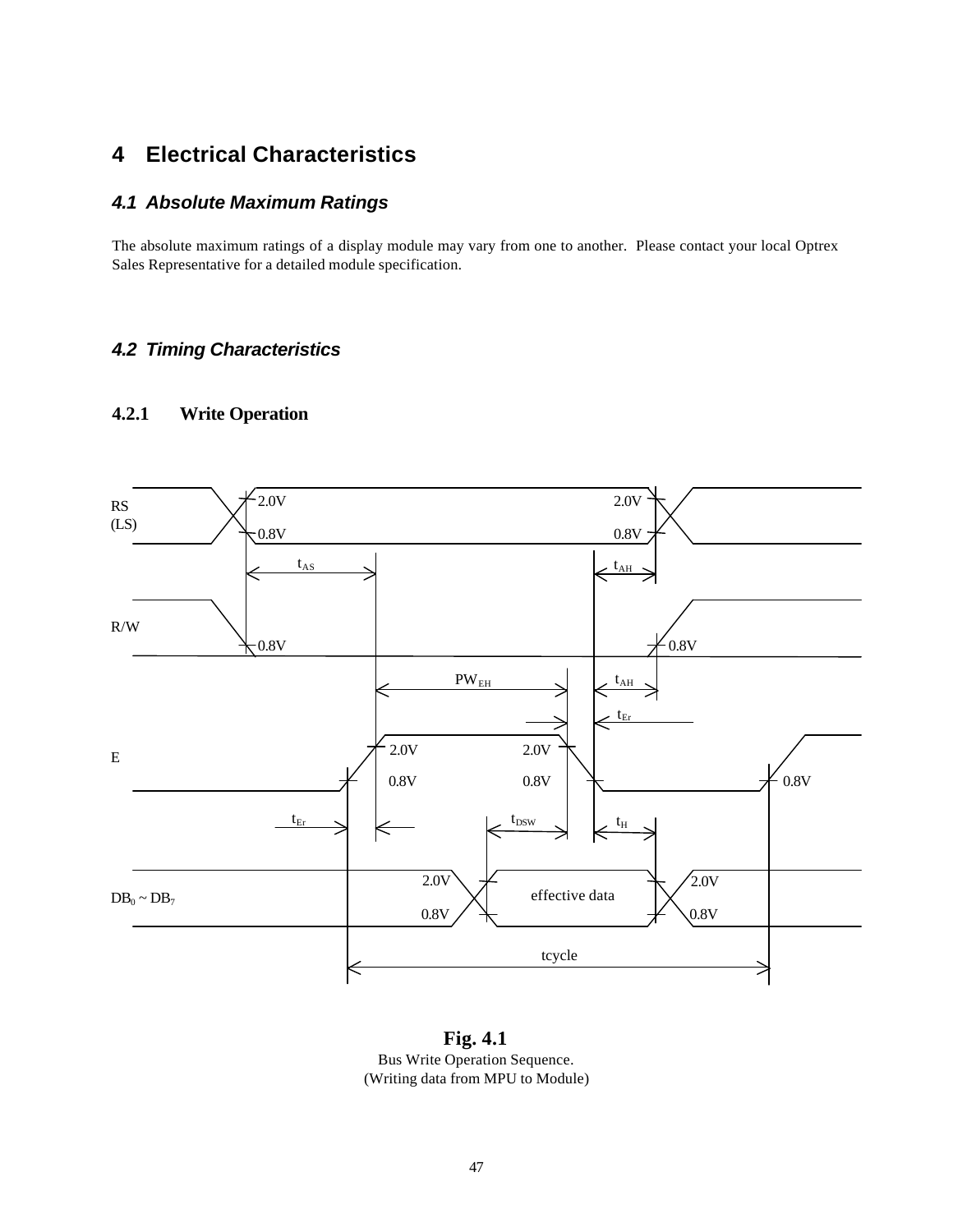### **4 Electrical Characteristics**

### *4.1 Absolute Maximum Ratings*

The absolute maximum ratings of a display module may vary from one to another. Please contact your local Optrex Sales Representative for a detailed module specification.

### *4.2 Timing Characteristics*

### **4.2.1 Write Operation**



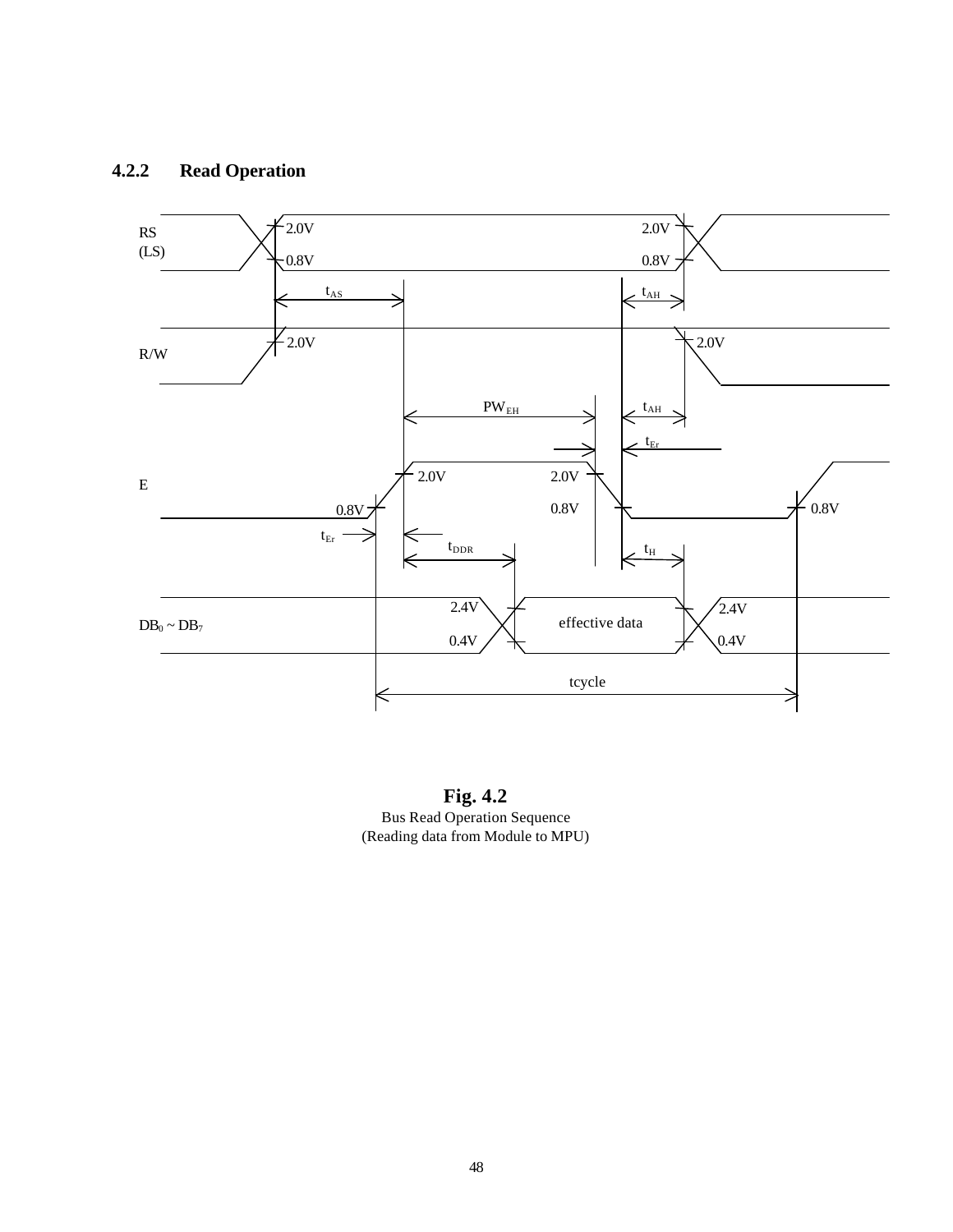### **4.2.2 Read Operation**



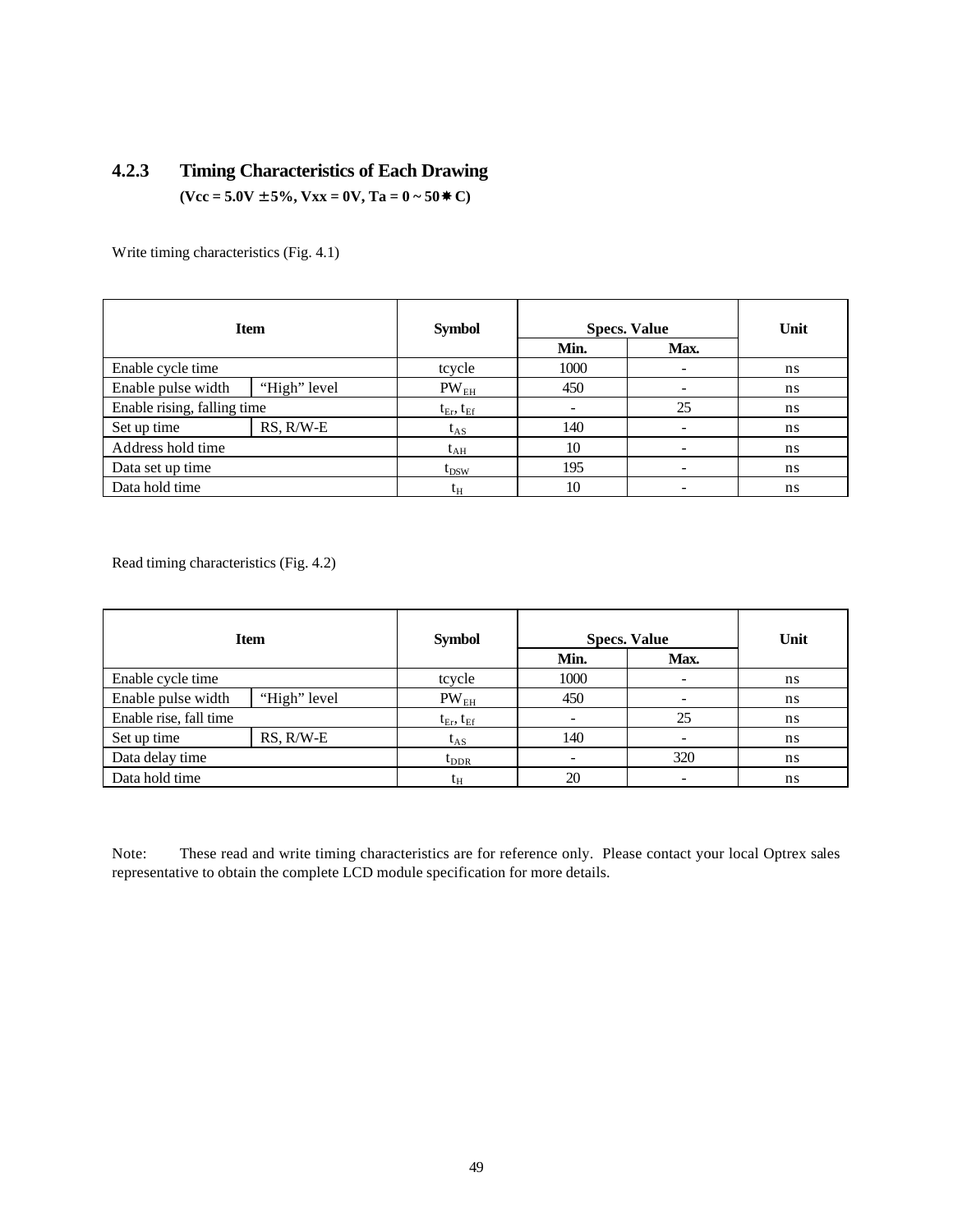### **4.2.3 Timing Characteristics of Each Drawing**  $(**Vcc** = 5.0**V** \pm 5\%, **Vxx** = 0**V**, **Ta** = 0 ~ 50 **W C**)$

Write timing characteristics (Fig. 4.1)

| <b>Item</b>                 |                | <b>Symbol</b>       | <b>Specs. Value</b> |                          | Unit |
|-----------------------------|----------------|---------------------|---------------------|--------------------------|------|
|                             |                |                     | Min.                | Max.                     |      |
| Enable cycle time           |                | tcycle              | 1000                | -                        | ns   |
| Enable pulse width          | "High" level   | $PW_{EH}$           | 450                 | $\overline{\phantom{0}}$ | ns   |
| Enable rising, falling time |                | $t_{Er}$ , $t_{Ef}$ |                     | 25                       | ns   |
| Set up time                 | $RS$ , $R/W-E$ | $t_{AS}$            | 140                 | $\overline{\phantom{0}}$ | ns   |
| Address hold time           |                | $t_{AH}$            | 10                  | $\overline{\phantom{0}}$ | ns   |
| Data set up time            |                | $t_{DSW}$           | 195                 | $\overline{\phantom{0}}$ | ns   |
| Data hold time              |                | t <sub>H</sub>      | 10                  |                          | ns   |

Read timing characteristics (Fig. 4.2)

| <b>Item</b>            |                | <b>Symbol</b>       | <b>Specs. Value</b> |                              | Unit |
|------------------------|----------------|---------------------|---------------------|------------------------------|------|
|                        |                |                     | Min.                | Max.                         |      |
| Enable cycle time      |                | tcycle              | 1000                | $\qquad \qquad \blacksquare$ | ns   |
| Enable pulse width     | "High" level   | PW <sub>EH</sub>    | 450                 |                              | ns   |
| Enable rise, fall time |                | $t_{Er}$ , $t_{Ef}$ |                     | 25                           | ns   |
| Set up time            | $RS$ , $R/W-E$ | $\rm t_{AS}$        | 140                 | -                            | ns   |
| Data delay time        |                | $t_{\rm DDR}$       |                     | 320                          | ns   |
| Data hold time         |                | tн                  | 20                  |                              | ns   |

Note: These read and write timing characteristics are for reference only. Please contact your local Optrex sales representative to obtain the complete LCD module specification for more details.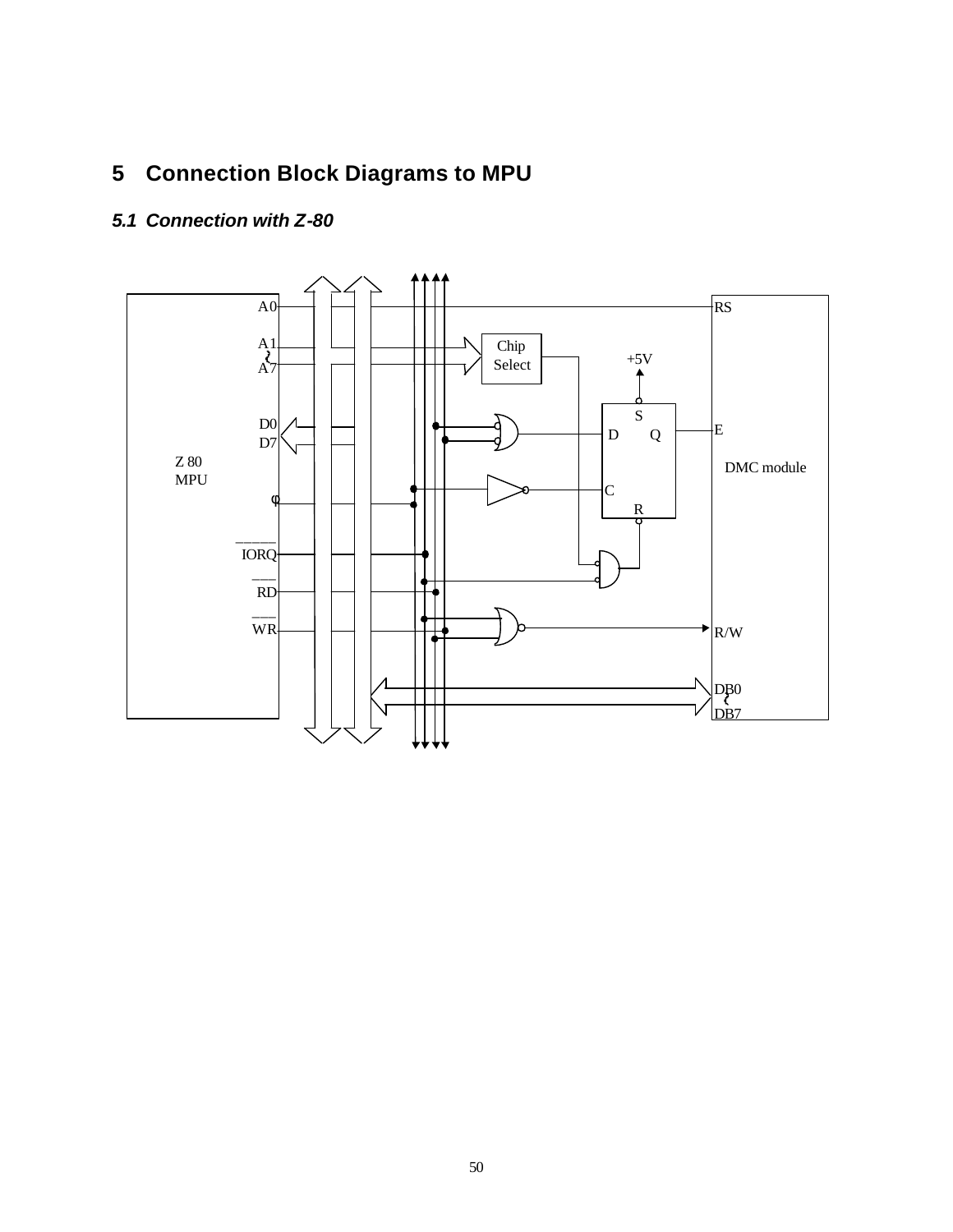## **5 Connection Block Diagrams to MPU**

### *5.1 Connection with Z-80*

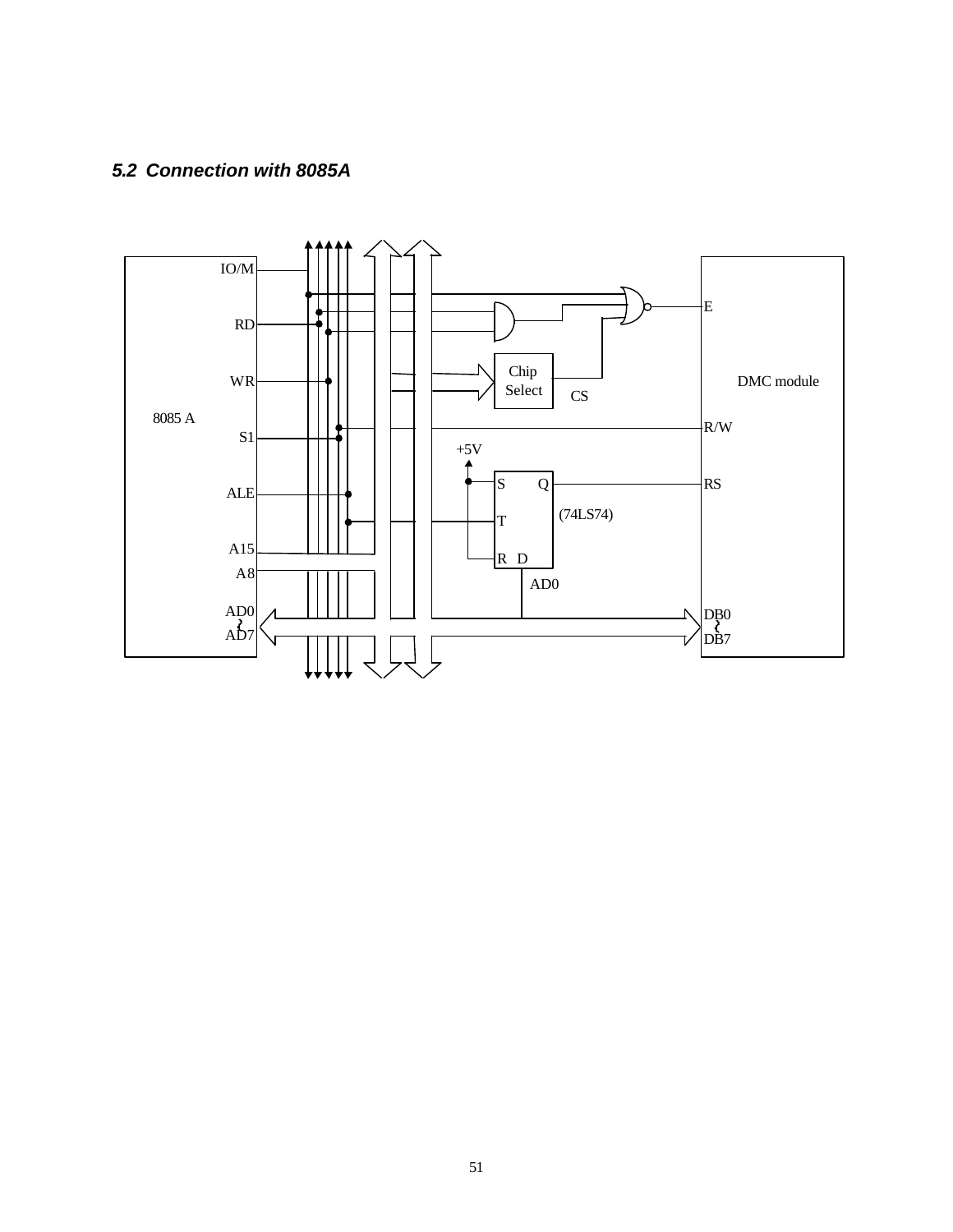### *5.2 Connection with 8085A*

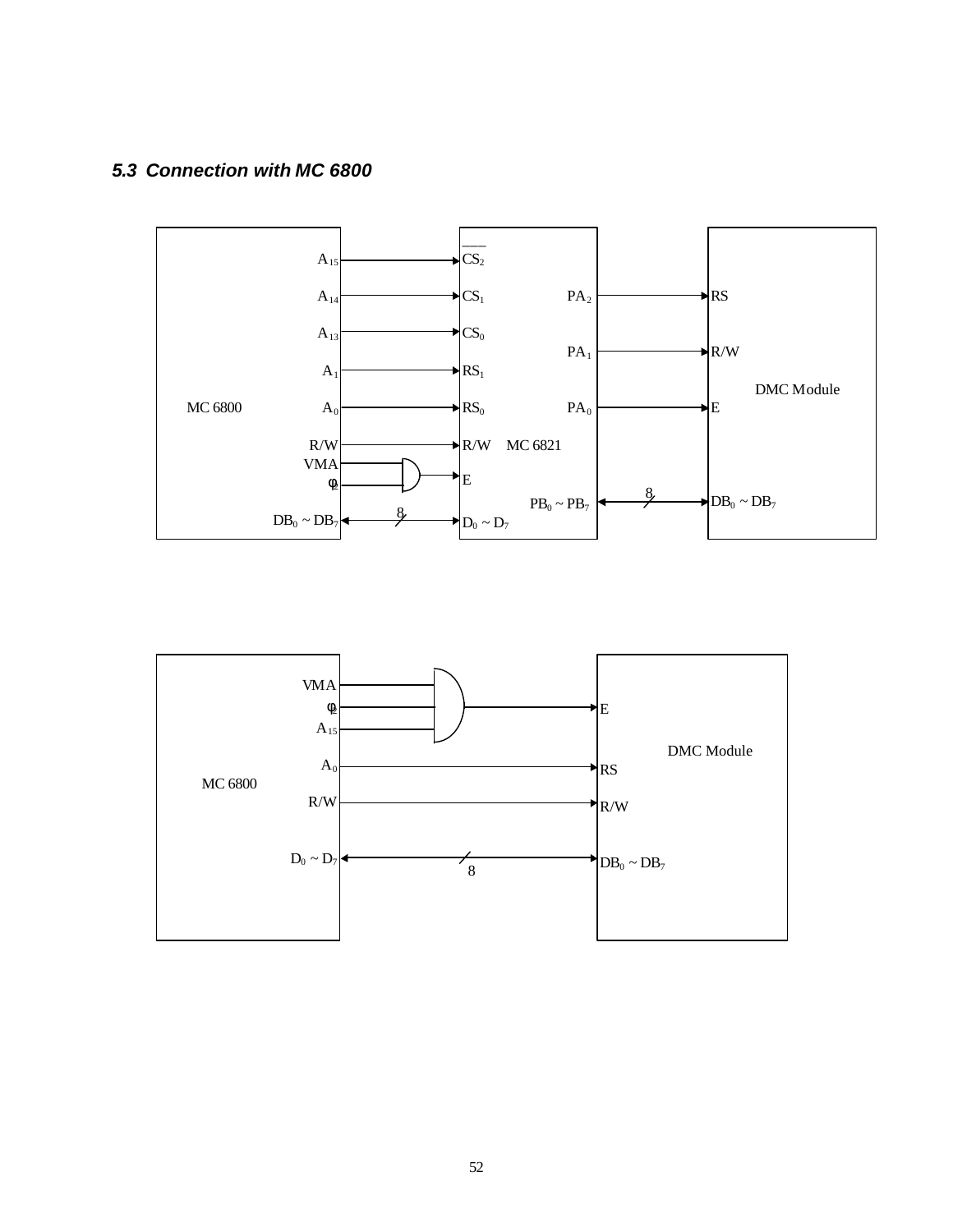### *5.3 Connection with MC 6800*



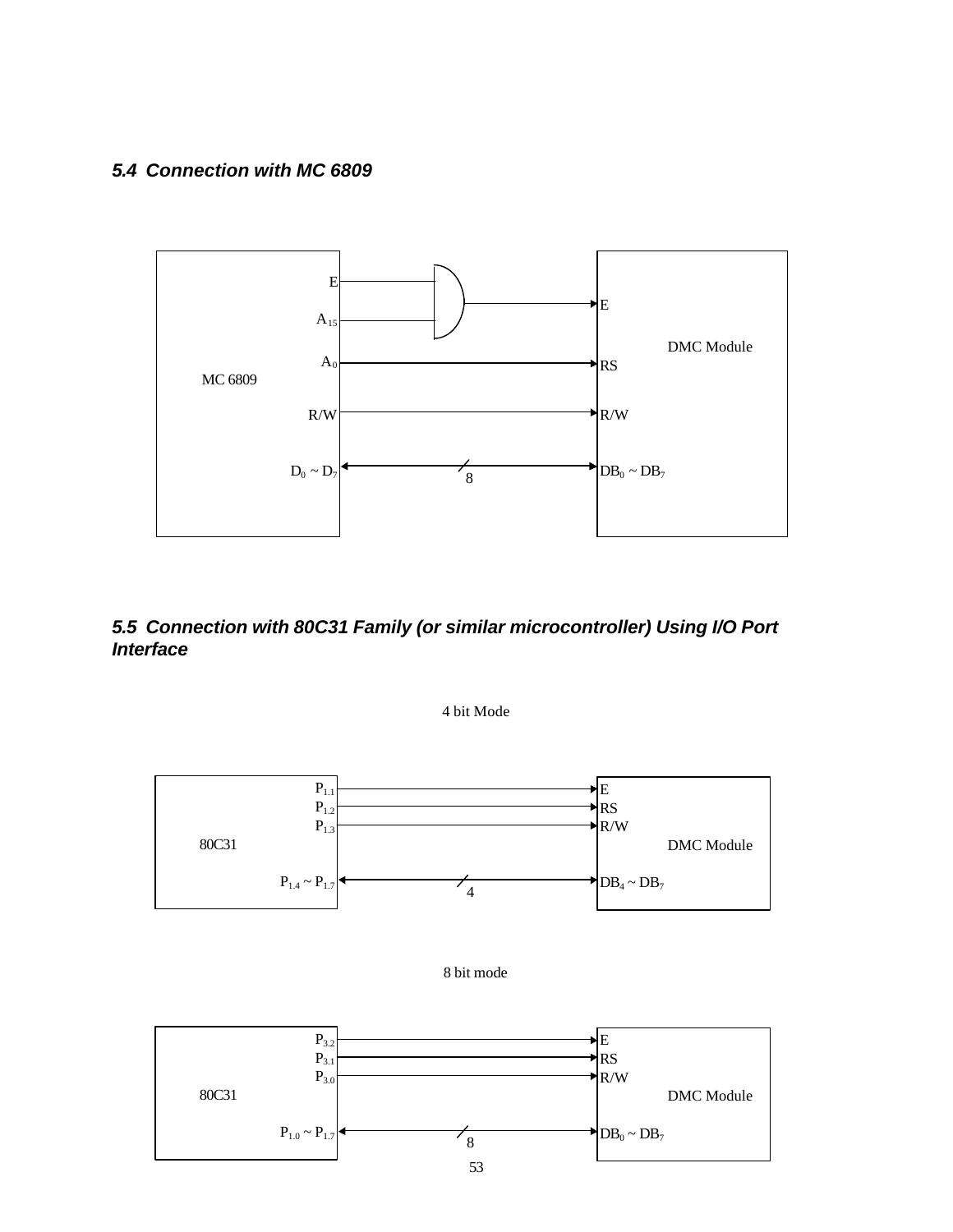#### *5.4 Connection with MC 6809*



### *5.5 Connection with 80C31 Family (or similar microcontroller) Using I/O Port Interface*

4 bit Mode





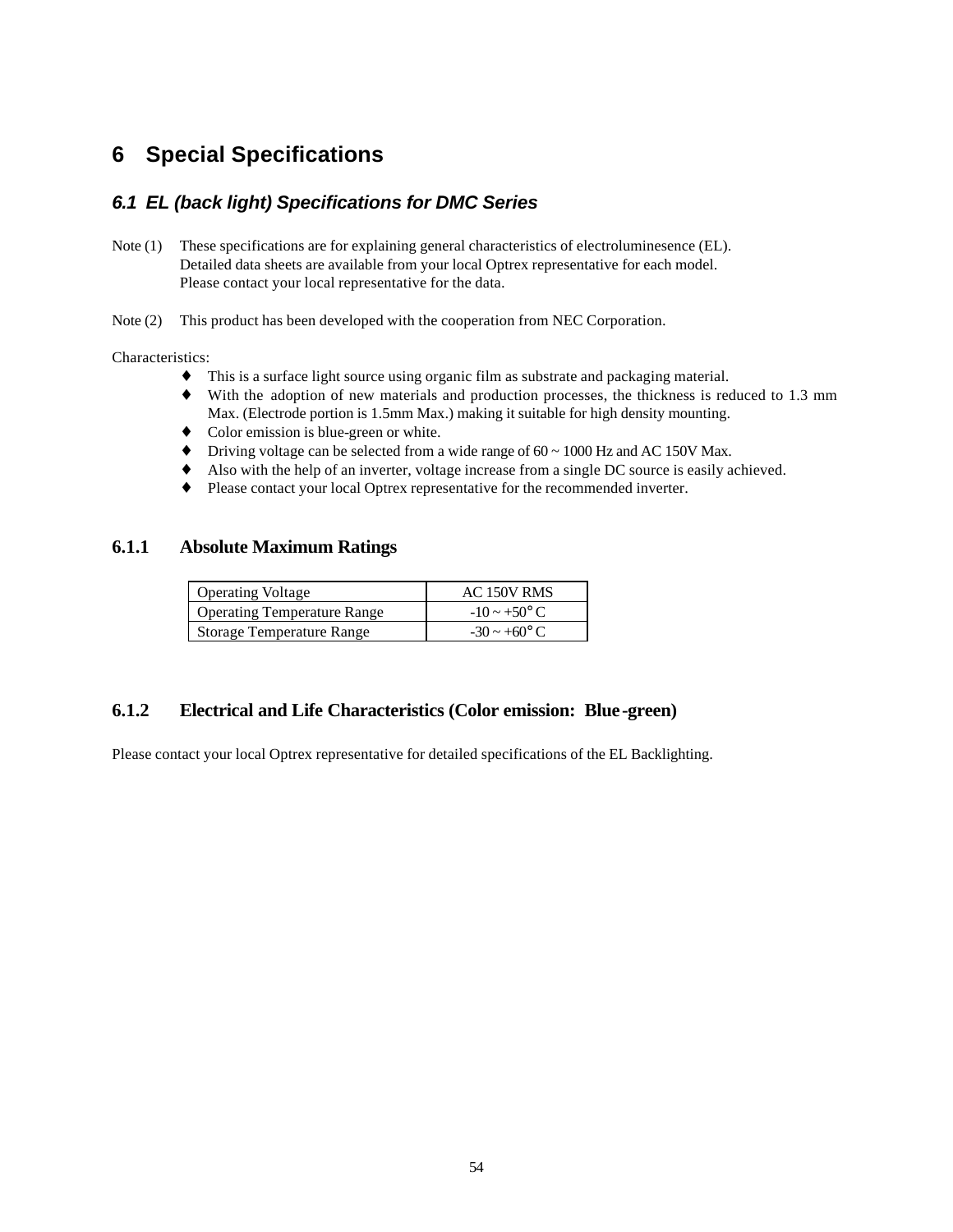### **6 Special Specifications**

#### *6.1 EL (back light) Specifications for DMC Series*

Note (1) These specifications are for explaining general characteristics of electroluminesence (EL). Detailed data sheets are available from your local Optrex representative for each model. Please contact your local representative for the data.

Note (2) This product has been developed with the cooperation from NEC Corporation.

Characteristics:

- ♦ This is a surface light source using organic film as substrate and packaging material.
- ♦ With the adoption of new materials and production processes, the thickness is reduced to 1.3 mm Max. (Electrode portion is 1.5mm Max.) making it suitable for high density mounting.
- ♦ Color emission is blue-green or white.
- $\blacklozenge$  Driving voltage can be selected from a wide range of 60 ~ 1000 Hz and AC 150V Max.
- Also with the help of an inverter, voltage increase from a single DC source is easily achieved.
- Please contact your local Optrex representative for the recommended inverter.

#### **6.1.1 Absolute Maximum Ratings**

| <b>Operating Voltage</b>           | AC 150V RMS              |  |  |
|------------------------------------|--------------------------|--|--|
| <b>Operating Temperature Range</b> | $-10 \sim +50^{\circ}$ C |  |  |
| <b>Storage Temperature Range</b>   | $-30 \sim +60^{\circ}$ C |  |  |

#### **6.1.2 Electrical and Life Characteristics (Color emission: Blue-green)**

Please contact your local Optrex representative for detailed specifications of the EL Backlighting.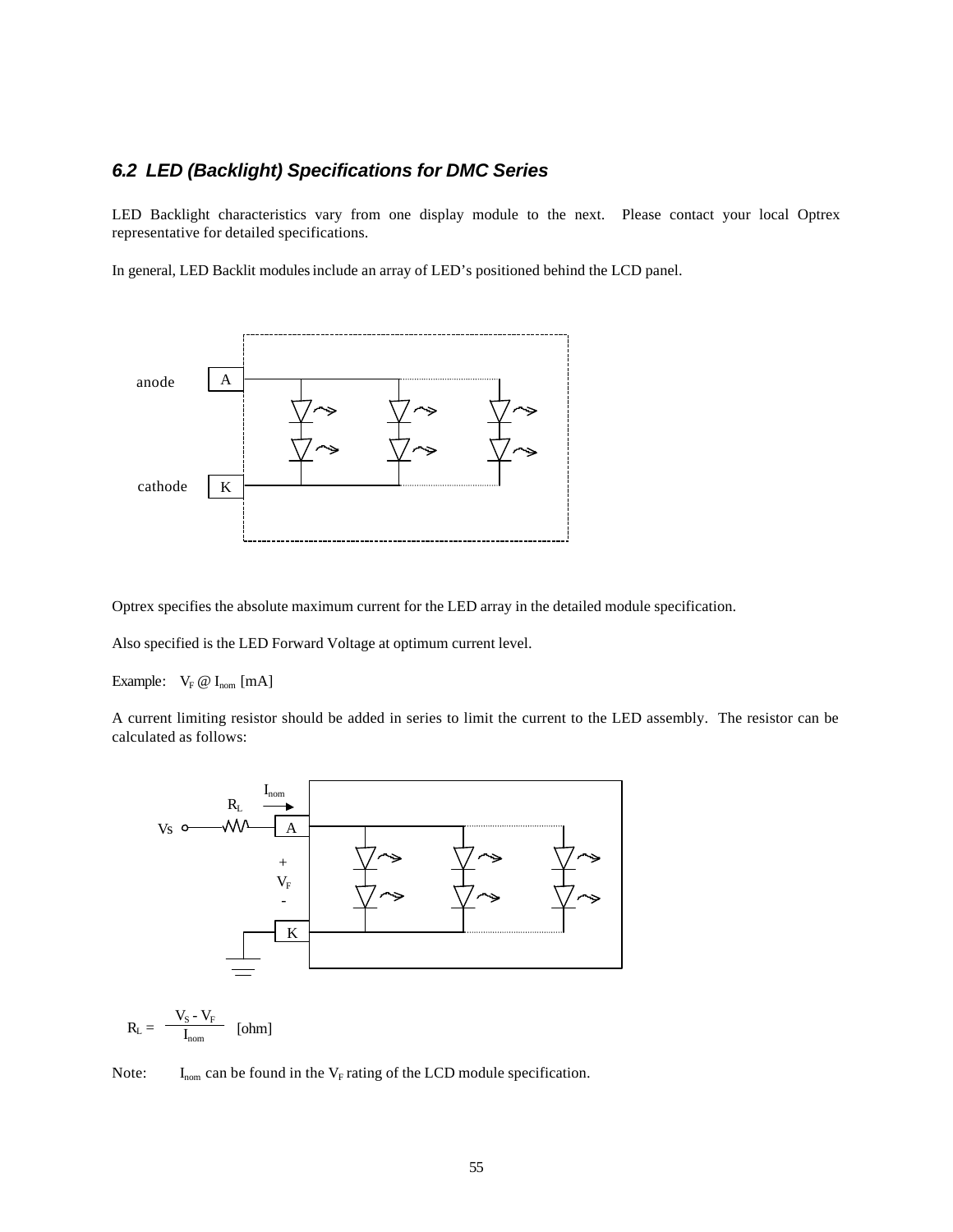#### *6.2 LED (Backlight) Specifications for DMC Series*

LED Backlight characteristics vary from one display module to the next. Please contact your local Optrex representative for detailed specifications.

In general, LED Backlit modules include an array of LED's positioned behind the LCD panel.



Optrex specifies the absolute maximum current for the LED array in the detailed module specification.

Also specified is the LED Forward Voltage at optimum current level.

Example:  $V_F @ I_{nom} [mA]$ 

A current limiting resistor should be added in series to limit the current to the LED assembly. The resistor can be calculated as follows:



 $R_{L} = \frac{V_{S} - V_{F}}{I}$  $\frac{1}{I_{\text{nom}}}$  [ohm]

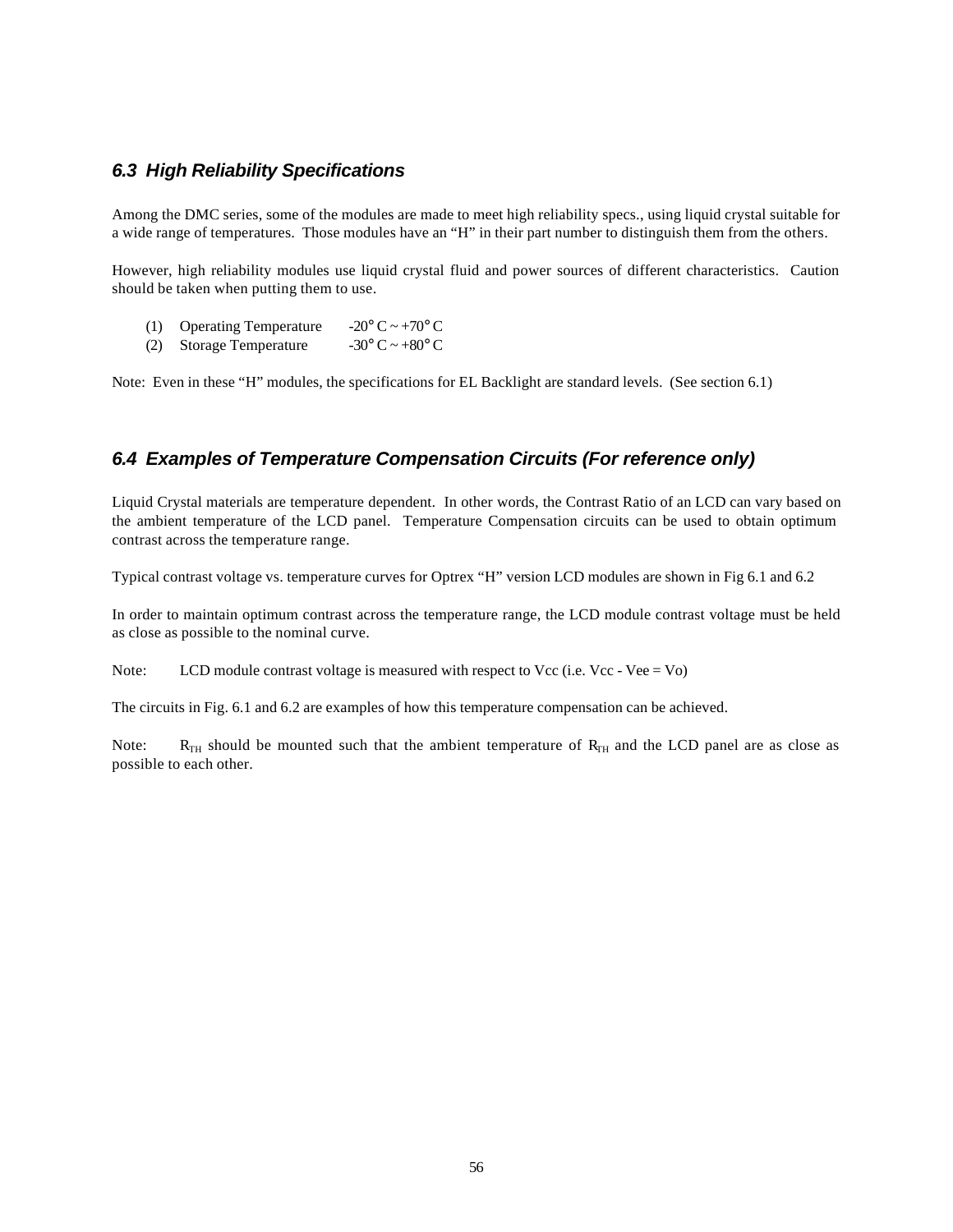#### *6.3 High Reliability Specifications*

Among the DMC series, some of the modules are made to meet high reliability specs., using liquid crystal suitable for a wide range of temperatures. Those modules have an "H" in their part number to distinguish them from the others.

However, high reliability modules use liquid crystal fluid and power sources of different characteristics. Caution should be taken when putting them to use.

- (1) Operating Temperature  $-20^{\circ}$  C ~ +70° C
- (2) Storage Temperature  $-30^{\circ}$  C  $\sim +80^{\circ}$  C

Note: Even in these "H" modules, the specifications for EL Backlight are standard levels. (See section 6.1)

#### *6.4 Examples of Temperature Compensation Circuits (For reference only)*

Liquid Crystal materials are temperature dependent. In other words, the Contrast Ratio of an LCD can vary based on the ambient temperature of the LCD panel. Temperature Compensation circuits can be used to obtain optimum contrast across the temperature range.

Typical contrast voltage vs. temperature curves for Optrex "H" version LCD modules are shown in Fig 6.1 and 6.2

In order to maintain optimum contrast across the temperature range, the LCD module contrast voltage must be held as close as possible to the nominal curve.

Note: LCD module contrast voltage is measured with respect to Vcc (i.e. Vcc - Vee = Vo)

The circuits in Fig. 6.1 and 6.2 are examples of how this temperature compensation can be achieved.

Note:  $R_{TH}$  should be mounted such that the ambient temperature of  $R_{TH}$  and the LCD panel are as close as possible to each other.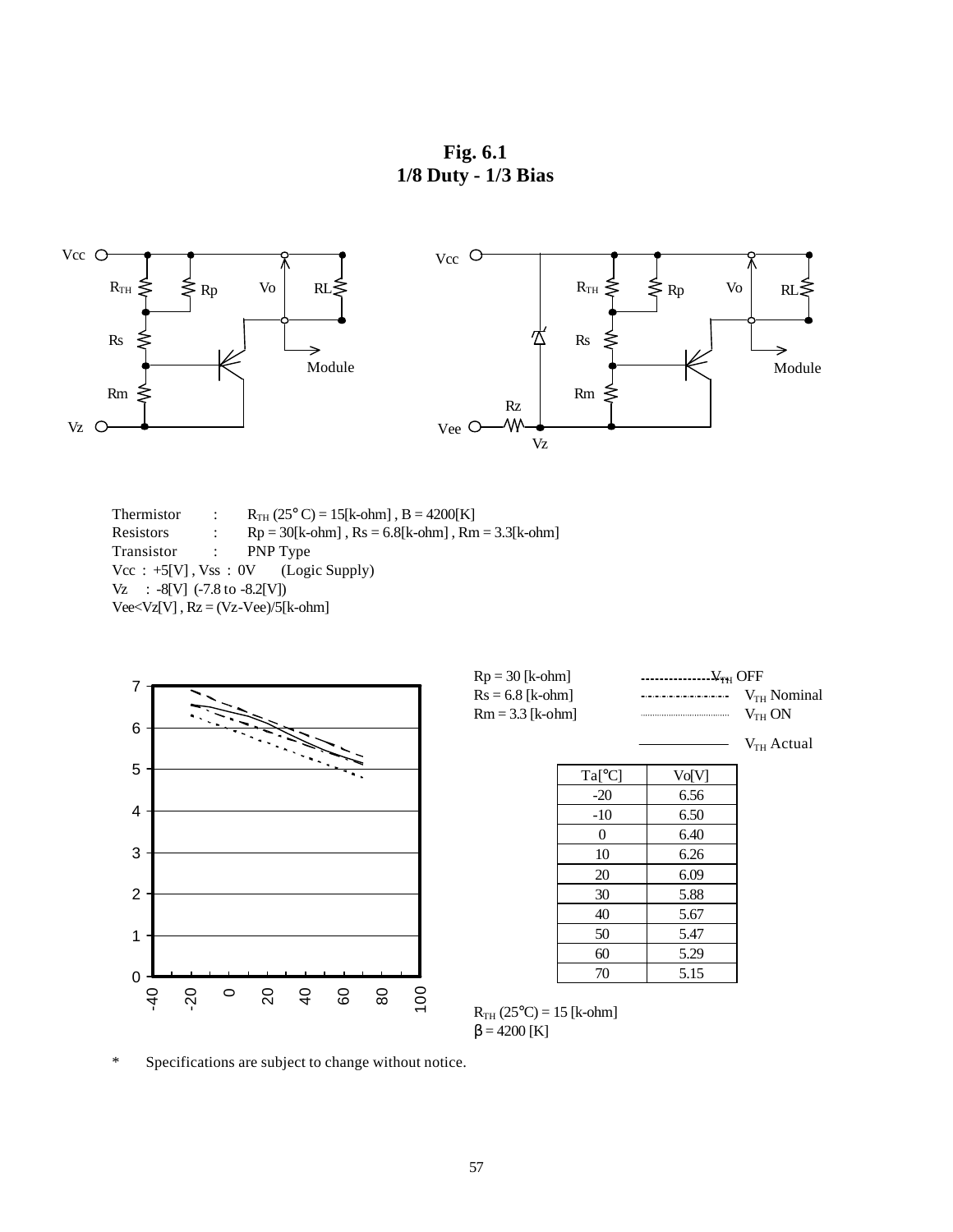**Fig. 6.1 1/8 Duty - 1/3 Bias**



Thermistor :  $R_{TH} (25^{\circ} C) = 15[k \text{-ohm}]$ ,  $B = 4200[K]$ <br>Resistors :  $Rp = 30[k \text{-ohm}]$ ,  $Rs = 6.8[k \text{-ohm}]$ ,  $Rm$ :  $Rp = 30[k\text{-ohm}]$ ,  $Rs = 6.8[k\text{-ohm}]$ ,  $Rm = 3.3[k\text{-ohm}]$ Transistor : PNP Type Vcc : +5[V], Vss : 0V (Logic Supply) Vz : -8[V] (-7.8 to -8.2[V])  $Vee\ll Vz[V]$ ,  $Rz = (Vz-Vee)/5[k-ohm]$ 



\* Specifications are subject to change without notice.